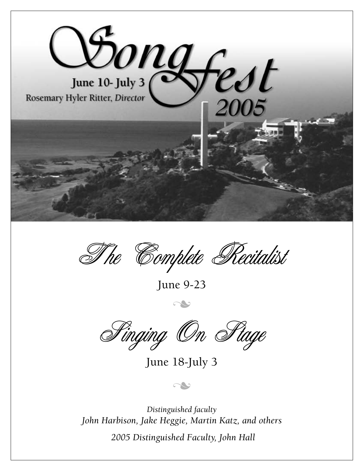

The Complete Recitalist

**June 9-23**

n

Finging On Fiage

**June 18-July 3**

n

*Distinguished faculty John Harbison, Jake Heggie, Martin Katz, and others 2005 Distinguished Faculty, John Hall*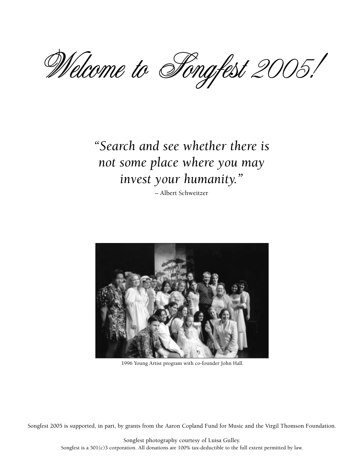Welcome to Songfest 2005!

# *"Search and see whether there is not some place where you may invest your humanity."*

**– Albert Schweitzer**



**1996 Young Artist program with co-founder John Hall.**

**Songfest 2005 is supported, in part, by grants from the Aaron Copland Fund for Music and the Virgil Thomson Foundation.**

**Songfest photography courtesy of Luisa Gulley. Songfest is a 501(c)3 corporation. All donations are 100% tax-deductible to the full extent permitted by law.**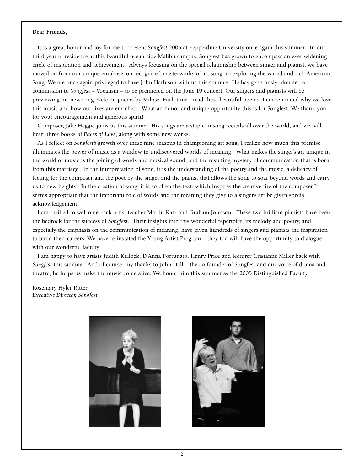#### **Dear Friends,**

**It is a great honor and joy for me to present** *Songfest* **2005 at Pepperdine University once again this summer. In our third year of residence at this beautiful ocean-side Malibu campus, Songfest has grown to encompass an ever-widening circle of inspiration and achievement. Always focusing on the special relationship between singer and pianist, we have moved on from our unique emphasis on recognized masterworks of art song to exploring the varied and rich American Song. We are once again privileged to have John Harbison with us this summer. He has generously donated a commission to** *Songfes***t – Vocalism – to be premiered on the June 19 concert. Our singers and pianists will be previewing his new song cycle on poems by Milosz. Each time I read these beautiful poems, I am reminded why we love this music and how our lives are enriched. What an honor and unique opportunity this is for Songfest. We thank you for your encouragement and generous spirit!**

**Composer, Jake Heggie joins us this summer. His songs are a staple in song recitals all over the world, and we will hear three books of** *Faces of Love***, along with some new works.** 

**As I reflect on** *Songfest's* **growth over these nine seasons in championing art song, I realize how much this premise illuminates the power of music as a window to undiscovered worlds of meaning. What makes the singer's art unique in the world of music is the joining of words and musical sound, and the resulting mystery of communication that is born from this marriage. In the interpretation of song, it is the understanding of the poetry and the music, a delicacy of feeling for the composer and the poet by the singer and the pianist that allows the song to soar beyond words and carry us to new heights. In the creation of song, it is so often the text, which inspires the creative fire of the composer.It seems appropriate that the important role of words and the meaning they give to a singer's art be given special acknowledgement.** 

**I am thrilled to welcome back artist teacher Martin Katz and Graham Johnson. These two brilliant pianists have been the bedrock for the success of** *Songfest***. Their insights into this wonderful repertoire, its melody and poetry, and especially the emphasis on the communication of meaning, have given hundreds of singers and pianists the inspiration to build their careers. We have re-instated the Young Artist Program – they too will have the opportunity to dialogue with our wonderful faculty.**

**I am happy to have artists Judith Kellock, D'Anna Fortunato, Henry Price and lecturer Cristanne Miller back with** *Songfest* **this summer. And of course, my thanks to John Hall – the co-founder of Songfest and our voice of drama and theatre, he helps us make the music come alive. We honor him this summer as the 2005 Distinguished Faculty.**

**Rosemary Hyler Ritter** *Executive Director, Songfest*



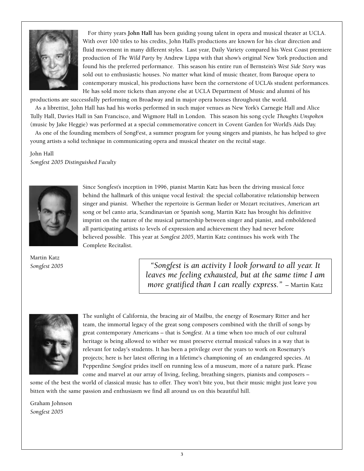

**For thirty years John Hall has been guiding young talent in opera and musical theater at UCLA. With over 100 titles to his credits, John Hall's productions are known for his clear direction and fluid movement in many different styles. Last year, Daily Variety compared his West Coast premiere production of** *The Wild Party* **by Andrew Lippa with that show's original New York production and found his the preferred performance. This season his entire run of Bernstein's** *West Side Story* **was sold out to enthusiastic houses. No matter what kind of music theater, from Baroque opera to contemporary musical, his productions have been the cornerstone of UCLA's student performances. He has sold more tickets than anyone else at UCLA Department of Music and alumni of his**

**productions are successfully performing on Broadway and in major opera houses throughout the world.**

**As a librettist, John Hall has had his works performed in such major venues as New York's Carnegie Hall and Alice Tully Hall, Davies Hall in San Francisco, and Wigmore Hall in London. This season his song cycle** *Thoughts Unspoken* **(music by Jake Heggie) was performed at a special commemorative concert in Covent Garden for World's Aids Day.**

**As one of the founding members of SongFest, a summer program for young singers and pianists, he has helped to give young artists a solid technique in communicating opera and musical theater on the recital stage.** 

**John Hall** *Songfest 2005 Distinguished Faculty*



**Since Songfest's inception in 1996, pianist Martin Katz has been the driving musical force behind the hallmark of this unique vocal festival: the special collaborative relationship between singer and pianist. Whether the repertoire is German lieder or Mozart recitatives, American art song or bel canto aria, Scandinavian or Spanish song, Martin Katz has brought his definitive imprint on the nature of the musical partnership between singer and pianist, and emboldened all participating artists to levels of expression and achievement they had never before believed possible. This year at** *Songfest 2005***, Martin Katz continues his work with The Complete Recitalist.**

**Martin Katz** *Songfest 2005* 

*"Songfest is an activity I look forward to all year. It leaves me feeling exhausted, but at the same time I am more gratified than I can really express."* **– Martin Katz**



**The sunlight of California, the bracing air of Mailbu, the energy of Rosemary Ritter and her team, the immortal legacy of the great song composers combined with the thrill of songs by great contemporary Americans – that is** *Songfest***. At a time when too much of our cultural heritage is being allowed to wither we must preserve eternal musical values in a way that is relevant for today's students. It has been a privilege over the years to work on Rosemary's projects; here is her latest offering in a lifetime's championing of an endangered species. At Pepperdine** *Songfest* **prides itself on running less of a museum, more of a nature park. Please come and marvel at our array of living, feeling, breathing singers, pianists and composers –**

**some of the best the world of classical music has to offer. They won't bite you, but their music might just leave you bitten with the same passion and enthusiasm we find all around us on this beautiful hill.**

**Graham Johnson** *Songfest 2005*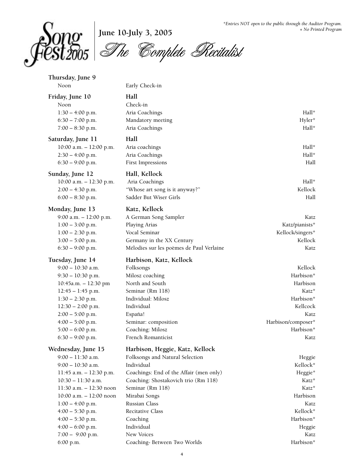

**June 10-July 3, 2005**

The Complete Recitalist

| Thursday, June 9<br>Noon                 | Early Check-in                           |                     |
|------------------------------------------|------------------------------------------|---------------------|
|                                          |                                          |                     |
| Friday, June 10<br>Noon                  | Hall<br>Check-in                         |                     |
| $1:30 - 4:00$ p.m.                       | Aria Coachings                           | Hall*               |
| $6:30 - 7:00$ p.m.                       | Mandatory meeting                        | Hyler*              |
| $7:00 - 8:30$ p.m.                       | Aria Coachings                           | Hall*               |
| Saturday, June 11                        | Hall                                     |                     |
| $10:00$ a.m. $- 12:00$ p.m.              | Aria coachings                           | Hall*               |
| $2:30 - 4:00$ p.m.                       | Aria Coachings                           | Hall*               |
| $6:30 - 9:00$ p.m.                       | First Impressions                        | Hall                |
| Sunday, June 12                          | Hall, Kellock                            |                     |
| 10:00 a.m. - 12:30 p.m.                  | Aria Coachings                           | Hall*               |
| $2:00 - 4:30$ p.m.                       | "Whose art song is it anyway?"           | Kellock             |
| $6:00 - 8:30$ p.m.                       | Sadder But Wiser Girls                   | Hall                |
| Monday, June 13                          | Katz, Kellock                            |                     |
| 9:00 a.m. $- 12:00$ p.m.                 | A German Song Sampler                    | Katz                |
| $1:00 - 3:00$ p.m.                       | Playing Arias                            | Katz/pianists*      |
| $1:00 - 2:30$ p.m.                       | Vocal Seminar                            | Kellock/singers*    |
| $3:00 - 5:00$ p.m.                       | Germany in the XX Century                | Kellock             |
| $6:30 - 9:00$ p.m.                       | Mélodies sur les poèmes de Paul Verlaine | Katz                |
| Tuesday, June 14                         | Harbison, Katz, Kellock                  |                     |
|                                          |                                          |                     |
| $9:00 - 10:30$ a.m.                      | Folksongs                                | Kellock             |
| $9:30 - 10:30$ p.m.                      | Milosz coaching                          | Harbison*           |
| 10:45a.m. - 12:30 pm                     | North and South                          | Harbison            |
| $12:45 - 1:45$ p.m.                      | Seminar (Rm 118)                         | Katz*               |
| $1:30 - 2:30$ p.m.                       | Individual: Milosz                       | Harbison*           |
| $12:30 - 2:00$ p.m.                      | Individual                               | Kellcock            |
| $2:00 - 5:00$ p.m.                       | España!                                  | Katz                |
| $4:00 - 5:00$ p.m.                       | Seminar: composition                     | Harbison/composer*  |
| $5:00 - 6:00$ p.m.                       | Coaching: Milosz                         | Harbison*           |
| $6:30 - 9:00$ p.m.                       | French Romanticist                       | Katz                |
| Wednesday, June 15                       | Harbison, Heggie, Katz, Kellock          |                     |
| $9:00 - 11:30$ a.m.                      | Folksongs and Natural Selection          | Heggie              |
| $9:00 - 10:30$ a.m.                      | Individual                               | Kellock*            |
| 11:45 a.m. - 12:30 p.m.                  | Coachings: End of the Affair (men only)  | Heggie*             |
| 10:30 - 11:30 a.m.                       | Coaching: Shostakovich trio (Rm 118)     | Katz*               |
| 11:30 a.m. - 12:30 noon                  | Seminar (Rm 118)                         | Katz*               |
| $10:00$ a.m. $-12:00$ noon               | Mirabai Songs                            | Harbison            |
| $1:00 - 4:00$ p.m.                       | Russian Class                            | Katz                |
| $4:00 - 5:30$ p.m.                       | Recitative Class                         | Kellock*            |
| $4:00 - 5:30$ p.m.<br>$4:00 - 6:00$ p.m. | Coaching<br>Individual                   | Harbison*<br>Heggie |

**6:00 p.m. Coaching- Between Two Worlds Harbison\***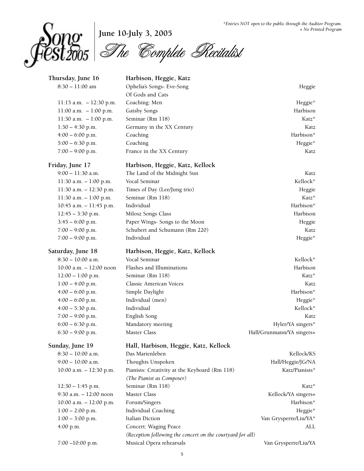

**June 10-July 3, 2005** The Complete Recitalist

| Thursday, June 16           | Harbison, Heggie, Katz                                                     |                           |
|-----------------------------|----------------------------------------------------------------------------|---------------------------|
| $8:30 - 11:00$ am           | Ophelia's Songs- Eve-Song                                                  | Heggie                    |
|                             | Of Gods and Cats                                                           |                           |
| $11:15$ a.m. $-12:30$ p.m.  | Coaching: Men                                                              | Heggie*                   |
| $11:00$ a.m. $-1:00$ p.m.   | <b>Gatsby Songs</b>                                                        | Harbison                  |
| 11:30 a.m. $-1:00$ p.m.     | Seminar (Rm 118)                                                           | Katz*                     |
| $1:30 - 4:30$ p.m.          | Germany in the XX Century                                                  | Katz                      |
| $4:00 - 6:00$ p.m.          | Coaching                                                                   | Harbison*                 |
| $5:00 - 6:30$ p.m.          | Coaching                                                                   | Heggie*                   |
| $7:00 - 9:00$ p.m.          | France in the XX Century                                                   | Katz                      |
| Friday, June 17             | Harbison, Heggie, Katz, Kellock                                            |                           |
| $9:00 - 11:30$ a.m.         | The Land of the Midnight Sun                                               | Katz                      |
| 11:30 a.m. $-1:00$ p.m.     | Vocal Seminar                                                              | Kellock*                  |
| 11:30 a.m. $- 12:30$ p.m.   | Times of Day (Lee/Jung trio)                                               | Heggie                    |
| 11:30 a.m. $-1:00$ p.m.     | Seminar (Rm 118)                                                           | Katz*                     |
| 10:45 a.m. $- 11:45$ p.m.   | Individual                                                                 | Harbison*                 |
| $12:45 - 3:30$ p.m.         | Milosz Songs Class                                                         | Harbison                  |
| $3:45 - 6:00$ p.m.          | Paper Wings- Songs to the Moon                                             | Heggie                    |
| $7:00 - 9:00$ p.m.          | Schubert and Schumann (Rm 220)                                             | Katz                      |
| $7:00 - 9:00$ p.m.          | Individual                                                                 | Heggie*                   |
| Saturday, June 18           | Harbison, Heggie, Katz, Kellock                                            |                           |
| $8:30 - 10:00$ a.m.         | Vocal Seminar                                                              | Kellock*                  |
| 10:00 a.m. - 12:00 noon     | Flashes and Illuminations                                                  | Harbison                  |
| $12:00 - 1:00$ p.m.         | Seminar (Rm 118)                                                           | Katz*                     |
| $1:00 - 4:00$ p.m.          | Classic American Voices                                                    | Katz                      |
| $4:00 - 6:00$ p.m.          | Simple Daylight                                                            | Harbison*                 |
| $4:00 - 6:00$ p.m.          | Individual (men)                                                           | Heggie*                   |
| $4:00 - 5:30$ p.m.          | Individual                                                                 | Kellock*                  |
| $7:00 - 9:00$ p.m.          | English Song                                                               | Katz                      |
| $6:00 - 6:30$ p.m.          | Mandatory meeting                                                          | Hyler/YA singers*         |
| $6:30 - 9:00$ p.m.          | Master Class                                                               | Hall/Grunmann/YA singers+ |
| Sunday, June 19             | Hall, Harbison, Heggie, Katz, Kellock                                      |                           |
| $8:30 - 10:00$ a.m.         | Das Marienleben                                                            | Kellock/KS                |
| $9:00 - 10:00$ a.m.         | Thoughts Unspoken                                                          | Hall/Heggie/JG/NA         |
| $10:00$ a.m. $- 12:30$ p.m. | Pianists: Creativity at the Keyboard (Rm 118)<br>(The Pianist as Composer) | Katz/Pianists*            |
| $12:30 - 1:45$ p.m.         | Seminar (Rm 118)                                                           | Katz*                     |
| 9:30 a.m. - 12:00 noon      | Master Class                                                               | Kellock/YA singers+       |
| $10:00$ a.m. $- 12:00$ p.m. | Forum/Singers                                                              | Harbison*                 |
| $1:00 - 2:00$ p.m.          | Individual Coaching                                                        | Heggie*                   |
| $1:00 - 3:00$ p.m.          | Italian Diction                                                            | Van Grysperre/Liu/YA*     |
| 4:00 p.m.                   | Concert: Waging Peace                                                      | ALL                       |
|                             | (Reception following the concert on the courtyard for all)                 |                           |
| 7:00 -10:00 p.m.            | Musical Opera rehearsals                                                   | Van Grysperre/Liu/YA      |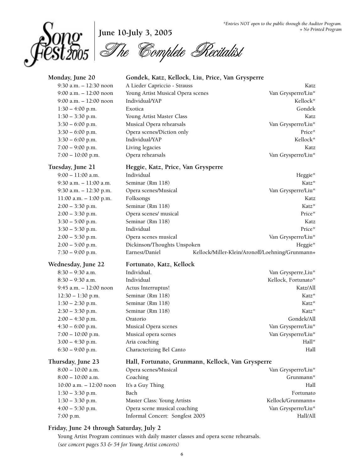

# **June 10-July 3, 2005**

The Complete Recitalist

| 9:30 a.m. - 12:30 noon<br>A Lieder Capriccio - Strauss<br>Katz<br>Young Artist Musical Opera scenes<br>Van Grysperre/Liu*<br>$9:00$ a.m. $-12:00$ noon<br>Individual/YAP<br>Kellock*<br>9:00 a.m. $- 12:00$ noon<br>Gondek<br>$1:30 - 4:00$ p.m.<br>Exotica<br>$1:30 - 3:30$ p.m.<br>Young Artist Master Class<br>Katz<br>Musical Opera rehearsals<br>$3:30 - 6:00$ p.m.<br>Van Grysperre/Liu*<br>Opera scenes/Diction only<br>$3:30 - 6:00$ p.m.<br>Price*<br>Individual/YAP<br>Kellock*<br>$3:30 - 6:00$ p.m.<br>Living legacies<br>$7:00 - 9:00$ p.m.<br>Katz<br>Opera rehearsals<br>Van Grysperre/Liu*<br>$7:00 - 10:00$ p.m.<br>Tuesday, June 21<br>Heggie, Katz, Price, Van Grysperre<br>$9:00 - 11:00$ a.m.<br>Individual<br>Heggie*<br>9:30 a.m. $-11:00$ a.m.<br>Seminar (Rm 118)<br>Katz*<br>Van Grysperre/Liu*<br>9:30 a.m. - 12:30 p.m.<br>Opera scenes/Musical<br>11:00 a.m. - 1:00 p.m.<br>Folksongs<br>Katz<br>Seminar (Rm 118)<br>Katz*<br>$2:00 - 3:30$ p.m.<br>Opera scenes/ musical<br>Price*<br>$2:00 - 3:30$ p.m.<br>Seminar (Rm 118)<br>$3:30 - 5:00$ p.m.<br>Katz<br>Individual<br>Price*<br>$3:30 - 5:30$ p.m.<br>Van Grysperre/Liu*<br>$2:00 - 5:30$ p.m.<br>Opera scenes musical<br>$2:00 - 5:00$ p.m.<br>Dickinson/Thoughts Unspoken<br>Heggie*<br>Earnest/Daniel<br>$7:30 - 9:00$ p.m.<br>Kellock/Miller-Klein/Aronoff/Loehning/Grunmann+<br>Wednesday, June 22<br>Fortunato, Katz, Kellock<br>Individual.<br>$8:30 - 9:30$ a.m.<br>Van Grysperre, Liu*<br>$8:30 - 9:30$ a.m.<br>Individual<br>Kellock, Fortunato*<br>9:45 a.m. $- 12:00$ noon<br>Katz/All<br>Actus Interruptus!<br>Seminar (Rm 118)<br>Katz*<br>$12:30 - 1:30$ p.m.<br>Seminar (Rm 118)<br>Katz*<br>$1:30 - 2:30$ p.m.<br>Seminar (Rm 118)<br>$2:30 - 3:30$ p.m.<br>Katz*<br>Gondek/All<br>$2:00 - 4:30$ p.m.<br>Oratorio<br>$4:30 - 6:00$ p.m.<br>Van Grysperre/Liu*<br>Musical Opera scenes<br>Van Grysperre/Liu*<br>$7:00 - 10:00$ p.m.<br>Musical opera scenes<br>Hall*<br>$3:00 - 4:30$ p.m.<br>Aria coaching<br>Characterizing Bel Canto<br>Hall<br>$6:30 - 9:00$ p.m.<br>Thursday, June 23<br>Hall, Fortunato, Grunmann, Kellock, Van Grysperre<br>$8:00 - 10:00$ a.m.<br>Opera scenes/Musical<br>Van Grysperre/Liu*<br>$8:00 - 10:00$ a.m.<br>Grunmann*<br>Coaching<br>It's a Guy Thing<br>10:00 a.m. - 12:00 noon<br>Hall<br>$1:30 - 3:30$ p.m.<br>Bach<br>Fortunato<br>Kellock/Grunmann+<br>$1:30 - 3:30$ p.m.<br>Master Class: Young Artists<br>Opera scene musical coaching<br>Van Grysperre/Liu*<br>$4:00 - 5:30$ p.m.<br>Informal Concert: Songfest 2005<br>7:00 p.m.<br>Hall/All | Monday, June 20 | Gondek, Katz, Kellock, Liu, Price, Van Grysperre |  |
|----------------------------------------------------------------------------------------------------------------------------------------------------------------------------------------------------------------------------------------------------------------------------------------------------------------------------------------------------------------------------------------------------------------------------------------------------------------------------------------------------------------------------------------------------------------------------------------------------------------------------------------------------------------------------------------------------------------------------------------------------------------------------------------------------------------------------------------------------------------------------------------------------------------------------------------------------------------------------------------------------------------------------------------------------------------------------------------------------------------------------------------------------------------------------------------------------------------------------------------------------------------------------------------------------------------------------------------------------------------------------------------------------------------------------------------------------------------------------------------------------------------------------------------------------------------------------------------------------------------------------------------------------------------------------------------------------------------------------------------------------------------------------------------------------------------------------------------------------------------------------------------------------------------------------------------------------------------------------------------------------------------------------------------------------------------------------------------------------------------------------------------------------------------------------------------------------------------------------------------------------------------------------------------------------------------------------------------------------------------------------------------------------------------------------------------------------------------------------------------------------------------------------------------------------------------------------------------------|-----------------|--------------------------------------------------|--|
|                                                                                                                                                                                                                                                                                                                                                                                                                                                                                                                                                                                                                                                                                                                                                                                                                                                                                                                                                                                                                                                                                                                                                                                                                                                                                                                                                                                                                                                                                                                                                                                                                                                                                                                                                                                                                                                                                                                                                                                                                                                                                                                                                                                                                                                                                                                                                                                                                                                                                                                                                                                              |                 |                                                  |  |
|                                                                                                                                                                                                                                                                                                                                                                                                                                                                                                                                                                                                                                                                                                                                                                                                                                                                                                                                                                                                                                                                                                                                                                                                                                                                                                                                                                                                                                                                                                                                                                                                                                                                                                                                                                                                                                                                                                                                                                                                                                                                                                                                                                                                                                                                                                                                                                                                                                                                                                                                                                                              |                 |                                                  |  |
|                                                                                                                                                                                                                                                                                                                                                                                                                                                                                                                                                                                                                                                                                                                                                                                                                                                                                                                                                                                                                                                                                                                                                                                                                                                                                                                                                                                                                                                                                                                                                                                                                                                                                                                                                                                                                                                                                                                                                                                                                                                                                                                                                                                                                                                                                                                                                                                                                                                                                                                                                                                              |                 |                                                  |  |
|                                                                                                                                                                                                                                                                                                                                                                                                                                                                                                                                                                                                                                                                                                                                                                                                                                                                                                                                                                                                                                                                                                                                                                                                                                                                                                                                                                                                                                                                                                                                                                                                                                                                                                                                                                                                                                                                                                                                                                                                                                                                                                                                                                                                                                                                                                                                                                                                                                                                                                                                                                                              |                 |                                                  |  |
|                                                                                                                                                                                                                                                                                                                                                                                                                                                                                                                                                                                                                                                                                                                                                                                                                                                                                                                                                                                                                                                                                                                                                                                                                                                                                                                                                                                                                                                                                                                                                                                                                                                                                                                                                                                                                                                                                                                                                                                                                                                                                                                                                                                                                                                                                                                                                                                                                                                                                                                                                                                              |                 |                                                  |  |
|                                                                                                                                                                                                                                                                                                                                                                                                                                                                                                                                                                                                                                                                                                                                                                                                                                                                                                                                                                                                                                                                                                                                                                                                                                                                                                                                                                                                                                                                                                                                                                                                                                                                                                                                                                                                                                                                                                                                                                                                                                                                                                                                                                                                                                                                                                                                                                                                                                                                                                                                                                                              |                 |                                                  |  |
|                                                                                                                                                                                                                                                                                                                                                                                                                                                                                                                                                                                                                                                                                                                                                                                                                                                                                                                                                                                                                                                                                                                                                                                                                                                                                                                                                                                                                                                                                                                                                                                                                                                                                                                                                                                                                                                                                                                                                                                                                                                                                                                                                                                                                                                                                                                                                                                                                                                                                                                                                                                              |                 |                                                  |  |
|                                                                                                                                                                                                                                                                                                                                                                                                                                                                                                                                                                                                                                                                                                                                                                                                                                                                                                                                                                                                                                                                                                                                                                                                                                                                                                                                                                                                                                                                                                                                                                                                                                                                                                                                                                                                                                                                                                                                                                                                                                                                                                                                                                                                                                                                                                                                                                                                                                                                                                                                                                                              |                 |                                                  |  |
|                                                                                                                                                                                                                                                                                                                                                                                                                                                                                                                                                                                                                                                                                                                                                                                                                                                                                                                                                                                                                                                                                                                                                                                                                                                                                                                                                                                                                                                                                                                                                                                                                                                                                                                                                                                                                                                                                                                                                                                                                                                                                                                                                                                                                                                                                                                                                                                                                                                                                                                                                                                              |                 |                                                  |  |
|                                                                                                                                                                                                                                                                                                                                                                                                                                                                                                                                                                                                                                                                                                                                                                                                                                                                                                                                                                                                                                                                                                                                                                                                                                                                                                                                                                                                                                                                                                                                                                                                                                                                                                                                                                                                                                                                                                                                                                                                                                                                                                                                                                                                                                                                                                                                                                                                                                                                                                                                                                                              |                 |                                                  |  |
|                                                                                                                                                                                                                                                                                                                                                                                                                                                                                                                                                                                                                                                                                                                                                                                                                                                                                                                                                                                                                                                                                                                                                                                                                                                                                                                                                                                                                                                                                                                                                                                                                                                                                                                                                                                                                                                                                                                                                                                                                                                                                                                                                                                                                                                                                                                                                                                                                                                                                                                                                                                              |                 |                                                  |  |
|                                                                                                                                                                                                                                                                                                                                                                                                                                                                                                                                                                                                                                                                                                                                                                                                                                                                                                                                                                                                                                                                                                                                                                                                                                                                                                                                                                                                                                                                                                                                                                                                                                                                                                                                                                                                                                                                                                                                                                                                                                                                                                                                                                                                                                                                                                                                                                                                                                                                                                                                                                                              |                 |                                                  |  |
|                                                                                                                                                                                                                                                                                                                                                                                                                                                                                                                                                                                                                                                                                                                                                                                                                                                                                                                                                                                                                                                                                                                                                                                                                                                                                                                                                                                                                                                                                                                                                                                                                                                                                                                                                                                                                                                                                                                                                                                                                                                                                                                                                                                                                                                                                                                                                                                                                                                                                                                                                                                              |                 |                                                  |  |
|                                                                                                                                                                                                                                                                                                                                                                                                                                                                                                                                                                                                                                                                                                                                                                                                                                                                                                                                                                                                                                                                                                                                                                                                                                                                                                                                                                                                                                                                                                                                                                                                                                                                                                                                                                                                                                                                                                                                                                                                                                                                                                                                                                                                                                                                                                                                                                                                                                                                                                                                                                                              |                 |                                                  |  |
|                                                                                                                                                                                                                                                                                                                                                                                                                                                                                                                                                                                                                                                                                                                                                                                                                                                                                                                                                                                                                                                                                                                                                                                                                                                                                                                                                                                                                                                                                                                                                                                                                                                                                                                                                                                                                                                                                                                                                                                                                                                                                                                                                                                                                                                                                                                                                                                                                                                                                                                                                                                              |                 |                                                  |  |
|                                                                                                                                                                                                                                                                                                                                                                                                                                                                                                                                                                                                                                                                                                                                                                                                                                                                                                                                                                                                                                                                                                                                                                                                                                                                                                                                                                                                                                                                                                                                                                                                                                                                                                                                                                                                                                                                                                                                                                                                                                                                                                                                                                                                                                                                                                                                                                                                                                                                                                                                                                                              |                 |                                                  |  |
|                                                                                                                                                                                                                                                                                                                                                                                                                                                                                                                                                                                                                                                                                                                                                                                                                                                                                                                                                                                                                                                                                                                                                                                                                                                                                                                                                                                                                                                                                                                                                                                                                                                                                                                                                                                                                                                                                                                                                                                                                                                                                                                                                                                                                                                                                                                                                                                                                                                                                                                                                                                              |                 |                                                  |  |
|                                                                                                                                                                                                                                                                                                                                                                                                                                                                                                                                                                                                                                                                                                                                                                                                                                                                                                                                                                                                                                                                                                                                                                                                                                                                                                                                                                                                                                                                                                                                                                                                                                                                                                                                                                                                                                                                                                                                                                                                                                                                                                                                                                                                                                                                                                                                                                                                                                                                                                                                                                                              |                 |                                                  |  |
|                                                                                                                                                                                                                                                                                                                                                                                                                                                                                                                                                                                                                                                                                                                                                                                                                                                                                                                                                                                                                                                                                                                                                                                                                                                                                                                                                                                                                                                                                                                                                                                                                                                                                                                                                                                                                                                                                                                                                                                                                                                                                                                                                                                                                                                                                                                                                                                                                                                                                                                                                                                              |                 |                                                  |  |
|                                                                                                                                                                                                                                                                                                                                                                                                                                                                                                                                                                                                                                                                                                                                                                                                                                                                                                                                                                                                                                                                                                                                                                                                                                                                                                                                                                                                                                                                                                                                                                                                                                                                                                                                                                                                                                                                                                                                                                                                                                                                                                                                                                                                                                                                                                                                                                                                                                                                                                                                                                                              |                 |                                                  |  |
|                                                                                                                                                                                                                                                                                                                                                                                                                                                                                                                                                                                                                                                                                                                                                                                                                                                                                                                                                                                                                                                                                                                                                                                                                                                                                                                                                                                                                                                                                                                                                                                                                                                                                                                                                                                                                                                                                                                                                                                                                                                                                                                                                                                                                                                                                                                                                                                                                                                                                                                                                                                              |                 |                                                  |  |
|                                                                                                                                                                                                                                                                                                                                                                                                                                                                                                                                                                                                                                                                                                                                                                                                                                                                                                                                                                                                                                                                                                                                                                                                                                                                                                                                                                                                                                                                                                                                                                                                                                                                                                                                                                                                                                                                                                                                                                                                                                                                                                                                                                                                                                                                                                                                                                                                                                                                                                                                                                                              |                 |                                                  |  |
|                                                                                                                                                                                                                                                                                                                                                                                                                                                                                                                                                                                                                                                                                                                                                                                                                                                                                                                                                                                                                                                                                                                                                                                                                                                                                                                                                                                                                                                                                                                                                                                                                                                                                                                                                                                                                                                                                                                                                                                                                                                                                                                                                                                                                                                                                                                                                                                                                                                                                                                                                                                              |                 |                                                  |  |
|                                                                                                                                                                                                                                                                                                                                                                                                                                                                                                                                                                                                                                                                                                                                                                                                                                                                                                                                                                                                                                                                                                                                                                                                                                                                                                                                                                                                                                                                                                                                                                                                                                                                                                                                                                                                                                                                                                                                                                                                                                                                                                                                                                                                                                                                                                                                                                                                                                                                                                                                                                                              |                 |                                                  |  |
|                                                                                                                                                                                                                                                                                                                                                                                                                                                                                                                                                                                                                                                                                                                                                                                                                                                                                                                                                                                                                                                                                                                                                                                                                                                                                                                                                                                                                                                                                                                                                                                                                                                                                                                                                                                                                                                                                                                                                                                                                                                                                                                                                                                                                                                                                                                                                                                                                                                                                                                                                                                              |                 |                                                  |  |
|                                                                                                                                                                                                                                                                                                                                                                                                                                                                                                                                                                                                                                                                                                                                                                                                                                                                                                                                                                                                                                                                                                                                                                                                                                                                                                                                                                                                                                                                                                                                                                                                                                                                                                                                                                                                                                                                                                                                                                                                                                                                                                                                                                                                                                                                                                                                                                                                                                                                                                                                                                                              |                 |                                                  |  |
|                                                                                                                                                                                                                                                                                                                                                                                                                                                                                                                                                                                                                                                                                                                                                                                                                                                                                                                                                                                                                                                                                                                                                                                                                                                                                                                                                                                                                                                                                                                                                                                                                                                                                                                                                                                                                                                                                                                                                                                                                                                                                                                                                                                                                                                                                                                                                                                                                                                                                                                                                                                              |                 |                                                  |  |
|                                                                                                                                                                                                                                                                                                                                                                                                                                                                                                                                                                                                                                                                                                                                                                                                                                                                                                                                                                                                                                                                                                                                                                                                                                                                                                                                                                                                                                                                                                                                                                                                                                                                                                                                                                                                                                                                                                                                                                                                                                                                                                                                                                                                                                                                                                                                                                                                                                                                                                                                                                                              |                 |                                                  |  |
|                                                                                                                                                                                                                                                                                                                                                                                                                                                                                                                                                                                                                                                                                                                                                                                                                                                                                                                                                                                                                                                                                                                                                                                                                                                                                                                                                                                                                                                                                                                                                                                                                                                                                                                                                                                                                                                                                                                                                                                                                                                                                                                                                                                                                                                                                                                                                                                                                                                                                                                                                                                              |                 |                                                  |  |
|                                                                                                                                                                                                                                                                                                                                                                                                                                                                                                                                                                                                                                                                                                                                                                                                                                                                                                                                                                                                                                                                                                                                                                                                                                                                                                                                                                                                                                                                                                                                                                                                                                                                                                                                                                                                                                                                                                                                                                                                                                                                                                                                                                                                                                                                                                                                                                                                                                                                                                                                                                                              |                 |                                                  |  |
|                                                                                                                                                                                                                                                                                                                                                                                                                                                                                                                                                                                                                                                                                                                                                                                                                                                                                                                                                                                                                                                                                                                                                                                                                                                                                                                                                                                                                                                                                                                                                                                                                                                                                                                                                                                                                                                                                                                                                                                                                                                                                                                                                                                                                                                                                                                                                                                                                                                                                                                                                                                              |                 |                                                  |  |
|                                                                                                                                                                                                                                                                                                                                                                                                                                                                                                                                                                                                                                                                                                                                                                                                                                                                                                                                                                                                                                                                                                                                                                                                                                                                                                                                                                                                                                                                                                                                                                                                                                                                                                                                                                                                                                                                                                                                                                                                                                                                                                                                                                                                                                                                                                                                                                                                                                                                                                                                                                                              |                 |                                                  |  |
|                                                                                                                                                                                                                                                                                                                                                                                                                                                                                                                                                                                                                                                                                                                                                                                                                                                                                                                                                                                                                                                                                                                                                                                                                                                                                                                                                                                                                                                                                                                                                                                                                                                                                                                                                                                                                                                                                                                                                                                                                                                                                                                                                                                                                                                                                                                                                                                                                                                                                                                                                                                              |                 |                                                  |  |
|                                                                                                                                                                                                                                                                                                                                                                                                                                                                                                                                                                                                                                                                                                                                                                                                                                                                                                                                                                                                                                                                                                                                                                                                                                                                                                                                                                                                                                                                                                                                                                                                                                                                                                                                                                                                                                                                                                                                                                                                                                                                                                                                                                                                                                                                                                                                                                                                                                                                                                                                                                                              |                 |                                                  |  |
|                                                                                                                                                                                                                                                                                                                                                                                                                                                                                                                                                                                                                                                                                                                                                                                                                                                                                                                                                                                                                                                                                                                                                                                                                                                                                                                                                                                                                                                                                                                                                                                                                                                                                                                                                                                                                                                                                                                                                                                                                                                                                                                                                                                                                                                                                                                                                                                                                                                                                                                                                                                              |                 |                                                  |  |
|                                                                                                                                                                                                                                                                                                                                                                                                                                                                                                                                                                                                                                                                                                                                                                                                                                                                                                                                                                                                                                                                                                                                                                                                                                                                                                                                                                                                                                                                                                                                                                                                                                                                                                                                                                                                                                                                                                                                                                                                                                                                                                                                                                                                                                                                                                                                                                                                                                                                                                                                                                                              |                 |                                                  |  |
|                                                                                                                                                                                                                                                                                                                                                                                                                                                                                                                                                                                                                                                                                                                                                                                                                                                                                                                                                                                                                                                                                                                                                                                                                                                                                                                                                                                                                                                                                                                                                                                                                                                                                                                                                                                                                                                                                                                                                                                                                                                                                                                                                                                                                                                                                                                                                                                                                                                                                                                                                                                              |                 |                                                  |  |
|                                                                                                                                                                                                                                                                                                                                                                                                                                                                                                                                                                                                                                                                                                                                                                                                                                                                                                                                                                                                                                                                                                                                                                                                                                                                                                                                                                                                                                                                                                                                                                                                                                                                                                                                                                                                                                                                                                                                                                                                                                                                                                                                                                                                                                                                                                                                                                                                                                                                                                                                                                                              |                 |                                                  |  |
|                                                                                                                                                                                                                                                                                                                                                                                                                                                                                                                                                                                                                                                                                                                                                                                                                                                                                                                                                                                                                                                                                                                                                                                                                                                                                                                                                                                                                                                                                                                                                                                                                                                                                                                                                                                                                                                                                                                                                                                                                                                                                                                                                                                                                                                                                                                                                                                                                                                                                                                                                                                              |                 |                                                  |  |
|                                                                                                                                                                                                                                                                                                                                                                                                                                                                                                                                                                                                                                                                                                                                                                                                                                                                                                                                                                                                                                                                                                                                                                                                                                                                                                                                                                                                                                                                                                                                                                                                                                                                                                                                                                                                                                                                                                                                                                                                                                                                                                                                                                                                                                                                                                                                                                                                                                                                                                                                                                                              |                 |                                                  |  |
|                                                                                                                                                                                                                                                                                                                                                                                                                                                                                                                                                                                                                                                                                                                                                                                                                                                                                                                                                                                                                                                                                                                                                                                                                                                                                                                                                                                                                                                                                                                                                                                                                                                                                                                                                                                                                                                                                                                                                                                                                                                                                                                                                                                                                                                                                                                                                                                                                                                                                                                                                                                              |                 |                                                  |  |
|                                                                                                                                                                                                                                                                                                                                                                                                                                                                                                                                                                                                                                                                                                                                                                                                                                                                                                                                                                                                                                                                                                                                                                                                                                                                                                                                                                                                                                                                                                                                                                                                                                                                                                                                                                                                                                                                                                                                                                                                                                                                                                                                                                                                                                                                                                                                                                                                                                                                                                                                                                                              |                 |                                                  |  |

#### **Friday, June 24 through Saturday, July 2**

**Young Artist Program continues with daily master classes and opera scene rehearsals.** *(see concert pages 53 & 54 for Young Artist concerts)*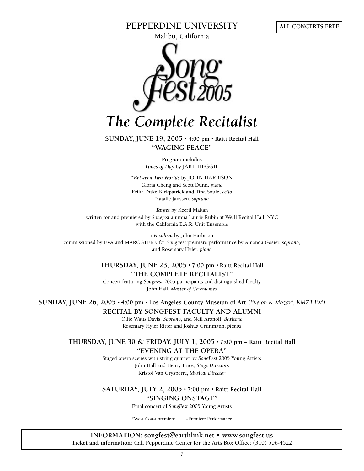#### **PEPPERDINE UNIVERSITY**

**Malibu, California**



**SUNDAY, JUNE 19, 2005 • 4:00 pm • Raitt Recital Hall "WAGING PEACE"**

> **Program includes** *Times of Day* **by JAKE HEGGIE**

**\****Between Two Worlds* **by JOHN HARBISON Gloria Cheng and Scott Dunn,** *piano* **Erika Duke-Kirkpatrick and Tina Soule,** *cello* **Natalie Janssen,** *soprano*

*Target* **by Keeril Makan written for and premiered by** *Songfest* **alumna Laurie Rubin at Weill Recital Hall, NYC with the California E.A.R. Unit Ensemble**

*+Vocalism* **by John Harbison commissioned by EVA and MARC STERN for** *SongFest* **première performance by Amanda Gosier,** *soprano***, and Rosemary Hyler,** *piano*

#### **THURSDAY, JUNE 23, 2005 • 7:00 pm • Raitt Recital Hall "THE COMPLETE RECITALIST"**

**Concert featuring** *SongFest* **2005 participants and distinguished faculty John Hall,** *Master of Ceremonies*

**SUNDAY, JUNE 26, 2005 • 4:00 pm • Los Angeles County Museum of Art** *(live on K-Mozart, KMZT-FM)* **RECITAL BY SONGFEST FACULTY AND ALUMNI**

> **Ollie Watts Davis,** *Soprano***, and Neil Aronoff,** *Baritone* **Rosemary Hyler Ritter and Joshua Grunmann,** *pianos*

**THURSDAY, JUNE 30 & FRIDAY, JULY 1, 2005 • 7:00 pm – Raitt Recital Hall "EVENING AT THE OPERA"**

> **Staged opera scenes with string quartet by** *SongFest* **2005 Young Artists John Hall and Henry Price,** *Stage Directors* **Kristof Van Grysperre,** *Musical Director*

> **SATURDAY, JULY 2, 2005 • 7:00 pm • Raitt Recital Hall "SINGING ONSTAGE"**

> > **Final concert of** *SongFest* **2005 Young Artists**

**\*West Coast premiere +Premiere Performance**

**INFORMATION: songfest@earthlink.net • www.songfest.us Ticket and information: Call Pepperdine Center for the Arts Box Office: (310) 506-4522**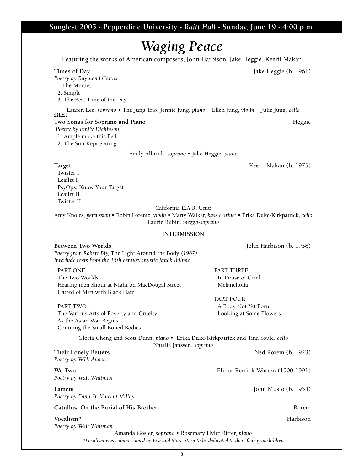#### **Songfest 2005 • Pepperdine University •** *Raitt Hall* **• Sunday, June 19 • 4:00 p.m.**

### *Waging Peace* **Featuring the works of American composers, John Harbison, Jake Heggie, Keeril Makan**

**Times of Day Jake Heggie (b. 1961)** 

*Poetry by Raymond Carver*

**1.The Minuet**

**8 2. Simple 3. The Best Time of the Day Lauren Lee,** *soprano* **• The Jung Trio: Jennie Jung,** *piano* **Ellen Jung,** *violin* **Julie Jung,** *cello* ΩΩΩ **Two Songs for Soprano and Piano** *Heggie Poetry by Emily Dickinson* **1. Ample make this Bed 2. The Sun Kept Setting Emily Albrink,** *soprano •* **Jake Heggie,** *piano* **Target Keeril Makan (b. 1975) Twister I Leaflet I PsyOps: Know Your Target Leaflet II Twister II California E.A.R. Unit: Laurie Rubin,** *mezzo-soprano* **INTERMISSION Between Two Worlds John Harbison (b. 1938)** *Poetry from Robert Bly,* **The Light Around the Body** *(1967) Interlude texts from the 15th century mystic Jakob Böhme* **PART ONE** PART CONE **The Two Worlds In Praise of Grief** Hearing men Shout at Night on MacDougal Street Melancholia **Hatred of Men with Black Hair PART FOUR PART TWO A Body Not Yet Born The Various Arts of Poverty and Cruelty Looking at Some Flowers As the Asian War Begins Counting the Small-Boned Bodies Gloria Cheng and Scott Dunn,** *piano •* **Erika Duke-Kirkpatrick and Tina Soule,** *cello* **Natalie Janssen,** *soprano* **Their Lonely Betters Ned Rorem (b. 1923)** *Poetry by W.H. Auden* **We Two Elinor Remick Warren (1900-1991)** *Poetry by Walt Whitman* **Lament John Musto (b. 1954)** *Poetry by Edna St. Vincent Millay* **Catullus: On the Burial of His Brother Rorem Vocalism\* Harbison** *Poetry by Walt Whitman* **Amanda Gosier,** *soprano* **• Rosemary Hyler Ritter,** *piano \*Vocalism was commissioned by Eva and Marc Stern to be dedicated to their four granchildren*

**Amy Knoles,** *percussion* **• Robin Lorentz,** *violin* **• Marty Walker,** *bass clarinet* **• Erika Duke-Kirkpatrick,** *cello*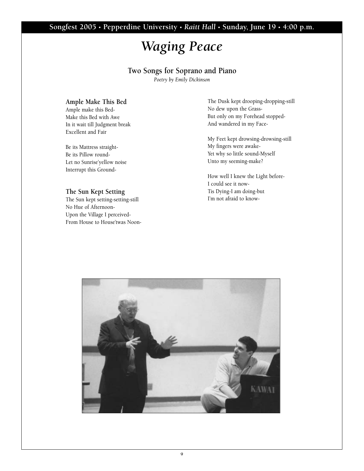### **Songfest 2005 • Pepperdine University •** *Raitt Hall* **• Sunday, June 19 • 4:00 p.m.**

### *Waging Peace*

#### **Two Songs for Soprano and Piano**

*Poetry by Emily Dickinson*

#### **Ample Make This Bed**

**Ample make this Bed-Make this Bed with Awe In it wait till Judgment break Excellent and Fair**

**Be its Mattress straight-Be its Pillow round-Let no Sunrise'yellow noise Interrupt this Ground-**

#### **The Sun Kept Setting**

**The Sun kept setting-setting-still No Hue of Afternoon-Upon the Village I perceived-From House to House'twas Noon-** **The Dusk kept drooping-dropping-still No dew upon the Grass-But only on my Forehead stopped-And wandered in my Face-**

**My Feet kept drowsing-drowsing-still My fingers were awake-Yet why so little sound-Myself Unto my seeming-make?**

**How well I knew the Light before-I could see it now-Tis Dying-I am doing-but I'm not afraid to know-**

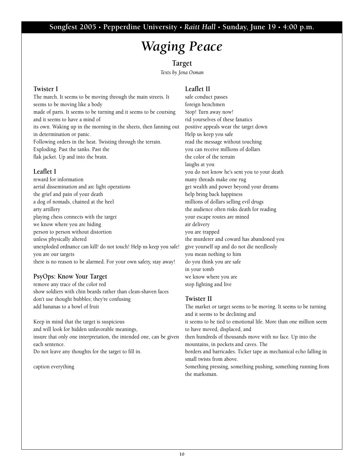# *Waging Peace*

#### **Target**

*Texts by Jena Osman*

#### **Twister I**

**The march. It seems to be moving through the main streets. It seems to be moving like a body made of parts. It seems to be turning and it seems to be coursing and it seems to have a mind of its own. Waking up in the morning in the sheets, then fanning out in determination or panic. Following orders in the heat. Twisting through the terrain. Exploding. Past the tanks. Past the flak jacket. Up and into the brain.**

#### **Leaflet I**

**reward for information aerial dissemination and arc light operations the grief and pain of your death a dog of nomads, chained at the heel arty artillery playing chess connects with the target we know where you are hiding person to person without distortion unless physically altered unexploded ordnance can kill! do not touch! Help us keep you safe! you are our targets there is no reason to be alarmed. For your own safety, stay away!**

#### **PsyOps: Know Your Target**

**remove any trace of the color red show soldiers with chin beards rather than clean-shaven faces don't use thought bubbles; they're confusing add bananas to a bowl of fruit**

**Keep in mind that the target is suspicious and will look for hidden unfavorable meanings, insure that only one interpretation, the intended one, can be given each sentence. Do not leave any thoughts for the target to fill in.**

**caption everything**

#### **Leaflet II**

**safe conduct passes foreign henchmen Stop! Turn away now! rid yourselves of these fanatics positive appeals wear the target down Help us keep you safe read the message without touching you can receive millions of dollars the color of the terrain laughs at you you do not know he's sent you to your death many threads make one rug get wealth and power beyond your dreams help bring back happiness millions of dollars selling evil drugs the audience often risks death for reading your escape routes are mined air delivery you are trapped the murderer and coward has abandoned you give yourself up and do not die needlessly you mean nothing to him do you think you are safe in your tomb we know where you are stop fighting and live**

#### **Twister II**

**The market or target seems to be moving. It seems to be turning and it seems to be declining and it seems to be tied to emotional life. More than one million seem to have moved, displaced, and then hundreds of thousands move with no face. Up into the mountains, in pockets and caves. The borders and barricades. Ticker tape as mechanical echo falling in small twists from above. Something pressing, something pushing, something running from the marksman.**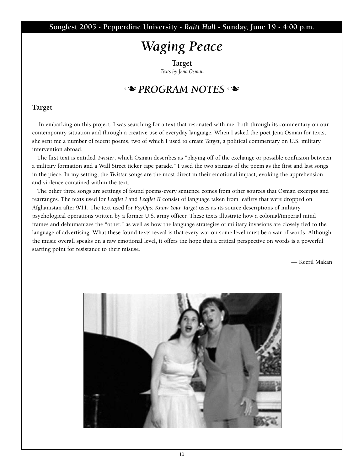**Songfest 2005 • Pepperdine University •** *Raitt Hall* **• Sunday, June 19 • 4:00 p.m.**

## *Waging Peace*

**Target** *Texts by Jena Osman*

### **N** PROGRAM NOTES

#### **Target**

**In embarking on this project, I was searching for a text that resonated with me, both through its commentary on our contemporary situation and through a creative use of everyday language. When I asked the poet Jena Osman for texts, she sent me a number of recent poems, two of which I used to create** *Target***, a political commentary on U.S. military intervention abroad.**

**The first text is entitled** *Twister***, which Osman describes as "playing off of the exchange or possible confusion between a military formation and a Wall Street ticker tape parade." I used the two stanzas of the poem as the first and last songs in the piece. In my setting, the** *Twister* **songs are the most direct in their emotional impact, evoking the apprehension and violence contained within the text.**

**The other three songs are settings of found poems-every sentence comes from other sources that Osman excerpts and rearranges. The texts used for** *Leaflet I* **and** *Leaflet II* **consist of language taken from leaflets that were dropped on Afghanistan after 9/11. The text used for** *PsyOps: Know Your Target* **uses as its source descriptions of military psychological operations written by a former U.S. army officer. These texts illustrate how a colonial/imperial mind frames and dehumanizes the "other," as well as how the language strategies of military invasions are closely tied to the language of advertising. What these found texts reveal is that every war on some level must be a war of words. Although the music overall speaks on a raw emotional level, it offers the hope that a critical perspective on words is a powerful starting point for resistance to their misuse.**

**— Keeril Makan**

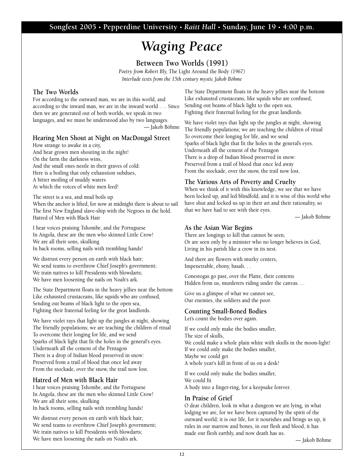# *Waging Peace*

**Between Two Worlds (1991)**

*Poetry from Robert Bly,* **The Light Around the Body** *(1967) Interlude texts from the 15th century mystic Jakob Böhme*

#### **The Two Worlds**

**For according to the outward man, we are in this world, and according to the inward man, we are in the inward world . . . Since then we are generated out of both worlds, we speak in two languages, and we must be understood also by two languages.**

**— Jakob Böhme**

#### **Hearing Men Shout at Night on MacDougal Street**

**How strange to awake in a city, And hear grown men shouting in the night! On the farm the darkness wins, And the small ones nestle in their graves of cold: Here is a boiling that only exhaustion subdues, A bitter moiling of muddy waters At which the voices of white men feed!**

**The street is a sea, and mud boils up When the anchor is lifted, for now at midnight there is about to sail The first New England slave-ship with the Negroes in the hold. Hatred of Men with Black Hair**

**I hear voices praising Tshombe, and the Portuguese In Angola, these are the men who skinned Little Crow! We are all their sons, skulking In back rooms, selling nails with trembling hands!**

**We distrust every person on earth with black hair; We send teams to overthrow Chief Joseph's government; We train natives to kill Presidents with blowdarts; We have men loosening the nails on Noah's ark.**

**The State Department floats in the heavy jellies near the bottom Like exhausted crustaceans, like squids who are confused, Sending out beams of black light to the open sea, Fighting their fraternal feeling for the great landlords.** 

**We have violet rays that light up the jungles at night, showing The friendly populations; we are teaching the children of ritual To overcome their longing for life, and we send Sparks of black light that fit the holes in the general's eyes. Underneath all the cement of the Pentagon There is a drop of Indian blood preserved in snow: Preserved from a trail of blood that once led away From the stockade, over the snow, the trail now lost.** 

#### **Hatred of Men with Black Hair**

**I hear voices praising Tshombe, and the Portuguese In Angola, these are the men who skinned Little Crow! We are all their sons, skulking In back rooms, selling nails with trembling hands!**

**We distrust every person on earth with black hair; We send teams to overthrow Chief Joseph's government; We train natives to kill Presidents with blowdarts; We have men loosening the nails on Noah's ark.**

**The State Department floats in the heavy jellies near the bottom Like exhausted crustaceans, like squids who are confused, Sending out beams of black light to the open sea, Fighting their fraternal feeling for the great landlords.** 

**We have violet rays that light up the jungles at night, showing The friendly populations; we are teaching the children of ritual To overcome their longing for life, and we send Sparks of black light that fit the holes in the general's eyes. Underneath all the cement of the Pentagon There is a drop of Indian blood preserved in snow: Preserved from a trail of blood that once led away From the stockade, over the snow, the trail now lost.** 

#### **The Various Arts of Poverty and Cruelty**

**When we think of it with this knowledge, we see that we have been locked up, and led blindfold, and it is wise of this world who have shut and locked us up in their art and their rationality, so that we have had to see with their eyes.** 

**— Jakob Böhme**

#### **As the Asian War Begins**

**There are longings to kill that cannot be seen, Or are seen only by a minister who no longer believes in God, Living in his parish like a crow in its nest.**

**And there are flowers with murky centers, Impenetrable, ebony, basalt. . .**

**Conestogas go past, over the Platte, their contents Hidden from us, murderers riding under the canvas. . .**

**Give us a glimpse of what we cannot see, Our enemies, the soldiers and the poor.**

#### **Counting Small-Boned Bodies**

**Let's count the bodies over again.** 

**If we could only make the bodies smaller, The size of skulls, We could make a whole plain white with skulls in the moon-light! If we could only make the bodies smaller, Maybe we could get A whole year's kill in front of us on a desk!**

**If we could only make the bodies smaller, We could fit A body into a finger-ring, for a keepsake forever.**

#### **In Praise of Grief**

**O dear children, look in what a dungeon we are lying, in what lodging we are, for we have been captured by the spirit of the outward world; it is our life, for it nourishes and brings us up, it rules in our marrow and bones, in our flesh and blood, it has made our flesh earthly, and now death has us.** 

**— Jakob Böhme**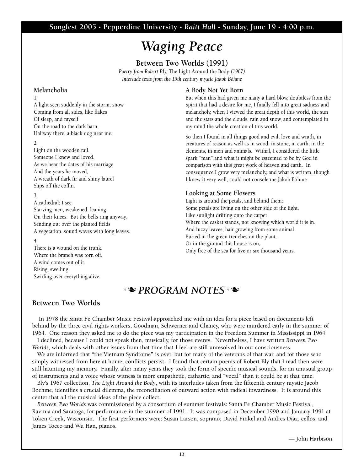# *Waging Peace*

**Between Two Worlds (1991)** *Poetry from Robert Bly,* **The Light Around the Body** *(1967) Interlude texts from the 15th century mystic Jakob Böhme*

#### **Melancholia**

**1**

**A light seen suddenly in the storm, snow Coming from all sides, like flakes Of sleep, and myself On the road to the dark barn, Halfway there, a black dog near me.**

**2**

**Light on the wooden rail. Someone I knew and loved. As we hear the dates of his marriage A wreath of dark fir and shiny laurel**

**And the years he moved, Slips off the coffin.**

**3**

**A cathedral: I see Starving men, weakened, leaning On their knees. But the bells ring anyway, Sending out over the planted fields A vegetation, sound waves with long leaves.** 

**4**

**There is a wound on the trunk, Where the branch was torn off. A wind comes out of it, Rising, swelling, Swirling over everything alive.**

#### **A Body Not Yet Born**

**But when this had given me many a hard blow, doubtless from the Spirit that had a desire for me, I finally fell into great sadness and melancholy, when I viewed the great depth of this world, the sun and the stars and the clouds, rain and snow, and contemplated in my mind the whole creation of this world.**

**So then I found in all things good and evil, love and wrath, in creatures of reason as well as in wood, in stone, in earth, in the elements, in men and animals. Withal, I considered the little spark "man" and what it might be esteemed to be by God in comparison with this great work of heaven and earth. In consequence I grow very melancholy, and what is written, though I knew it very well, could not console me.Jakob Böhme**

#### **Looking at Some Flowers**

**Light is around the petals, and behind them: Some petals are living on the other side of the light. Like sunlight drifting onto the carpet Where the casket stands, not knowing which world it is in. And fuzzy leaves, hair growing from some animal Buried in the green trenches on the plant. Or in the ground this house is on, Only free of the sea for five or six thousand years.** 

### **N** PROGRAM NOTES

#### **Between Two Worlds**

**In 1978 the Santa Fe Chamber Music Festival approached me with an idea for a piece based on documents left behind by the three civil rights workers, Goodman, Schwerner and Chaney, who were murdered early in the summer of 1964. One reason they asked me to do the piece was my participation in the Freedom Summer in Mississippi in 1964.**

**I declined, because I could not speak then, musically, for those events. Nevertheless, I have written** *Between Two Worlds***, which deals with other issues from that time that I feel are still unresolved in our consciousness.** 

**We are informed that "the Vietnam Syndrome" is over, but for many of the veterans of that war, and for those who simply witnessed from here at home, conflicts persist. I found that certain poems of Robert Bly that I read then were still haunting my memory. Finally, after many years they took the form of specific musical sounds, for an unusual group of instruments and a voice whose witness is more empathetic, cathartic, and "vocal" than it could be at that time.** 

**Bly's 1967 collection,** *The Light Around the Body***, with its interludes taken from the fifteenth century mystic Jacob Boehme, identifies a crucial dilemma, the reconciliation of outward action with radical inwardness. It is around this center that all the musical ideas of the piece collect.** 

*Between Two Worlds* **was commissioned by a consortium of summer festivals: Santa Fe Chamber Music Festival, Ravinia and Saratoga, for performance in the summer of 1991. It was composed in December 1990 and January 1991 at Token Creek, Wisconsin. The first performers were: Susan Larson, soprano; David Finkel and Andres Diaz, cellos; and James Tocco and Wu Han, pianos.**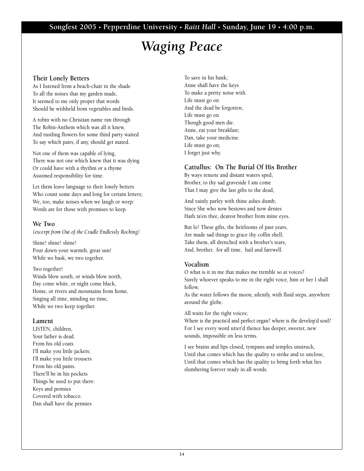#### **Songfest 2005 • Pepperdine University •** *Raitt Hall* **• Sunday, June 19 • 4:00 p.m.**

### *Waging Peace*

#### **Their Lonely Betters**

**As I listened from a beach-chair in the shade To all the noises that my garden made, It seemed to me only proper that words Should be withheld from vegetables and birds.**

**A robin with no Christian name ran through The Robin-Anthem which was all it knew, And rustling flowers for some third party waited To say which pairs, if any, should get mated.**

**Not one of them was capable of lying, There was not one which knew that it was dying Or could have with a rhythm or a rhyme Assumed responsibility for time.**

**Let them leave language to their lonely betters Who count some days and long for certain letters; We, too, make noises when we laugh or weep: Words are for those with promises to keep.**

#### **We Two**

*(excerpt from Out of the Cradle Endlessly Rocking)*

**Shine! shine! shine! Pour down your warmth, great sun! While we bask, we two together.** 

#### **Two together!**

**Winds blow south, or winds blow north, Day come white, or night come black, Home, or rivers and mountains from home, Singing all time, minding no time, While we two keep together.**

#### **Lament**

**LISTEN, children, Your father is dead. From his old coats I'll make you little jackets; I'll make you little trousers From his old pants. There'll be in his pockets Things he used to put there: Keys and pennies Covered with tobacco. Dan shall have the pennies**

**To save in his bank; Anne shall have the keys To make a pretty noise with. Life must go on And the dead be forgotten; Life must go on Though good men die. Anne, eat your breakfast; Dan, take your medicine. Life must go on; I forget just why.**

#### **Cattullus: On The Burial Of His Brother**

**By ways remote and distant waters sped, Brother, to thy sad graveside I am come That I may give the last gifts to the dead,**

**And vainly parley with thine ashes dumb; Since She who now bestows and now denies Hath ta'en thee, dearest brother from mine eyes.**

**But lo! These gifts, the heirlooms of past years, Are made sad things to grace thy coffin shell; Take them, all drenched with a brother's tears, And, brother, for all time, hail and farewell.**

#### **Vocalism**

**O what is it in me that makes me tremble so at voices? Surely whoever speaks to me in the right voice, him or her I shall follow,** 

**As the water follows the moon, silently, with fluid steps, anywhere around the globe.** 

**All waits for the right voices;** 

**Where is the practis'd and perfect organ? where is the develop'd soul? For I see every word utter'd thence has deeper, sweeter, new sounds, impossible on less terms.** 

**I see brains and lips closed, tympans and temples unstruck, Until that comes which has the quality to strike and to unclose, Until that comes which has the quality to bring forth what lies slumbering forever ready in all words.**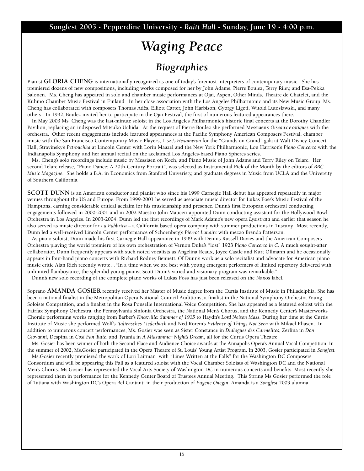# *Waging Peace Biographies*

**Pianist GLORIA CHENG is internationally recognized as one of today's foremost interpreters of contemporary music. She has premiered dozens of new compositions, including works composed for her by John Adams, Pierre Boulez, Terry Riley, and Esa-Pekka Salonen. Ms. Cheng has appeared in solo and chamber music performances at Ojai, Aspen, Other Minds, Theatre de Chatelet, and the Kuhmo Chamber Music Festival in Finland. In her close association with the Los Angeles Philharmonic and its New Music Group, Ms. Cheng has collaborated with composers Thomas Adès, Elliott Carter, John Harbison, Gyorgy Ligeti, Witold Lutoslawski, and many others. In 1992, Boulez invited her to participate in the Ojai Festival, the first of numerous featured appearances there.**

#### **In May 2003 Ms. Cheng was the last-minute soloist in the Los Angeles Philharmonic's historic final concerts at the Dorothy Chandler Pavilion, replacing an indisposed Mitsuko Uchida. At the request of Pierre Boulez she performed Messiaen's** *Oiseaux exotiques* **with the orchestra. Other recent engagements include featured appearances at the Pacific Symphony American Composers Festival, chamber music with the San Francisco Contemporary Music Players, Liszt's** *Hexameron* **for the "Grands on Grand" gala at Walt Disney Concert Hall, Stravinsky's** *Petrouchka* **at Lincoln Center with Lorin Maazel and the New York Philharmonic, Lou Harrison's** *Piano Concerto* **with the Indianapolis Symphony, and her annual recital on the acclaimed Los Angeles-based Piano Spheres series.**

**Ms. Cheng's solo recordings include music by Messiaen on Koch, and Piano Music of John Adams and Terry Riley on Telarc. Her** second Telarc release, "Piano Dance: A 20th-Century Portrait", was selected as Instrumental Pick of the Month by the editors of *BBC Music Magazine***. She holds a B.A. in Economics from Stanford Univeristy, and graduate degrees in Music from UCLA and the University of Southern California.**

**SCOTT DUNN is an American conductor and pianist who since his 1999 Carnegie Hall debut has appeared repeatedly in major venues throughout the US and Europe. From 1999-2001 he served as associate music director for Lukas Foss's Music Festival of the Hamptons, earning considerable critical acclaim for his musicianship and presence. Dunn's first European orchestral conducting engagements followed in 2000-2001 and in 2002 Maestro John Mauceri appointed Dunn conducting assistant for the Hollywood Bowl Orchestra in Los Angeles. In 2003-2004, Dunn led the first recordings of Mark Adamo's new opera** *Lysistrata* **and earlier that season he also served as music director for** *La Fabbrica* **– a California based opera company with summer productions in Tuscany. Most recently, Dunn led a well-received Lincoln Center performance of Schoenberg's** *Pierrot Lunaire* **with mezzo Brenda Patterson.** 

**As piano soloist, Dunn made his first Carnegie Hall appearance in 1999 with Dennis Russell Davies and the American Composers Orchestra playing the world premiere of his own orchestration of Vernon Duke's "lost" 1923** *Piano Concerto in C***. A much sought-after collaborator, Dunn frequently appears with such noted vocalists as Angelina Reaux, Joyce Castle and Kurt Ollmann and he occasionally appears in four-hand piano concerts with Richard Rodney Bennett. Of Dunn's work as a solo recitalist and advocate for American piano music critic Alan Rich recently wrote…"In a time when we are best with young emergent performers of limited repertory delivered with unlimited flamboyance, the splendid young pianist Scott Dunn's varied and visionary program was remarkable."**

**Dunn's new solo recording of the complete piano works of Lukas Foss has just been released on the Naxos label.** 

**Soprano AMANDA GOSIER recently received her Master of Music degree from the Curtis Institute of Music in Philadelphia. She has been a national finalist in the Metropolitan Opera National Council Auditions, a finalist in the National Symphony Orchestra Young Soloists Competition, and a finalist in the Rosa Ponselle International Voice Competition. She has appeared as a featured soloist with the Fairfax Symphony Orchestra, the Pennsylvania Sinfonia Orchestra, the National Men's Chorus, and the Kennedy Center's Masterworks Chorale performing works ranging from Barber's** *Knoxville: Summer of 1915* **to Haydn's** *Lord Nelson Mass***. During her time at the Curtis Institute of Music she performed Wolf's** *Italiensches Liederbuch* **and Ned Rorem's** *Evidence of Things Not Seen* **with Mikael Eliasen. In addition to numerous concert performances, Ms. Gosier was seen as Sister Constance in** *Dialogues des Carmelites***, Zerlina in** *Don Giovanni***, Despina in** *Cosi Fan Tutte***, and Tytania in** *A Midsummer Night's Dream***, all for the Curtis Opera Theatre.** 

**Ms. Gosier has been winner of both the Second Place and Audience Choice awards at the Annapolis Opera's Annual Vocal Competition. In the summer of 2002, Ms.Gosier participated in the Opera Theatre of St. Louis' Young Artist Program. In 2003, Gosier participated in** *Songfest.*

**Ms.Gosier recently premiered the work of Lori Laitman with "Lines Written at the Falls" for the Washington DC Composers Consortium and will be appearing this Fall as a featured soloist with the Vocal Chamber Soloists of Washington DC and the National Men's Chorus. Ms.Gosier has represented the Vocal Arts Society of Washington DC in numerous concerts and benefits. Most recently she represented them in performance for the Kennedy Center Board of Trustees Annual Meeting. This Spring Ms Gosier performed the role of Tatiana with Washington DC's Opera Bel Cantanti in their production of** *Eugene Onegin***. Amanda is a** *Songfest* **2003 alumna.**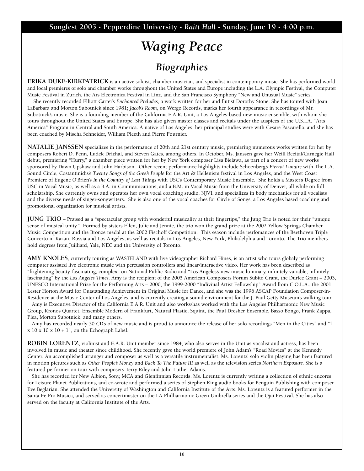# *Waging Peace Biographies*

**ERIKA DUKE-KIRKPATRICK is an active soloist, chamber musician, and specialist in contemporary music. She has performed world and local premieres of solo and chamber works throughout the United States and Europe including the L.A. Olympic Festival, the Computer Music Festival in Zurich, the Ars Electronica Festival in Linz, and the San Francisco Symphony "New and Unusual Music" series.**

**She recently recorded Elliott Carter's** *Enchanted Preludes***, a work written for her and flutist Dorothy Stone. She has toured with Joan LaBarbara and Morton Subotnick since 1981;** *Jacob's Room***, on Wergo Records, marks her fourth appearance in recordings of Mr. Subotnick's music. She is a founding member of the California E.A.R. Unit, a Los Angeles-based new music ensemble, with whom she tours throughout the United States and Europe. She has also given master classes and recitals under the auspices of the U.S.I.A. "Arts America" Program in Central and South America. A native of Los Angeles, her principal studies were with Cesare Pascarella, and she has been coached by Mischa Schneider, William Pleeth and Pierre Fournier.**

**NATALIE JANSSEN specializes in the performance of 20th and 21st century music, premiering numerous works written for her by composers Robert D. Penn, Ludek Drizhal, and Steven Gates, among others. In October, Ms. Janssen gave her Weill Recital/Carnegie Hall debut, premiering "Hurry," a chamber piece written for her by New York composer Lisa Bielawa, as part of a concert of new works sponsored by Dawn Upshaw and John Harbison. Other recent performance highlights include Schoenberg's** *Pierrot Lunaire* **with The L.A. Sound Circle, Costantinidis's** *Twenty Songs of the Greek People* **for the Art & Hellenism festival in Los Angeles, and the West Coast Premiere of Eugene O'Brien's** *In the Country of Last Things* **with USC's Contemporary Music Ensemble. She holds a Master's Degree from USC in Vocal Music, as well as a B.A. in Communications, and a B.M. in Vocal Music from the University of Denver, all while on full scholarship. She currently owns and operates her own vocal coaching studio, NJVI, and specializes in body mechanics for all vocalists and the diverse needs of singer-songwriters. She is also one of the vocal coaches for Circle of Songs, a Los Angeles based coaching and promotional organization for musical artists.** 

**JUNG TRIO – Praised as a "spectacular group with wonderful musicality at their fingertips," the Jung Trio is noted for their "unique sense of musical unity." Formed by sisters Ellen, Julie and Jennie, the trio won the grand prize at the 2002 Yellow Springs Chamber Music Competition and the Bronze medal at the 2002 Fischoff Competition. This season include perfomances of the Beethoven Triple Concerto in Kazan, Russia and Los Angeles, as well as recitals in Los Angeles, New York, Philadelphia and Toronto. The Trio members hold degrees from Juilliard, Yale, NEC and the University of Toronto.**

**AMY KNOLES, currently touring as WASTELAND with live videographer Richard Hines, is an artist who tours globaly performing computer assisted live electronic music with percussion controllers and linear/interactive video. Her work has been described as "frightening beauty, fascinating, complex" on National Public Radio and "Los Angeles's new music luminary, infinitely variable, infinitely fascinating" by the** *Los Angeles Times***. Amy is the recipient of the 2005 American Composers Forum Subito Grant, the Durfee Grant – 2003, UNESCO International Prize for the Performing Arts – 2000, the 1999-2000 "Indiviual Artist Fellowship" Award from C.O.L.A., the 2001 Lester Horton Award for Outstanding Achievement in Original Music for Dance, and she was the 1996 ASCAP Foundation Composer-in-Residence at the Music Center of Los Angeles, and is currently creating a sound environment for the J. Paul Getty Museum's walking tour.**

**Amy is Executive Director of the California E.A.R. Unit and also works/has worked with the Los Angeles Philharmonic New Music Group, Kronos Quartet, Ensemble Modern of Frankfurt, Natural Plastic, Squint, the Paul Dresher Ensemble, Basso Bongo, Frank Zappa, Flea, Morton Subotnick, and many others.**

**Amy has recorded nearly 30 CD's of new music and is proud to announce the release of her solo recordings "Men in the Cities" and "2 x 10 x 10 x 10 + 1", on the Echograph Label.**

**ROBIN LORENTZ, violinist and E.A.R. Unit member since 1984, who also serves in the Unit as vocalist and actress, has been involved in music and theater since childhood. She recently gave the world premiere of John Adam's "Road Movies" at the Kennedy Center. An accomplished arranger and composer as well as a versatile instrumentalist, Ms. Lorentz' solo violin playing has been featured in motion pictures such as** *Other People's Money* **and** *Back To The Future III* **as well as the television series** *Northern Exposure.* **She is a featured performer on tour with composers Terry Riley and John Luther Adams.** 

**She has recorded for New Albion, Sony, MCA and Glenfinnian Records. Ms. Lorentz is currently writing a collection of ethnic encores for Leisure Planet Publications, and co-wrote and performed a series of Stephen King audio books for Penguin Publishing with composer Eve Beglarian. She attended the University of Washington and California Institute of the Arts. Ms. Lorentz is a featured performer in the Santa Fe Pro Musica, and served as concertmaster on the LA Philharmonic Green Umbrella series and the Ojai Festival. She has also served on the faculty at California Institute of the Arts.**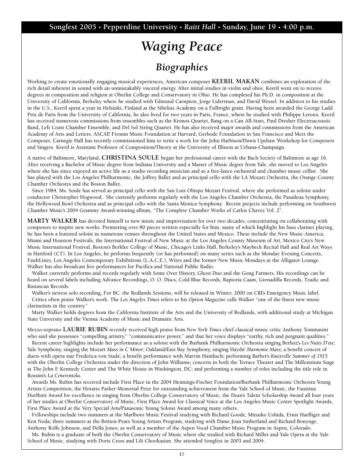# *Waging Peace Biographies*

**Working to create emotionally engaging musical experiences, American composer KEERIL MAKAN combines an exploration of the rich detail inherent in sound with an unmistakably visceral energy. After initial studies in violin and oboe, Keeril went on to receive degrees in composition and religion at Oberlin College and Conservatory in Ohio. He has completed his Ph.D. in composition at the University of California, Berkeley where he studied with Edmund Carnpion, Jorge Liderrnan, and David Wessel. In addition to his studies in the U.S., Keeril spent a year in Helsinki, Finland at the Sibelius Academy on a Fulbright grant. Having been awarded the George Ladd Prix de Paris from the University of California, he also lived for two years in Paris, France, where he studied with Philippe Leroux. Keeril has received numerous commissions from ensembles such as the Kronos Quartet, Bang on a Can All-Stars, Paul Dresher Electroacoustic Band, Left Coast Chamber Ensemble, and Del Sol String Quartet. He has also received major awards and commissions from the American Academy of Arts and Letters, ASCAP, Fromm Music Foundation at Harvard, Gerbode Foundation in San Francisco and Meet the Composer, Carnegie Hall has recently commissioned him to write a work for the John Harbison/Dawn Upshaw Workshop for Composers and Singers. Keeril is Assistant Professor of Composition/Theory at the University of Illinois at Urbana-Champaign.**

**A native of Baltimore, Maryland, CHRISTINA SOULE began her professional career with the Bach Society of Baltimore at age 16. After receiving a Bachelor of Music degree from Indiana University and a Master of Music degree from Yale, she moved to Los Angeles where she has since enjoyed an active life as a studio recording musician and as a free-lance orchestral and chamber music cellist. She has played with the Los Angeles Philharmonic, the Joffrey Ballet and as principal cello with the LA Mozart Orchestra, the Orange County Chamber Orchestra and the Boston Ballet.** 

**Since 1984, Ms. Soule has served as principal cello with the San Luis Obispo Mozart Festival, where she performed as soloist under conductor Christopher Hogwood. She currently performs regularly with the Los Angeles Chamber Orchestra, the Pasadena Symphony, the Hollywood Bowl Orchestra and as principal cello with the Santa Monica Symphony. Recent projects include performing on Southwest Chamber Music's 2004 Grammy Award-winning album, "The Complete Chamber Works of Carlos Chavez Vol. 2".** 

**MARTY WALKER has devoted himself to new music and improvisation for over two decades, concentrating on collaborating with composers to inspire new works. Premiering over 80 pieces written especially for him, many of which highlight his bass clarinet playing, he has been a featured soloist in numerous venues throughout the United States and Mexico. These include the New Music America, Miami and Houston Festivals, the International Festival of New Music at the Los Angeles County Museum of Art, Mexico City's New Music International Festival, Boston's Berklee College of Music, Chicago's Links Hall, Berkeley's Maybeck Recital Hall and Real Art Ways in Hartford (CT). In Los Angeles, he performs frequently (or has performed) on many series such as the Monday Evening Concerts, FaultLines, Los Angeles Contemporary Exhibitions (L.A.C.E.), Wires and the former New Music Mondays at the Alligator Lounge. Walker has also broadcast live performances for Pacifica and National Public Radio.** 

**Walker currently performs and records regularly with Some Over History, Ghost Duo and the Gong Farmers. His recordings can be heard on several labels including Advance Recordings, O. O. Discs, Cold Blue Records, Raptoria Caam, Grenadilla Records, Tzadic and Rastascan Records.**

**Walker's newest solo recording, For BC: the Redlands Sessions, will be released in Winter, 2000 on CRI's Emergency Music label. Critics often praise Walker's work. The** *Los Angeles Times* **refers to his** *Option Magazine* **calls Walker "one of the finest new music clarinetists in the country."** 

**Marty Walker holds degrees from the California Institute of the Arts and the University of Redlands, with additional study at Michigan State University and the Vienna Academy of Music and Dramatic Arts.**

**Mezzo-soprano LAURIE RUBIN recently received high praise from** *New York Times* **chief classical music critic Anthony Tommasini who said she possesses "compelling artistry," "communicative power," and that her voice displays "earthy, rich and poignant qualities."**

**Recent career highlights include her performance as a soloist with the Burbank Philharmonic Orchestra singing Berlioz's** *Les Nuits D'ete;* **Yale Symphony, singing the Mozart** *Mass in C Minor***; Oakland/East Bay Symphony, singing Haydn'** *Harmonie Mass***; a benefit concert of duets with opera star Frederica von Stade; a benefit performance with Marvin Hamlisch; performing Barber's** *Knoxville Summer of 1915* **with the Oberlin College Orchestra under the direction of John Williams; concerts in both the Terrace Theater and The Millennium Stage at The John F. Kennedy Center and The White House in Washington, DC; and performing a number of roles including the title role in Rossini's** *La Cenerentola***.**

**Awards Ms. Rubin has received include First Place in the 2004 Hennings-Fischer Foundation/Burbank Philharmonic Orchestra Young Artists Competition, the Horatio Parker Memorial Prize for outstanding achievement from the Yale School of Music, the Faustina Hurlbutt Award for excellence in singing from Oberlin College Conservatory of Music, the Dean's Talent Scholarship Award all four years of her studies at Oberlin Conservatory of Music, First Place Award for Classical Voice at the Los Angeles Music Center Spotlight Awards, First Place Award at the Very Special Arts/Panasonic Young Soloist Award among many others.**

**Fellowships include two summers at the Marlboro Music Festival studying with Richard Goode, Mitsuko Ushida, Ernst Haefliger and Ken Noda; three summers at the Britten-Pears Young Artists Program, studying with Dame Joan Sutherland and Richard Bonynge, Anthony Rolfe Johnson, and Della Jones; as well as a member of the Aspen Vocal Chamber Music Program in Aspen, Colorado.**

**Ms. Rubin is a graduate of both the Oberlin Conservatory of Music where she studied with Richard Miller and Yale Opera at the Yale School of Music, studying with Doris Cross and Lili Chookasian. She attended Songfest in 2003 and 2004.**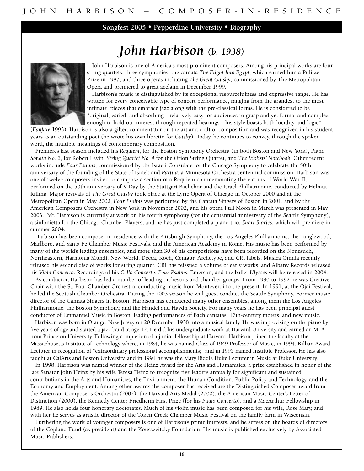**Songfest 2005 • Pepperdine University • Biography**

### *John Harbison (b. 1938)*



**John Harbison is one of America's most prominent composers. Among his principal works are four string quartets, three symphonies, the cantata** *The Flight Into Egypt***, which earned him a Pulitzer Prize in 1987, and three operas including** *The Great Gatsby***, commissioned by The Metropolitan Opera and premiered to great acclaim in December 1999.** 

**Harbison's music is distinguished by its exceptional resourcefulness and expressive range. He has written for every conceivable type of concert performance, ranging from the grandest to the most intimate, pieces that embrace jazz along with the pre-classical forms. He is considered to be "original, varied, and absorbing—relatively easy for audiences to grasp and yet formal and complex enough to hold our interest through repeated hearings—his style boasts both lucidity and logic"**

**(***Fanfare* **1993). Harbison is also a gifted commentator on the art and craft of composition and was recognized in his student years as an outstanding poet (he wrote his own libretto for** *Gatsby***). Today, he continues to convey, through the spoken word, the multiple meanings of contemporary composition.** 

**Premieres last season included his** *Requiem***, for the Boston Symphony Orchestra (in both Boston and New York), Piano** *Sonata No. 2***, for Robert Levin,** *String Quartet No. 4* **for the Orion String Quartet, and** *The Violists' Notebook***. Other recent works include** *Four Psalms***, commissioned by the Israeli Consulate for the Chicago Symphony to celebrate the 50th anniversary of the founding of the State of Israel; and** *Partita***, a Minnesota Orchestra centennial commission. Harbison was one of twelve composers invited to compose a section of a Requiem commemorating the victims of World War II, performed on the 50th anniversary of V Day by the Stuttgart Bachchor and the Israel Philharmonic, conducted by Helmut Rilling. Major revivals of** *The Great Gatsby* **took place at the Lyric Opera of Chicago in October 2000 and at the Metropolitan Opera in May 2002,** *Four Psalms* **was performed by the Cantata Singers of Boston in 2001, and by the American Composers Orchestra in New York in November 2002, and his opera Full Moon in March was presented in May 2003. Mr. Harbison is currently at work on his fourth symphony (for the centennial anniversary of the Seattle Symphony), a sinfonietta for the Chicago Chamber Players, and he has just completed a piano trio,** *Short Stories***, which will premiere in summer 2004.** 

**Harbison has been composer-in-residence with the Pittsburgh Symphony, the Los Angeles Philharmonic, the Tanglewood, Marlboro, and Santa Fe Chamber Music Festivals, and the American Academy in Rome. His music has been performed by many of the world's leading ensembles, and more than 30 of his compositions have been recorded on the Nonesuch, Northeastern, Harmonia Mundi, New World, Decca, Koch, Centaur, Archetype, and CRI labels. Musica Omnia recently released his second disc of works for string quartet, CRI has reissued a volume of early works, and Albany Records released his** *Viola Concerto***. Recordings of his** *Cello Concerto***,** *Four Psalms***, Emerson, and the ballet** *Ulysses* **will be released in 2004.** 

**As conductor, Harbison has led a number of leading orchestras and chamber groups. From 1990 to 1992 he was Creative Chair with the St. Paul Chamber Orchestra, conducting music from Monteverdi to the present. In 1991, at the Ojai Festival, he led the Scottish Chamber Orchestra. During the 2003 season he will guest conduct the Seattle Symphony. Former music director of the Cantata Singers in Boston, Harbison has conducted many other ensembles, among them the Los Angeles Philharmonic, the Boston Symphony, and the Handel and Haydn Society. For many years he has been principal guest conductor of Emmanuel Music in Boston, leading performances of Bach cantatas, 17th-century motets, and new music.** 

**Harbison was born in Orange, New Jersey on 20 December 1938 into a musical family. He was improvising on the piano by five years of age and started a jazz band at age 12. He did his undergraduate work at Harvard University and earned an MFA from Princeton University. Following completion of a junior fellowship at Harvard, Harbison joined the faculty at the Massachusetts Institute of Technology where, in 1984, he was named Class of 1949 Professor of Music, in 1994, Killian Award Lecturer in recognition of "extraordinary professional accomplishments;" and in 1995 named Institute Professor. He has also taught at CalArts and Boston University, and in 1991 he was the Mary Biddle Duke Lecturer in Music at Duke University.** 

**In 1998, Harbison was named winner of the Heinz Award for the Arts and Humanities, a prize established in honor of the late Senator John Heinz by his wife Teresa Heinz to recognize five leaders annually for significant and sustained contributions in the Arts and Humanities, the Environment, the Human Condition, Public Policy and Technology, and the Economy and Employment. Among other awards the composer has received are the Distinguished Composer award from the American Composer's Orchestra (2002), the Harvard Arts Medal (2000), the American Music Center's Letter of Distinction (2000), the Kennedy Center Friedheim First Prize (for his** *Piano Concerto***), and a MacArthur Fellowship in 1989. He also holds four honorary doctorates. Much of his violin music has been composed for his wife, Rose Mary, and with her he serves as artistic director of the Token Creek Chamber Music Festival on the family farm in Wisconsin.** 

**Furthering the work of younger composers is one of Harbison's prime interests, and he serves on the boards of directors of the Copland Fund (as president) and the Koussevitzky Foundation. His music is published exclusively by Associated Music Publishers.**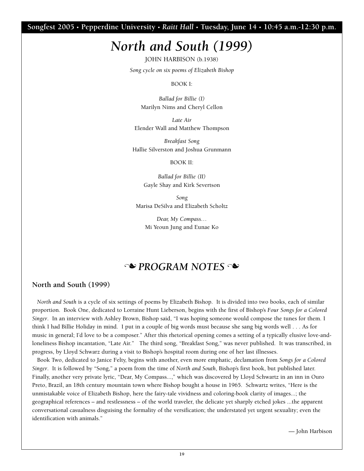**Songfest 2005 • Pepperdine University •** *Raitt Hall* **• Tuesday, June 14 • 10:45 a.m.-12:30 p.m.**

### *North and South (1999)*

**JOHN HARBISON (b.1938)**

*Song cycle on six poems of Elizabeth Bishop*

**BOOK I:**

*Ballad for Billie (I)* **Marilyn Nims and Cheryl Cellon**

*Late Air* **Elender Wall and Matthew Thompson** 

*Breakfast Song* **Hallie Silverston and Joshua Grunmann**

**BOOK II:**

*Ballad for Billie (II)* **Gayle Shay and Kirk Severtson**

*Song* **Marisa DeSilva and Elizabeth Scholtz**

> *Dear, My Compass…* **Mi Yeoun Jung and Eunae Ko**

### **N** PROGRAM NOTES

#### **North and South (1999)**

*North and South* **is a cycle of six settings of poems by Elizabeth Bishop. It is divided into two books, each of similar proportion. Book One, dedicated to Lorraine Hunt Lieberson, begins with the first of Bishop's** *Four Songs for a Colored Singer***. In an interview with Ashley Brown, Bishop said, "I was hoping someone would compose the tunes for them. I think I had Billie Holiday in mind. I put in a couple of big words must because she sang big words well . . . As for music in general; I'd love to be a composer." After this rhetorical opening comes a setting of a typically elusive love-andloneliness Bishop incantation, "Late Air." The third song, "Breakfast Song," was never published. It was transcribed, in progress, by Lloyd Schwarz during a visit to Bishop's hospital room during one of her last illnesses.** 

**Book Two, dedicated to Janice Felty, begins with another, even more emphatic, declamation from** *Songs for a Colored Singer***. It is followed by "Song," a poem from the time of** *North and South***, Bishop's first book, but published later. Finally, another very private lyric, "Dear, My Compass...," which was discovered by Lloyd Schwartz in an inn in Ouro Preto, Brazil, an 18th century mountain town where Bishop bought a house in 1965. Schwartz writes, "Here is the unmistakable voice of Elizabeth Bishop, here the fairy-tale vividness and coloring-book clarity of images...; the geographical references – and restlessness – of the world traveler, the delicate yet sharply etched jokes ...the apparent conversational casualness disguising the formality of the versification; the understated yet urgent sexuality; even the identification with animals."**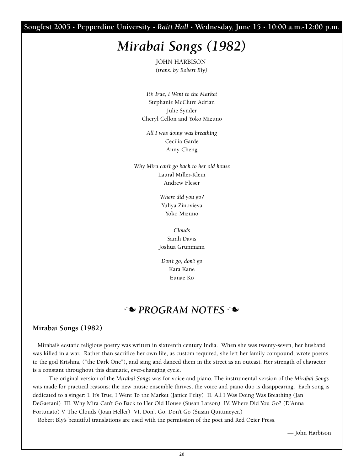**Songfest 2005 • Pepperdine University •** *Raitt Hall* **• Wednesday, June 15 • 10:00 a.m.-12:00 p.m.**

### *Mirabai Songs (1982)*

**JOHN HARBISON** *(trans. by Robert Bly)*

*It's True, I Went to the Market* **Stephanie McClure Adrian Julie Synder Cheryl Cellon and Yoko Mizuno**

*All I was doing was breathing* **Cecilia Gärde Anny Cheng**

*Why Mira can't go back to her old house* **Laural Miller-Klein Andrew Fleser** 

> *Where did you go?* **Yuliya Zinovieva Yoko Mizuno**

*Clouds* **Sarah Davis Joshua Grunmann**

*Don't go, don't go* **Kara Kane Eunae Ko** 

### **N** PROGRAM NOTES

#### **Mirabai Songs (1982)**

**Mirabai's ecstatic religious poetry was written in sixteenth century India. When she was twenty-seven, her husband was killed in a war. Rather than sacrifice her own life, as custom required, she left her family compound, wrote poems to the god Krishna, ("the Dark One"), and sang and danced them in the street as an outcast. Her strength of character is a constant throughout this dramatic, ever-changing cycle.** 

**The original version of the** *Mirabai Songs* **was for voice and piano. The instrumental version of the** *Mirabai Songs* **was made for practical reasons: the new music ensemble thrives, the voice and piano duo is disappearing. Each song is dedicated to a singer: I. It's True, I Went To the Market (Janice Felty) II. All I Was Doing Was Breathing (Jan DeGaetani) III. Why Mira Can't Go Back to Her Old House (Susan Larson) IV. Where Did You Go? (D'Anna Fortunato) V. The Clouds (Joan Heller) VI. Don't Go, Don't Go (Susan Quittmeyer.)** 

**Robert Bly's beautiful translations are used with the permission of the poet and Red Ozier Press.**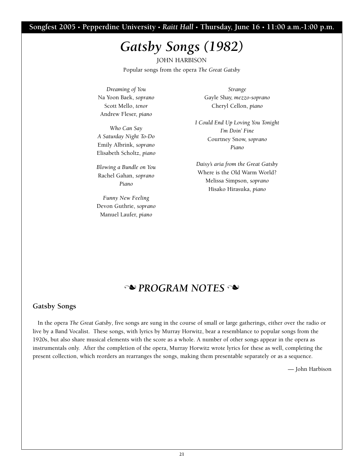#### **Songfest 2005 • Pepperdine University •** *Raitt Hall* **• Thursday, June 16 • 11:00 a.m.-1:00 p.m.**

## *Gatsby Songs (1982)*

**JOHN HARBISON Popular songs from the opera** *The Great Gatsby*

*Dreaming of You*  **Na Yoon Baek,** *soprano* **Scott Mello,** *tenor* **Andrew Fleser,** *piano*

*Who Can Say A Saturday Night To-Do* **Emily Albrink,** *soprano* **Elisabeth Scholtz,** *piano*

*Blowing a Bundle on You* **Rachel Gahan,** *soprano Piano*

*Funny New Feeling* **Devon Guthrie,** *soprano* **Manuel Laufer,** *piano*

*Strange* **Gayle Shay,** *mezzo-soprano* **Cheryl Cellon,** *piano*

*I Could End Up Loving You Tonight I'm Doin' Fine* **Courtney Snow,** *soprano Piano*

*Daisy's aria from the Great Gatsby* **Where is the Old Warm World? Melissa Simpson,** *soprano* **Hisako Hirasuka,** *piano*

### **N** PROGRAM NOTES

#### **Gatsby Songs**

**In the opera** *The Great Gatsby***, five songs are sung in the course of small or large gatherings, either over the radio or live by a Band Vocalist. These songs, with lyrics by Murray Horwitz, bear a resemblance to popular songs from the 1920s, but also share musical elements with the score as a whole. A number of other songs appear in the opera as instrumentals only. After the completion of the opera, Murray Horwitz wrote lyrics for these as well, completing the present collection, which reorders an rearranges the songs, making them presentable separately or as a sequence.**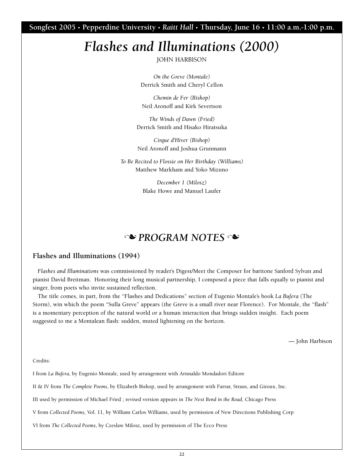**Songfest 2005 • Pepperdine University •** *Raitt Hall* **• Thursday, June 16 • 11:00 a.m.-1:00 p.m.**

# *Flashes and Illuminations (2000)*

**JOHN HARBISON**

*On the Greve (Montale)* **Derrick Smith and Cheryl Cellon**

*Chemin de Fer (Bishop)* **Neil Aronoff and Kirk Severtson**

*The Winds of Dawn (Fried)* **Derrick Smith and Hisako Hiratsuka**

*Cirque d'Hiver (Bishop)* **Neil Aronoff and Joshua Grunmann**

*To Be Recited to Flossie on Her Birthday (Williams)* **Matthew Markham and Yoko Mizuno**

> *December 1 (Milosz)* **Blake Howe and Manuel Laufer**

### **No PROGRAM NOTES**

#### **Flashes and Illuminations (1994)**

*Flashes and Illuminations* **was commissioned by reader's Digest/Meet the Composer for baritone Sanford Sylvan and pianist David Breitman. Honoring their long musical partnership, I composed a piece that falls equally to pianist and singer, from poets who invite sustained reflection.** 

**The title comes, in part, from the "Flashes and Dedications" section of Eugenio Montale's book** *La Bufera* **(The Storm), win which the poem "Sulla Greve" appears (the Greve is a small river near Florence). For Montale, the "flash" is a momentary perception of the natural world or a human interaction that brings sudden insight. Each poem suggested to me a Montalean flash: sudden, muted lightening on the horizon.** 

**— John Harbison** 

**Credits:** 

**I from** *La Bufera***, by Eugenio Montale, used by arrangement with Arnnaldo Mondadori Editore**

**II & IV from** *The Complete Poems***, by Elizabeth Bishop, used by arrangement with Farrar, Straus, and Giroux, Inc.** 

**III used by permission of Michael Fried ; revised version appears in** *The Next Bend in the Road***, Chicago Press**

**V from** *Collected Poems,* **Vol. 11, by William Carlos Williams, used by permission of New Directions Publishing Corp**

**VI from** *The Collected Poems***, by Czeslaw Milosz, used by permission of The Ecco Press**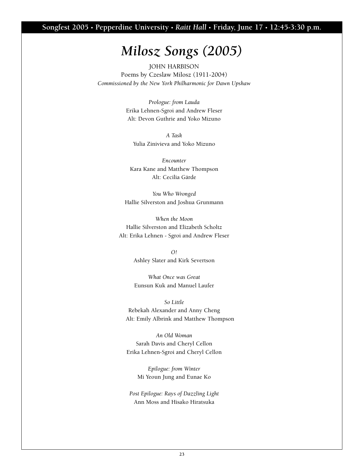**Songfest 2005 • Pepperdine University •** *Raitt Hall* **• Friday, June 17 • 12:45-3:30 p.m.**

### *Milosz Songs (2005)*

**JOHN HARBISON Poems by Czeslaw Milosz (1911-2004)** *Commissioned by the New York Philharmonic for Dawn Upshaw*

> *Prologue: from Lauda* **Erika Lehnen-Sgroi and Andrew Fleser Alt: Devon Guthrie and Yoko Mizuno**

*A Task*  **Yulia Zinivieva and Yoko Mizuno**

*Encounter* **Kara Kane and Matthew Thompson Alt: Cecilia Gärde** 

*You Who Wronged* **Hallie Silverston and Joshua Grunmann**

*When the Moon* **Hallie Silverston and Elizabeth Scholtz Alt: Erika Lehnen - Sgroi and Andrew Fleser**

> *O!* **Ashley Slater and Kirk Severtson**

> *What Once was Great* **Eunsun Kuk and Manuel Laufer**

*So Little* **Rebekah Alexander and Anny Cheng Alt: Emily Albrink and Matthew Thompson**

*An Old Woman* **Sarah Davis and Cheryl Cellon Erika Lehnen-Sgroi and Cheryl Cellon**

> *Epilogue: from Winter* **Mi Yeoun Jung and Eunae Ko**

*Post Epilogue: Rays of Dazzling Light* **Ann Moss and Hisako Hiratsuka**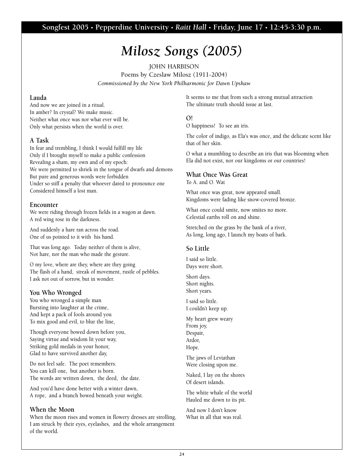**Songfest 2005 • Pepperdine University •** *Raitt Hall* **• Friday, June 17 • 12:45-3:30 p.m.**

# *Milosz Songs (2005)*

**JOHN HARBISON Poems by Czeslaw Milosz (1911-2004)** *Commissioned by the New York Philharmonic for Dawn Upshaw*

#### **Lauda**

**And now we are joined in a ritual. In amber? In crystal? We make music. Neither what once was nor what ever will be. Only what persists when the world is over.** 

#### **A Task**

**In fear and trembling, I think I would fulfill my life Only if I brought myself to make a public confession Revealing a sham, my own and of my epoch: We were permitted to shriek in the tongue of dwarfs and demons But pure and generous words were forbidden Under so stiff a penalty that whoever dared to pronounce one Considered himself a lost man.** 

#### **Encounter**

**We were riding through frozen fields in a wagon at dawn. A red wing rose in the darkness.**

**And suddenly a hare ran across the road. One of us pointed to it with his hand.**

**That was long ago. Today neither of them is alive, Not hare, nor the man who made the gesture.**

**O my love, where are they, where are they going The flash of a hand, streak of movement, rustle of pebbles. I ask not out of sorrow, but in wonder.**

#### **You Who Wronged**

**You who wronged a simple man Bursting into laughter at the crime, And kept a pack of fools around you To mix good and evil, to blur the line,**

**Though everyone bowed down before you, Saying virtue and wisdom lit your way, Striking gold medals in your honor, Glad to have survived another day,**

**Do not feel safe. The poet remembers. You can kill one, but another is born. The words are written down, the deed, the date.**

**And you'd have done better with a winter dawn, A rope, and a branch bowed beneath your weight.**

#### **When the Moon**

**When the moon rises and women in flowery dresses are strolling, I am struck by their eyes, eyelashes, and the whole arrangement of the world.**

**It seems to me that from such a strong mutual attraction The ultimate truth should issue at last.**

#### **O!**

**O happiness! To see an iris.**

**The color of indigo, as Ela's was once, and the delicate scent like that of her skin.**

**O what a mumbling to describe an iris that was blooming when Ela did not exist, nor our kingdoms or our countries!**

#### **What Once Was Great**

**To A. and O. Wat**

**What once was great, now appeared small. Kingdoms were fading like snow-covered bronze.**

**What once could smite, now smites no more. Celestial earths roll on and shine.**

**Stretched on the grass by the bank of a river, As long, long ago, I launch my boats of bark.**

#### **So Little**

**I said so little. Days were short.**

**Short days. Short nights. Short years.**

**I said so little. I couldn't keep up.**

**My heart grew weary From joy, Despair, Ardor, Hope.**

**The jaws of Leviathan Were closing upon me.**

**Naked, I lay on the shores Of desert islands.**

**The white whale of the world Hauled me down to its pit.**

**And now I don't know What in all that was real.**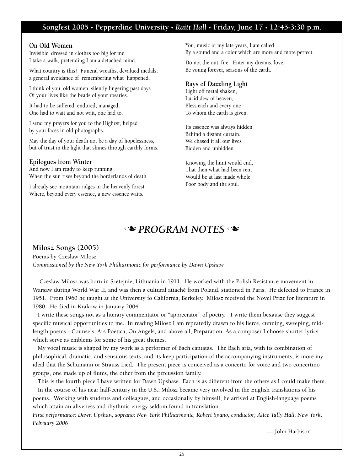#### **Songfest 2005 • Pepperdine University •** *Raitt Hall* **• Friday, June 17 • 12:45-3:30 p.m.**

#### **On Old Women**

**Invisible, dressed in clothes too big for me, I take a walk, pretending I am a detached mind.**

**What country is this? Funeral wreaths, devalued medals, a general avoidance of remembering what happened.**

**I think of you, old women, silently fingering past days Of your lives like the beads of your rosaries.**

**It had to be suffered, endured, managed, One had to wait and not wait, one had to.**

**I send my prayers for you to the Highest, helped by your faces in old photographs.**

**May the day of your death not be a day of hopelessness, but of trust in the light that shines through earthly forms.**

#### **Epilogues from Winter**

**And now I am ready to keep running When the sun rises beyond the borderlands of death.**

**I already see mountain ridges in the heavenly forest Where, beyond every essence, a new essence waits.**

**You, music of my late years, I am called By a sound and a color which are more and more perfect.**

**Do not die out, fire. Enter my dreams, love. Be young forever, seasons of the earth.**

#### **Rays of Dazzling Light**

**Light off metal shaken, Lucid dew of heaven, Bless each and every one To whom the earth is given.** 

**Its essence was always hidden Behind a distant curtain. We chased it all our lives Bidden and unbidden.** 

**Knowing the hunt would end, That then what had been rent Would be at last made whole: Poor body and the soul.** 

### **N** PROGRAM NOTES

#### **Milosz Songs (2005)**

**Poems by Czeslaw Milosz**  *Commissioned by the New York Philharmonic for performance by Dawn Upshaw* 

**Czeslaw Milosz was born in Szetejnie, Lithuania in 1911. He worked with the Polish Resistance movement in Warsaw during World War II, and was then a cultural attaché from Poland, stationed in Paris. He defected to France in 1951. From 1960 he taught at the University fo California, Berkeley. Milosz received the Novel Prize for literature in 1980. He died in Krakow in January 2004.** 

**I write these songs not as a literary commentator or "appreciator" of poetry. I write them bexause they suggest specific musical opportunities to me. In reading Milosz I am repeatedly drawn to his fierce, cunning, sweeping, midlength poems - Counsels, Ars Poetica, On Angels, and above all, Preparation. As a composer I choose shorter lyrics which serve as emblems for some of his great themes.** 

**My vocal music is shaped by my work as a performer of Bach cantatas. The Bach aria, with its combination of philosophical, dramatic, and sensuous texts, and its keep participation of the accompanying instruments, is more my ideal that the Schumann or Strauss Lied. The present piece is conceived as a concerto for voice and two concertino groups, one made up of flutes, the other from the percussion family.** 

**This is the fourth piece I have written for Dawn Upshaw. Each is as different from the others as I could make them. In the course of his near half-century in the U.S., Milosz became very involved in the English translations of his poems. Working with students and colleagues, and occasionally by himself, he arrived at English-language poems which attain an aliveness and rhythmic energy seldom found in translation.** 

*First performance: Dawn Upshaw, soprano; New York Philharmonic, Robert Spano, conductor; Alice Tully Hall, New York, February 2006*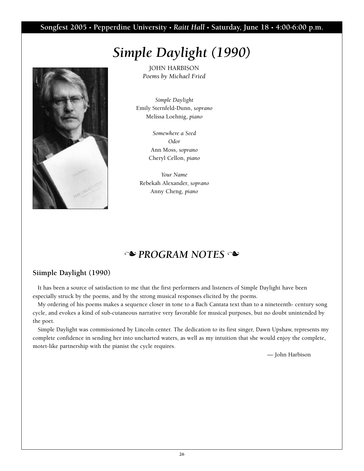#### **Songfest 2005 • Pepperdine University •** *Raitt Hall* **• Saturday, June 18 • 4:00-6:00 p.m.**

## *Simple Daylight (1990)*



**JOHN HARBISON** *Poems by Michael Fried*

*Simple Daylight* **Emily Sternfeld-Dunn,** *soprano* **Melissa Loehnig,** *piano*

> *Somewhere a Seed Odor* **Ann Moss,** *soprano* **Cheryl Cellon,** *piano*

*Your Name* **Rebekah Alexander,** *soprano* **Anny Cheng,** *piano*

### **N** PROGRAM NOTES

#### **Siimple Daylight (1990)**

**It has been a source of satisfaction to me that the first performers and listeners of Simple Daylight have been especially struck by the poems, and by the strong musical responses elicited by the poems.**

**My ordering of his poems makes a sequence closer in tone to a Bach Cantata text than to a nineteenth- century song cycle, and evokes a kind of sub-cutaneous narrative very favorable for musical purposes, but no doubt unintended by the poet.**

**Simple Daylight was commissioned by Lincoln center. The dedication to its first singer, Dawn Upshaw, represents my complete confidence in sending her into uncharted waters, as well as my intuition that she would enjoy the complete, motet-like partnership with the pianist the cycle requires.**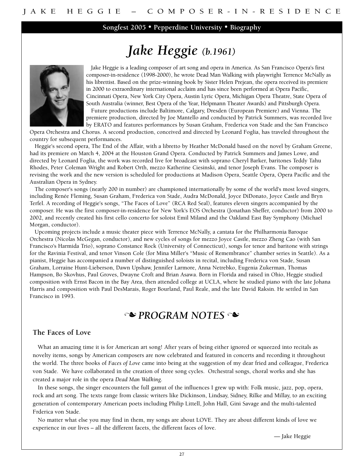**Songfest 2005 • Pepperdine University • Biography**

# *Jake Heggie (b.1961)*



**Jake Heggie is a leading composer of art song and opera in America. As San Francisco Opera's first composer-in-residence (1998-2000), he wrote Dead Man Walking with playwright Terrence McNally as his librettist. Based on the prize-winning book by Sister Helen Prejean, the opera received its premiere in 2000 to extraordinary international acclaim and has since been performed at Opera Pacific, Cincinnati Opera, New York City Opera, Austin Lyric Opera, Michigan Opera Theatre, State Opera of South Australia (winner, Best Opera of the Year, Helpmann Theater Awards) and Pittsburgh Opera.**

**Future productions include Baltimore, Calgary, Dresden (European Premiere) and Vienna. The premiere production, directed by Joe Mantello and conducted by Patrick Summers, was recorded live by ERATO and features performances by Susan Graham, Frederica von Stade and the San Francisco**

**Opera Orchestra and Chorus. A second production, conceived and directed by Leonard Foglia, has traveled throughout the country for subsequent performances.**

**Heggie's second opera, The End of the Affair, with a libretto by Heather McDonald based on the novel by Graham Greene, had its premiere on March 4, 2004 at the Houston Grand Opera. Conducted by Patrick Summers and James Lowe, and directed by Leonard Foglia, the work was recorded live for broadcast with soprano Cheryl Barker, baritones Teddy Tahu Rhodes, Peter Coleman Wright and Robert Orth, mezzo Katherine Ciesinski, and tenor Joseph Evans. The composer is revising the work and the new version is scheduled for productions at Madison Opera, Seattle Opera, Opera Pacific and the Australian Opera in Sydney.**

**The composer's songs (nearly 200 in number) are championed internationally by some of the world's most loved singers, including Renée Fleming, Susan Graham, Frederica von Stade, Audra McDonald, Joyce DiDonato, Joyce Castle and Bryn Terfel. A recording of Heggie's songs, "The Faces of Love" (RCA Red Seal), features eleven singers accompanied by the composer. He was the first composer-in-residence for New York's EOS Orchestra (Jonathan Sheffer, conductor) from 2000 to 2002, and recently created his first cello concerto for soloist Emil Miland and the Oakland East Bay Symphony (Michael Morgan, conductor).**

**Upcoming projects include a music theater piece with Terrence McNally, a cantata for the Philharmonia Baroque Orchestra (Nicolas McGegan, conductor), and new cycles of songs for mezzo Joyce Castle, mezzo Zheng Cao (with San Francisco's Harmida Trio), soprano Constance Rock (University of Connecticut), songs for tenor and baritone with strings for the Ravinia Festival, and tenor Vinson Cole (for Mina Miller's "Music of Remembrance" chamber series in Seattle). As a pianist, Heggie has accompanied a number of distinguished soloists in recital, including Frederica von Stade, Susan Graham, Lorraine Hunt-Lieberson, Dawn Upshaw, Jennifer Larmore, Anna Netrebko, Eugenia Zukerman, Thomas Hampson, Bo Skovhus, Paul Groves, Dwayne Croft and Brian Asawa. Born in Florida and raised in Ohio, Heggie studied composition with Ernst Bacon in the Bay Area, then attended college at UCLA, where he studied piano with the late Johana Harris and composition with Paul DesMarais, Roger Bourland, Paul Reale, and the late David Raksin. He settled in San Francisco in 1993.**

### **N** PROGRAM NOTES

#### **The Faces of Love**

**What an amazing time it is for American art song! After years of being either ignored or squeezed into recitals as novelty items, songs by American composers are now celebrated and featured in concerts and recording it throughout the world. The three books of** *Faces of Love* **came into being at the suggestion of my dear fried and colleague, Frederica von Stade. We have collaborated in the creation of three song cycles. Orchestral songs, choral works and she has created a major role in the opera** *Dead Man Walking***.**

**In these songs, the singer encounters the full gamut of the influences I grew up with: Folk music, jazz, pop, opera, rock and art song. The texts range from classic writers like Dickinson, Lindsay, Sidney, Rilke and Millay, to an exciting generation of contemporary American poets including Philip Littell, John Hall, Gini Savage and the multi-talented Frderica von Stade.**

**No matter what else you may find in them, my songs are about LOVE. They are about different kinds of love we experience in our lives – all the different facets, the different faces of love.**

**— Jake Heggie**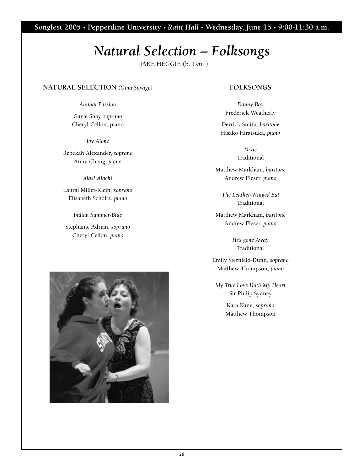**Songfest 2005 • Pepperdine University •** *Raitt Hall* **• Wednesday, June 15 • 9:00-11:30 a.m.**

# *Natural Selection – Folksongs*

**JAKE HEGGIE (b. 1961)**

#### **NATURAL SELECTION** *(Gina Savage)*

*Animal Passion*

**Gayle Shay,** *soprano* **Cheryl Cellon, piano**

*Joy Alone*

**Rebekah Alexander,** *soprano* **Anny Cheng,** *piano*

*Alas! Alack!*

**Laural Miller-Klein,** *soprano* **Elisabeth Scholtz,** *piano*

*Indian Summer-Blue*

**Stephanie Adrian,** *soprano* **Cheryl Cellon,** *piano*



*Danny Boy* **Frederick Weatherly**

**Derrick Smith,** *baritone* **Hisako Hiratsuka,** *piano*

> *Dixie* **Traditional**

**Matthew Markham,** *baritone* **Andrew Fleser,** *piano*

*The Leather-Winged Bat* **Traditional**

**Matthew Markham,** *baritone* **Andrew Fleser,** *piano*

> *He's gone Away* **Traditional**

**Emily Sternfeld-Dunn,** *soprano* **Matthew Thompson,** *piano*

*My True Love Hath My Heart* **Sir Philip Sydney**

> **Kara Kane,** *soprano* **Matthew Thompson**

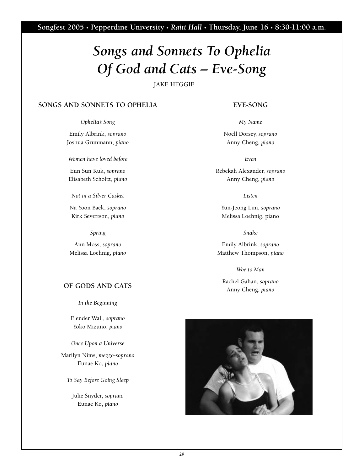# *Songs and Sonnets To Ophelia Of God and Cats – Eve-Song*

**JAKE HEGGIE**

#### **SONGS AND SONNETS TO OPHELIA**

*Ophelia's Song*

**Emily Albrink,** *soprano* **Joshua Grunmann,** *piano*

*Women have loved before*

**Eun Sun Kuk,** *soprano* **Elisabeth Scholtz,** *piano*

*Not in a Silver Casket*

**Na Yoon Baek,** *soprano* **Kirk Severtson,** *piano*

*Spring*

**Ann Moss,** *soprano* **Melissa Loehnig,** *piano*

#### **OF GODS AND CATS**

*In the Beginning*

**Elender Wall,** *soprano* **Yoko Mizuno,** *piano*

*Once Upon a Universe*

**Marilyn Nims,** *mezzo-soprano* **Eunae Ko,** *piano*

*To Say Before Going Sleep*

**Julie Snyder,** *soprano* **Eunae Ko,** *piano*

#### **EVE-SONG**

*My Name*

**Noell Dorsey,** *soprano* **Anny Cheng,** *piano*

*Even*

**Rebekah Alexander,** *soprano* **Anny Cheng,** *piano*

*Listen*

**Yun-Jeong Lim,** *soprano* **Melissa Loehnig, piano**

*Snake*

**Emily Albrink,** *soprano* **Matthew Thompson,** *piano*

*Woe to Man* 

**Rachel Gahan,** *soprano* **Anny Cheng,** *piano*

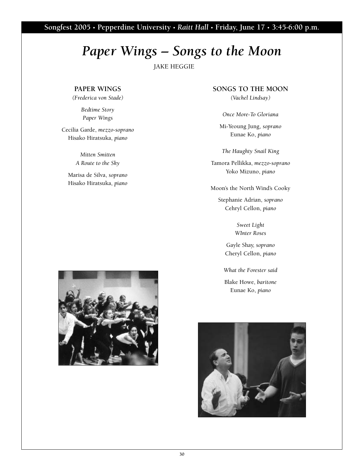**Songfest 2005 • Pepperdine University •** *Raitt Hall* **• Friday, June 17 • 3:45-6:00 p.m.**

### *Paper Wings – Songs to the Moon*

**JAKE HEGGIE**

#### **PAPER WINGS**

*(Frederica von Stade)*

*Bedtime Story Paper Wings*

**Cecilia Garde,** *mezzo-soprano* **Hisako Hiratsuka,** *piano*

> *Mitten Smitten A Route to the Sky*

**Marisa de Silva,** *soprano* **Hisako Hiratsuka,** *piano*

#### **SONGS TO THE MOON**

*(Vachel Lindsay)*

*Once More-To Gloriana*

**Mi-Yeoung Jung,** *soprano* **Eunae Ko,** *piano*

*The Haughty Snail King*

**Tamora Pellikka,** *mezzo-soprano* **Yoko Mizuno,** *piano*

**Moon's the North Wind's Cooky**

**Stephanie Adrian,** *soprano* **Cehryl Cellon,** *piano*

> *Sweet Light WInter Roses*

**Gayle Shay,** *soprano* **Cheryl Cellon,** *piano*

*What the Forester said*

**Blake Howe,** *baritone* **Eunae Ko,** *piano*



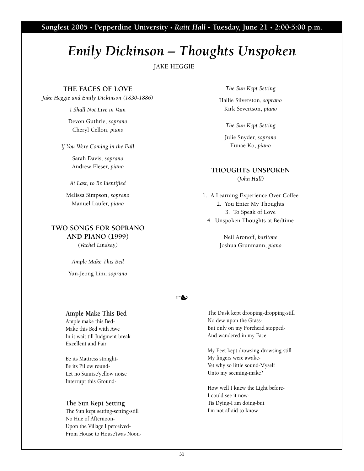**Songfest 2005 • Pepperdine University •** *Raitt Hall* **• Tuesday, June 21 • 2:00-5:00 p.m.**

### *Emily Dickinson – Thoughts Unspoken*

**JAKE HEGGIE**

#### **THE FACES OF LOVE**

*Jake Heggie and Emily Dickinson (1830-1886)*

*I Shall Not Live in Vain*

**Devon Guthrie,** *soprano* **Cheryl Cellon,** *piano*

*If You Were Coming in the Fall*

**Sarah Davis,** *soprano* **Andrew Fleser,** *piano*

*At Last, to Be Identified*

**Melissa Simpson,** *soprano* **Manuel Laufer,** *piano*

#### **TWO SONGS FOR SOPRANO AND PIANO (1999)** *(Vachel Lindsay)*

*Ample Make This Bed* **Yun-Jeong Lim,** *soprano*

#### *The Sun Kept Setting*

**Hallie Silverston,** *soprano* **Kirk Severtson,** *piano*

*The Sun Kept Setting*

**Julie Snyder,** *soprano* **Eunae Ko,** *piano*

#### **THOUGHTS UNSPOKEN**  *(John Hall)*

- **1. A Learning Experience Over Coffee 2. You Enter My Thoughts 3. To Speak of Love**
	- **4. Unspoken Thoughts at Bedtime**

**Neil Aronoff,** *baritone* **Joshua Grunmann,** *piano*

#### n

#### **Ample Make This Bed**

**Ample make this Bed-Make this Bed with Awe In it wait till Judgment break Excellent and Fair**

**Be its Mattress straight-Be its Pillow round-Let no Sunrise'yellow noise Interrupt this Ground-**

#### **The Sun Kept Setting**

**The Sun kept setting-setting-still No Hue of Afternoon-Upon the Village I perceived-From House to House'twas Noon-** **The Dusk kept drooping-dropping-still No dew upon the Grass-But only on my Forehead stopped-And wandered in my Face-**

**My Feet kept drowsing-drowsing-still My fingers were awake-Yet why so little sound-Myself Unto my seeming-make?**

**How well I knew the Light before-I could see it now-Tis Dying-I am doing-but I'm not afraid to know-**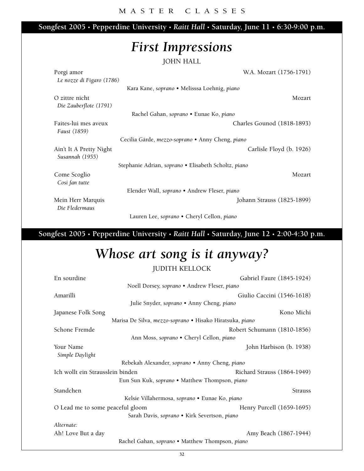**Songfest 2005 • Pepperdine University •** *Raitt Hall* **• Saturday, June 11 • 6:30-9:00 p.m.**

### *First Impressions*

**JOHN HALL**

| Porgi amor                          | W.A. Mozart (1756-1791)                                        |
|-------------------------------------|----------------------------------------------------------------|
| Le nozze di Figaro (1786)           |                                                                |
|                                     | Kara Kane, soprano • Melisssa Loehnig, piano                   |
| O zittre nicht                      | Mozart                                                         |
| Die Zauberflote (1791)              |                                                                |
|                                     | Rachel Gahan, soprano • Eunae Ko, piano                        |
| Faites-lui mes aveux                | Charles Gounod (1818-1893)                                     |
| Faust (1859)                        |                                                                |
|                                     | Cecilia Gärde, <i>mezzo-soprano</i> • Anny Cheng, <i>piano</i> |
| Ain't It A Pretty Night             | Carlisle Floyd (b. 1926)                                       |
| Susannah (1955)                     |                                                                |
|                                     | Stephanie Adrian, soprano • Elisabeth Scholtz, piano           |
| Come Scoglio                        | Mozart                                                         |
| Cosi fan tutte                      |                                                                |
|                                     | Elender Wall, soprano • Andrew Fleser, piano                   |
| Mein Herr Marquis<br>Die Fledermaus | Johann Strauss (1825-1899)                                     |

**Lauren Lee,** *soprano* **• Cheryl Cellon,** *piano*

**Songfest 2005 • Pepperdine University •** *Raitt Hall* **• Saturday, June 12 • 2:00-4:30 p.m.**

# *Whose art song is it anyway?*

#### **JUDITH KELLOCK**

| En sourdine                                              | Gabriel Faure (1845-1924)   |
|----------------------------------------------------------|-----------------------------|
| Noell Dorsey, soprano • Andrew Fleser, piano             |                             |
| Amarilli                                                 | Giulio Caccini (1546-1618)  |
| Julie Snyder, soprano · Anny Cheng, piano                |                             |
| Japanese Folk Song                                       | Kono Michi                  |
| Marisa De Silva, mezzo-soprano • Hisako Hiratsuka, piano |                             |
| Schone Fremde                                            | Robert Schumann (1810-1856) |
| Ann Moss, soprano • Cheryl Cellon, piano                 |                             |
| Your Name<br>Simple Daylight                             | John Harbison (b. 1938)     |
| Rebekah Alexander, soprano • Anny Cheng, piano           |                             |
| Ich wollt ein Strausslein binden                         | Richard Strauss (1864-1949) |
| Eun Sun Kuk, soprano • Matthew Thompson, piano           |                             |
| Standchen                                                | <b>Strauss</b>              |
| Kelsie Villahermosa, soprano • Eunae Ko, piano           |                             |
| O Lead me to some peaceful gloom                         | Henry Purcell (1659-1695)   |
| Sarah Davis, soprano · Kirk Severtson, piano             |                             |
| Alternate:                                               |                             |
| Ah! Love But a day                                       | Amy Beach (1867-1944)       |
| Rachel Gahan, soprano · Matthew Thompson, piano          |                             |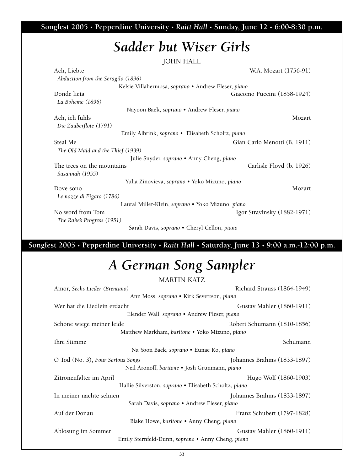**Songfest 2005 • Pepperdine University •** *Raitt Hall* **• Sunday, June 12 • 6:00-8:30 p.m.**

# *Sadder but Wiser Girls*

**JOHN HALL**

| Ach, Liebte                                         | W.A. Mozart (1756-91)        |
|-----------------------------------------------------|------------------------------|
| Abduction from the Seragilo (1896)                  |                              |
| Kelsie Villahermosa, soprano • Andrew Fleser, piano |                              |
| Donde lieta                                         | Giacomo Puccini (1858-1924)  |
| La Boheme (1896)                                    |                              |
| Nayoon Baek, soprano • Andrew Fleser, piano         |                              |
| Ach, ich fuhls                                      | Mozart                       |
| Die Zauberflote (1791)                              |                              |
| Emily Albrink, soprano • Elisabeth Scholtz, piano   |                              |
| Steal Me                                            | Gian Carlo Menotti (B. 1911) |
| The Old Maid and the Thief (1939)                   |                              |
| Julie Snyder, soprano • Anny Cheng, piano           |                              |
| The trees on the mountains                          | Carlisle Floyd (b. 1926)     |
| Susannah (1955)                                     |                              |
| Yulia Zinovieva, soprano • Yoko Mizuno, piano       |                              |
| Dove sono                                           | Mozart                       |
| Le nozze di Figaro (1786)                           |                              |
| Laural Miller-Klein, soprano · Yoko Mizuno, piano   |                              |
| No word from Tom                                    | Igor Stravinsky (1882-1971)  |
| The Rake's Progress (1951)                          |                              |

**Sarah Davis,** *soprano* **• Cheryl Cellon,** *piano*

**Songfest 2005 • Pepperdine University •** *Raitt Hall* **• Saturday, June 13 • 9:00 a.m.-12:00 p.m.**

# *A German Song Sampler*

**MARTIN KATZ**

| Amor, Sechs Lieder (Brentano)                         | Richard Strauss (1864-1949) |  |  |
|-------------------------------------------------------|-----------------------------|--|--|
| Ann Moss, soprano · Kirk Severtson, piano             |                             |  |  |
| Wer hat die Liedlein erdacht                          | Gustav Mahler (1860-1911)   |  |  |
| Elender Wall, soprano • Andrew Fleser, piano          |                             |  |  |
| Schone wiege meiner leide                             | Robert Schumann (1810-1856) |  |  |
| Matthew Markham, baritone • Yoko Mizuno, piano        |                             |  |  |
| Ihre Stimme                                           | Schumann                    |  |  |
| Na Yoon Baek, soprano • Eunae Ko, piano               |                             |  |  |
| O Tod (No. 3), Four Serious Songs                     | Johannes Brahms (1833-1897) |  |  |
| Neil Aronoff, baritone • Josh Grunmann, piano         |                             |  |  |
| Zitronenfalter im April                               | Hugo Wolf (1860-1903)       |  |  |
| Hallie Silverston, soprano • Elisabeth Scholtz, piano |                             |  |  |
| In meiner nachte sehnen                               | Johannes Brahms (1833-1897) |  |  |
| Sarah Davis, soprano • Andrew Fleser, piano           |                             |  |  |
| Auf der Donau                                         | Franz Schubert (1797-1828)  |  |  |
| Blake Howe, baritone • Anny Cheng, piano              |                             |  |  |
| Ablosung im Sommer                                    | Gustav Mahler (1860-1911)   |  |  |
| Emily Sternfeld-Dunn, soprano · Anny Cheng, piano     |                             |  |  |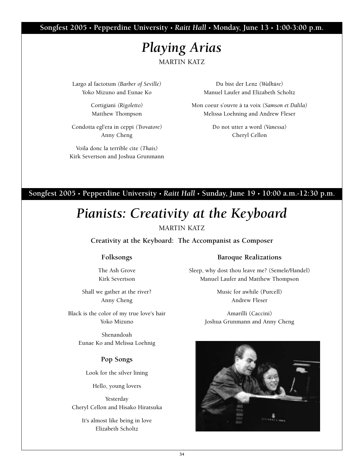**Songfest 2005 • Pepperdine University •** *Raitt Hall* **• Monday, June 13 • 1:00-3:00 p.m.**

### *Playing Arias* **MARTIN KATZ**

**Largo al factotum** *(Barber of Seville)* **Yoko Mizuno and Eunae Ko**

> **Cortigiani** *(Rigoletto)* **Matthew Thompson**

**Condotta egl'era in ceppi** *(Trovatore)* **Anny Cheng**

**Voila donc la terrible cite** *(Thais)* **Kirk Severtson and Joshua Grunmann**

**Du bist der Lenz** *(Walküre)* **Manuel Laufer and Elizabeth Scholtz**

**Mon coeur s'ouvre à ta voix** *(Samson et Dalila)* **Melissa Loehning and Andrew Fleser**

> **Do not utter a word** *(Vanessa)* **Cheryl Cellon**

#### **Songfest 2005 • Pepperdine University •** *Raitt Hall* **• Sunday, June 19 • 10:00 a.m.-12:30 p.m.**

### *Pianists: Creativity at the Keyboard*

#### **MARTIN KATZ**

**Creativity at the Keyboard: The Accompanist as Composer**

#### **Folksongs**

**The Ash Grove Kirk Severtson**

**Shall we gather at the river? Anny Cheng**

**Black is the color of my true love's hair Yoko Mizuno**

> **Shenandoah Eunae Ko and Melissa Loehnig**

#### **Pop Songs**

**Look for the silver lining**

**Hello, young lovers**

**Yesterday Cheryl Cellon and Hisako Hiratsuka**

**It's almost like being in love Elizabeth Scholtz**

#### **Baroque Realizations**

**Sleep, why dost thou leave me? (Semele/Handel) Manuel Laufer and Matthew Thompson**

> **Music for awhile (Purcell) Andrew Fleser**

**Amarilli (Caccini) Joshua Grunmann and Anny Cheng**

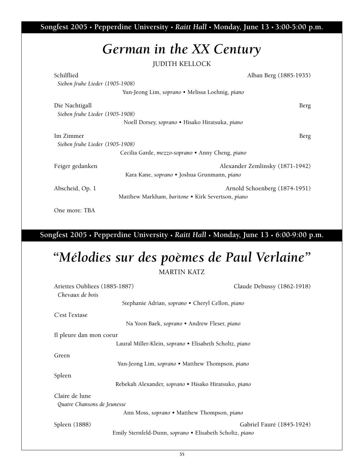**Songfest 2005 • Pepperdine University •** *Raitt Hall* **• Monday, June 13 • 3:00-5:00 p.m.**

## *German in the XX Century*

**JUDITH KELLOCK**

| Schilflied<br>Sieben fruhe Lieder (1905-1908) |                                                   | Alban Berg (1885-1935)          |
|-----------------------------------------------|---------------------------------------------------|---------------------------------|
|                                               | Yun-Jeong Lim, soprano • Melissa Loehnig, piano   |                                 |
| Die Nachtigall                                |                                                   | Berg                            |
| Sieben fruhe Lieder (1905-1908)               |                                                   |                                 |
|                                               | Noell Dorsey, soprano • Hisako Hiratsuka, piano   |                                 |
| Im Zimmer                                     |                                                   | Berg                            |
| Sieben fruhe Lieder (1905-1908)               |                                                   |                                 |
|                                               | Cecilia Garde, mezzo-soprano • Anny Cheng, piano  |                                 |
| Feiger gedanken                               | Kara Kane, soprano • Joshua Grunmann, piano       | Alexander Zemlinsky (1871-1942) |
| Abscheid, Op. 1                               | Matthew Markham, baritone • Kirk Severtson, piano | Arnold Schoenberg (1874-1951)   |

**One more: TBA**

### **Songfest 2005 • Pepperdine University •** *Raitt Hall* **• Monday, June 13 • 6:00-9:00 p.m.**

# *"Mélodies sur des poèmes de Paul Verlaine"*

| Ariettes Oubliees (1885-1887)<br>Chevaux de bois         | Claude Debussy (1862-1918) |  |
|----------------------------------------------------------|----------------------------|--|
| Stephanie Adrian, soprano • Cheryl Cellon, piano         |                            |  |
| C'est l'extase                                           |                            |  |
| Na Yoon Baek, soprano • Andrew Fleser, piano             |                            |  |
| Il pleure dan mon coeur                                  |                            |  |
| Laural Miller-Klein, soprano • Elisabeth Scholtz, piano  |                            |  |
| Green                                                    |                            |  |
| Yun-Jeong Lim, soprano • Matthew Thompson, piano         |                            |  |
| Spleen                                                   |                            |  |
| Rebekah Alexander, soprano · Hisako Hiratsuko, piano     |                            |  |
| Claire de lune                                           |                            |  |
| Quatre Chansons de Jeunesse                              |                            |  |
| Ann Moss, soprano • Matthew Thompson, piano              |                            |  |
| Spleen (1888)                                            | Gabriel Fauré (1845-1924)  |  |
| Emily Sternfeld-Dunn, soprano · Elisabeth Scholtz, piano |                            |  |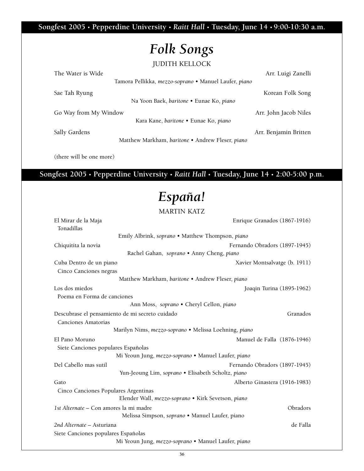**Songfest 2005 • Pepperdine University •** *Raitt Hall* **• Tuesday, June 14 • 9:00-10:30 a.m.**

## *Folk Songs*

**JUDITH KELLOCK**

| The Water is Wide     |                                                                     | Arr. Luigi Zanelli    |
|-----------------------|---------------------------------------------------------------------|-----------------------|
|                       | Tamora Pellikka, <i>mezzo-soprano</i> • Manuel Laufer, <i>piano</i> |                       |
| Sae Tah Ryung         |                                                                     | Korean Folk Song      |
|                       | Na Yoon Baek, baritone • Eunae Ko, piano                            |                       |
| Go Way from My Window |                                                                     | Arr. John Jacob Niles |
|                       | Kara Kane, baritone • Eunae Ko, piano                               |                       |
| Sally Gardens         |                                                                     | Arr. Benjamin Britten |
|                       | Matthew Markham, baritone • Andrew Fleser, piano                    |                       |

**(there will be one more)**

**Songfest 2005 • Pepperdine University •** *Raitt Hall* **• Tuesday, June 14 • 2:00-5:00 p.m.**

## *España!*

| El Mirar de la Maja                                   | Enrique Granados (1867-1916)  |  |
|-------------------------------------------------------|-------------------------------|--|
| Tonadillas                                            |                               |  |
| Emily Albrink, soprano • Matthew Thompson, piano      |                               |  |
| Chiquitita la novia                                   | Fernando Obradors (1897-1945) |  |
| Rachel Gahan, soprano . Anny Cheng, piano             |                               |  |
| Cuba Dentro de un piano                               | Xavier Montsalvatge (b. 1911) |  |
| Cinco Canciones negras                                |                               |  |
| Matthew Markham, baritone • Andrew Fleser, piano      |                               |  |
| Los dos miedos                                        | Joaqin Turina (1895-1962)     |  |
| Poema en Forma de canciones                           |                               |  |
| Ann Moss, soprano · Cheryl Cellon, piano              |                               |  |
| Descubrase el pensamiento de mi secreto cuidado       | Granados                      |  |
| <b>Canciones Amatorias</b>                            |                               |  |
| Marilyn Nims, mezzo-soprano · Melissa Loehning, piano |                               |  |
| El Pano Moruno                                        | Manuel de Falla (1876-1946)   |  |
| Siete Canciones populares Españolas                   |                               |  |
| Mi Yeoun Jung, mezzo-soprano · Manuel Laufer, piano   |                               |  |
| Del Cabello mas sutil                                 | Fernando Obradors (1897-1945) |  |
| Yun-Jeoung Lim, soprano · Elisabeth Scholtz, piano    |                               |  |
| Gato                                                  | Alberto Ginastera (1916-1983) |  |
| Cinco Canciones Populares Argentinas                  |                               |  |
| Elender Wall, mezzo-soprano · Kirk Sevetson, piano    |                               |  |
| 1st Alternate - Con amores la mi madre                | Obradors                      |  |
| Melissa Simpson, soprano · Manuel Laufer, piano       |                               |  |
| 2nd Alternate – Asturiana                             | de Falla                      |  |
| Siete Canciones populares Españolas                   |                               |  |
| Mi Yeoun Jung, mezzo-soprano · Manuel Laufer, piano   |                               |  |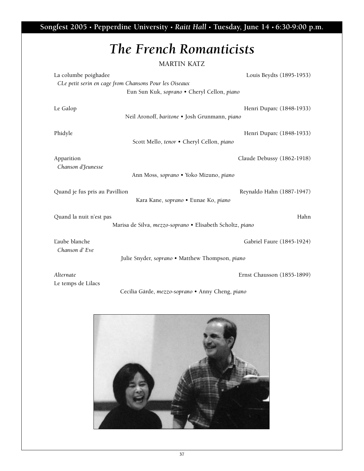**Songfest 2005 • Pepperdine University •** *Raitt Hall* **• Tuesday, June 14 • 6:30-9:00 p.m.**

# *The French Romanticists*

| La columbe poighadee                                                   |                                                           | Louis Beydts (1895-1953)   |
|------------------------------------------------------------------------|-----------------------------------------------------------|----------------------------|
|                                                                        | CLe petit serin en cage from Chansons Pour les Oiseaux    |                            |
|                                                                        | Eun Sun Kuk, soprano · Cheryl Cellon, piano               |                            |
|                                                                        |                                                           |                            |
| Le Galop                                                               |                                                           | Henri Duparc (1848-1933)   |
|                                                                        | Neil Aronoff, baritone . Josh Grunmann, piano             |                            |
|                                                                        |                                                           |                            |
| Phidyle                                                                |                                                           | Henri Duparc (1848-1933)   |
|                                                                        | Scott Mello, tenor . Cheryl Cellon, piano                 |                            |
| Apparition                                                             |                                                           | Claude Debussy (1862-1918) |
| Chanson d'Jeunesse                                                     |                                                           |                            |
|                                                                        | Ann Moss, soprano · Yoko Mizuno, piano                    |                            |
|                                                                        |                                                           |                            |
| Quand je fus pris au Pavillion<br>Kara Kane, soprano · Eunae Ko, piano |                                                           | Reynaldo Hahn (1887-1947)  |
|                                                                        |                                                           |                            |
| Quand la nuit n'est pas                                                |                                                           | Hahn                       |
|                                                                        | Marisa de Silva, mezzo-soprano · Elisabeth Scholtz, piano |                            |
|                                                                        |                                                           |                            |
| L'aube blanche                                                         |                                                           | Gabriel Faure (1845-1924)  |
| Chanson d'Eve                                                          |                                                           |                            |
|                                                                        | Julie Snyder, soprano · Matthew Thompson, piano           |                            |
| Alternate                                                              |                                                           | Ernst Chausson (1855-1899) |
| Le temps de Lilacs                                                     |                                                           |                            |
|                                                                        | Cecilia Gärde, mezzo-soprano · Anny Cheng, piano          |                            |

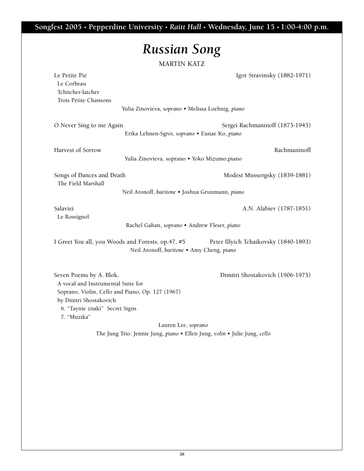**Songfest 2005 • Pepperdine University •** *Raitt Hall* **• Wednesday, June 15 • 1:00-4:00 p.m.**

# *Russian Song*

| Le Petite Pie<br>Le Corbeau<br>Tchitcher-latcher<br>Trois Petite Chansons                                                                                                                    |                                                                                                | Igor Stravinsky (1882-1971)                                                                                   |
|----------------------------------------------------------------------------------------------------------------------------------------------------------------------------------------------|------------------------------------------------------------------------------------------------|---------------------------------------------------------------------------------------------------------------|
|                                                                                                                                                                                              | Yulia Zinovieva, soprano · Melissa Loehnig, piano                                              |                                                                                                               |
| O Never Sing to me Again                                                                                                                                                                     | Erika Lehnen-Sgroi, soprano · Eunae Ko, piano                                                  | Sergei Rachmaninoff (1873-1943)                                                                               |
| Harvest of Sorrow                                                                                                                                                                            | Yulia Zinovieva, soprano · Yoko Mizumo, piano                                                  | Rachmaninoff                                                                                                  |
| Songs of Dances and Death<br>The Field Marshall                                                                                                                                              |                                                                                                | Modest Mussorgsky (1839-1881)                                                                                 |
|                                                                                                                                                                                              | Neil Aronoff, baritone · Joshua Grunmann, piano                                                |                                                                                                               |
| Salaviei<br>Le Rossignol                                                                                                                                                                     |                                                                                                | A.N. Alabiev (1787-1851)                                                                                      |
|                                                                                                                                                                                              | Rachel Gahan, soprano · Andrew Fleser, piano                                                   |                                                                                                               |
|                                                                                                                                                                                              | I Greet You all, you Woods and Forests, op.47, #5<br>Neil Aronoff, baritone . Amy Cheng, piano | Peter Illyich Tchaikovsky (1840-1893)                                                                         |
| Seven Poems by A. Blok.<br>A vocal and Instrumental Suite for<br>Soprano, Violin, Cello and Piano, Op. 127 (1967)<br>by Dmitri Shostakovich<br>6. "Taynie znaki" Secret Signs<br>7. "Muzika" | Lauren Lee, soprano                                                                            | Dimitri Shostakovich (1906-1975)<br>The Jung Trio: Jennie Jung, piano · Ellen Jung, volin · Julie Jung, cello |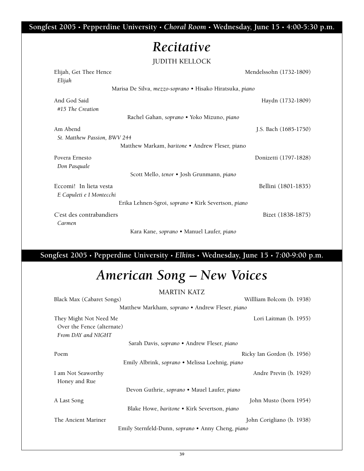**Songfest 2005 • Pepperdine University •** *Choral Room* **• Wednesday, June 15 • 4:00-5:30 p.m.**

### *Recitative*

**JUDITH KELLOCK**

| Elijah, Get Thee Hence<br>Elijah                         | Mendelssohn (1732-1809) |  |
|----------------------------------------------------------|-------------------------|--|
| Marisa De Silva, mezzo-soprano · Hisako Hiratsuka, piano |                         |  |
| And God Said                                             | Haydn (1732-1809)       |  |
| #15 The Creation                                         |                         |  |
| Rachel Gahan, soprano • Yoko Mizuno, piano               |                         |  |
| Am Abend                                                 | J.S. Bach (1685-1750)   |  |
| St. Matthew Passion, BWV 244                             |                         |  |
| Matthew Markam, baritone • Andrew Fleser, piano          |                         |  |
| Povera Ernesto                                           | Donizetti (1797-1828)   |  |
| Don Pasquale                                             |                         |  |
| Scott Mello, tenor · Josh Grunmann, piano                |                         |  |
| Eccomi! In lieta vesta                                   | Bellini (1801-1835)     |  |
| E Capuleti e I Montecchi                                 |                         |  |
| Erika Lehnen-Sgroi, soprano · Kirk Severtson, piano      |                         |  |
| C'est des contrabandiers                                 | Bizet (1838-1875)       |  |
| Carmen                                                   |                         |  |
| Kara Kane, soprano • Manuel Laufer, piano                |                         |  |

**Songfest 2005 • Pepperdine University •** *Elkins* **• Wednesday, June 15 • 7:00-9:00 p.m.**

# *American Song – New Voices*

|                                              | <b>MARTIN KATZ</b>                                |                            |
|----------------------------------------------|---------------------------------------------------|----------------------------|
| Black Max (Cabaret Songs)                    |                                                   | Willliam Bolcom (b. 1938)  |
|                                              | Matthew Markham, soprano • Andrew Fleser, piano   |                            |
| They Might Not Need Me                       |                                                   | Lori Laitman (b. 1955)     |
| Over the Fence (alternate)                   |                                                   |                            |
| From DAY and NIGHT                           |                                                   |                            |
|                                              | Sarah Davis, soprano • Andrew Fleser, piano       |                            |
| Poem                                         |                                                   | Ricky Ian Gordon (b. 1956) |
|                                              | Emily Albrink, soprano • Melissa Loehnig, piano   |                            |
| I am Not Seaworthy                           |                                                   | Andre Previn (b. 1929)     |
| Honey and Rue                                |                                                   |                            |
| Devon Guthrie, soprano · Mauel Laufer, piano |                                                   |                            |
| A Last Song                                  |                                                   | John Musto (born 1954)     |
|                                              | Blake Howe, baritone • Kirk Severtson, piano      |                            |
| The Ancient Mariner                          |                                                   | John Corigliano (b. 1938)  |
|                                              | Emily Sternfeld-Dunn, soprano • Anny Cheng, piano |                            |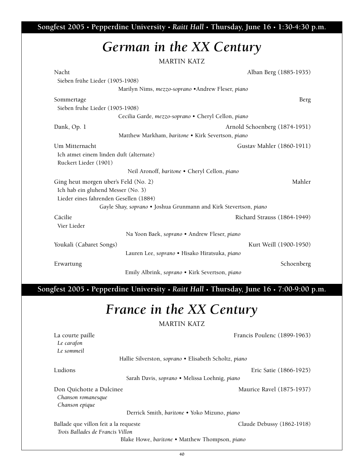**Songfest 2005 • Pepperdine University •** *Raitt Hall* **• Thursday, June 16 • 1:30-4:30 p.m.**

### *German in the XX Century*

**MARTIN KATZ**

| Nacht                                   |                                                                  | Alban Berg (1885-1935)        |
|-----------------------------------------|------------------------------------------------------------------|-------------------------------|
| Sieben frühe Lieder (1905-1908)         |                                                                  |                               |
|                                         | Marilyn Nims, mezzo-soprano · Andrew Fleser, piano               |                               |
| Sommertage                              |                                                                  | <b>Berg</b>                   |
| Sieben fruhe Lieder (1905-1908)         |                                                                  |                               |
|                                         | Cecilia Garde, mezzo-soprano · Cheryl Cellon, piano              |                               |
| Dank, Op. 1                             |                                                                  | Arnold Schoenberg (1874-1951) |
|                                         | Matthew Markham, baritone . Kirk Severtson, piano                |                               |
| Um Mitternacht                          |                                                                  | Gustav Mahler (1860-1911)     |
| Ich atmet einem linden duft (alternate) |                                                                  |                               |
| Ruckert Lieder (1901)                   |                                                                  |                               |
|                                         | Neil Aronoff, baritone • Cheryl Cellon, piano                    |                               |
| Ging heut morgen uber's Feld (No. 2)    |                                                                  | Mahler                        |
| Ich hab ein gluhend Messer (No. 3)      |                                                                  |                               |
| Lieder eines fahrenden Gesellen (1884)  |                                                                  |                               |
|                                         | Gayle Shay, soprano . Joshua Grunmann and Kirk Stevertson, piano |                               |
| Cäcilie                                 |                                                                  | Richard Strauss (1864-1949)   |
| Vier Lieder                             |                                                                  |                               |
|                                         | Na Yoon Baek, soprano · Andrew Fleser, piano                     |                               |
| Youkali (Cabaret Songs)                 |                                                                  | Kurt Weill (1900-1950)        |
|                                         | Lauren Lee, soprano · Hisako Hiratsuka, piano                    |                               |
| Erwartung                               |                                                                  | Schoenberg                    |
|                                         | Emily Albrink, soprano · Kirk Severtson, piano                   |                               |

**Songfest 2005 • Pepperdine University •** *Raitt Hall* **• Thursday, June 16 • 7:00-9:00 p.m.**

# *France in the XX Century*

**MARTIN KATZ**

*Le carafon Le sommeil* **Hallie Silverston,** *soprano* **• Elisabeth Scholtz,** *piano*

**La courte paille Francis Poulenc (1899-1963)**

**Ludions Eric Satie (1866-1925)**

**Sarah Davis,** *soprano* **• Melissa Loehnig,** *piano*

**Don Quichotte a Dulcinee Maurice Ravel (1875-1937)** *Chanson romanesque Chanson epique* 

**Derrick Smith,** *baritone* **• Yoko Mizuno,** *piano*

**Ballade que villon feit a la requeste Claude Debussy (1862-1918)**

*Trois Ballades de Francis Villon*

**Blake Howe,** *baritone* **• Matthew Thompson,** *piano*

**40**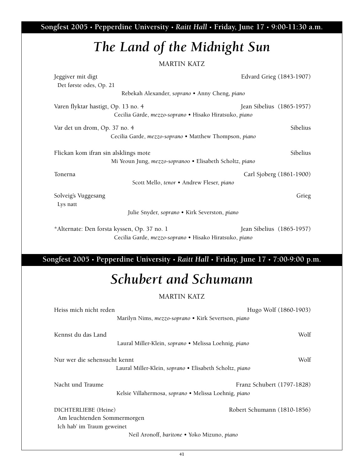**Songfest 2005 • Pepperdine University •** *Raitt Hall* **• Friday, June 17 • 9:00-11:30 a.m.**

# *The Land of the Midnight Sun*

### **MARTIN KATZ**

| Jeggiver mit digt                                                      | Edvard Grieg (1843-1907)  |  |
|------------------------------------------------------------------------|---------------------------|--|
| Det første odes, Op. 21                                                |                           |  |
| Rebekah Alexander, soprano • Anny Cheng, piano                         |                           |  |
| Varen flyktar hastigt, Op. 13 no. 4                                    | Jean Sibelius (1865-1957) |  |
| Cecilia Gärde, mezzo-soprano · Hisako Hiratsuko, piano                 |                           |  |
| Var det un drom, Op. 37 no. 4                                          | Sibelius                  |  |
| Cecilia Garde, mezzo-soprano • Matthew Thompson, piano                 |                           |  |
| Flickan kom ifran sin alsklings mote                                   | Sibelius                  |  |
| Mi Yeoun Jung, <i>mezzo-sopranoo</i> • Elisabeth Scholtz, <i>piano</i> |                           |  |
| Tonerna                                                                | Carl Sjoberg (1861-1900)  |  |
| Scott Mello, tenor · Andrew Fleser, piano                              |                           |  |
| Solveig's Vuggesang                                                    | Grieg                     |  |
| Lys natt                                                               |                           |  |
| Julie Snyder, soprano · Kirk Severston, piano                          |                           |  |

**\*Alternate: Den forsta kyssen, Op. 37 no. 1 Jean Sibelius (1865-1957) Cecilia Garde,** *mezzo-soprano* **• Hisako Hiratsuko,** *piano*

### **Songfest 2005 • Pepperdine University •** *Raitt Hall* **• Friday, June 17 • 7:00-9:00 p.m.**

### *Schubert and Schumann*

| Heiss mich nicht reden                                                            |                                                         | Hugo Wolf (1860-1903)       |
|-----------------------------------------------------------------------------------|---------------------------------------------------------|-----------------------------|
|                                                                                   | Marilyn Nims, mezzo-soprano • Kirk Severtson, piano     |                             |
| Kennst du das Land                                                                | Laural Miller-Klein, soprano • Melissa Loehnig, piano   | Wolf                        |
| Nur wer die sehensucht kennt                                                      |                                                         | Wolf                        |
|                                                                                   | Laural Miller-Klein, soprano • Elisabeth Scholtz, piano |                             |
| Nacht und Traume                                                                  | Kelsie Villahermosa, soprano • Melissa Loehnig, piano   | Franz Schubert (1797-1828)  |
| DICHTERLIEBE (Heine)<br>Am leuchtenden Sommermorgen<br>Ich hab' im Traum geweinet |                                                         | Robert Schumann (1810-1856) |
| Neil Aronoff, baritone • Yoko Mizuno, piano                                       |                                                         |                             |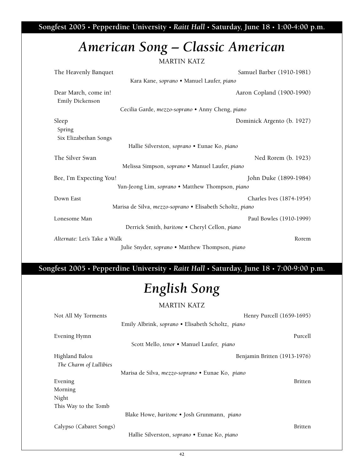**Songfest 2005 • Pepperdine University •** *Raitt Hall* **• Saturday, June 18 • 1:00-4:00 p.m.**

# *American Song – Classic American*

**MARTIN KATZ**

| The Heavenly Banquet                                      | Samuel Barber (1910-1981)  |  |
|-----------------------------------------------------------|----------------------------|--|
| Kara Kane, soprano · Manuel Laufer, piano                 |                            |  |
| Dear March, come in!                                      | Aaron Copland (1900-1990)  |  |
| Emily Dickenson                                           |                            |  |
| Cecilia Garde, mezzo-soprano · Anny Cheng, piano          |                            |  |
| Sleep                                                     | Dominick Argento (b. 1927) |  |
| Spring                                                    |                            |  |
| Six Elizabethan Songs                                     |                            |  |
| Hallie Silverston, soprano · Eunae Ko, piano              |                            |  |
| The Silver Swan                                           | Ned Rorem (b. 1923)        |  |
| Melissa Simpson, soprano · Manuel Laufer, piano           |                            |  |
| Bee, I'm Expecting You!                                   | John Duke (1899-1984)      |  |
| Yun-Jeong Lim, soprano · Matthew Thompson, piano          |                            |  |
| Down East                                                 | Charles Ives (1874-1954)   |  |
| Marisa de Silva, mezzo-soprano · Elisabeth Scholtz, piano |                            |  |
| Lonesome Man                                              | Paul Bowles (1910-1999)    |  |
| Derrick Smith, baritone . Cheryl Cellon, piano            |                            |  |
| Alternate: Let's Take a Walk                              | Rorem                      |  |
| Julie Snyder, soprano • Matthew Thompson, piano           |                            |  |

### **Songfest 2005 • Pepperdine University •** *Raitt Hall* **• Saturday, June 18 • 7:00-9:00 p.m.**

# *English Song*

| Not All My Torments     | Henry Purcell (1659-1695)                         |                |
|-------------------------|---------------------------------------------------|----------------|
|                         | Emily Albrink, soprano • Elisabeth Scholtz, piano |                |
| Evening Hymn            |                                                   | Purcell        |
|                         | Scott Mello, tenor . Manuel Laufer, piano         |                |
| Highland Balou          | Benjamin Britten (1913-1976)                      |                |
| The Charm of Lullibies  |                                                   |                |
|                         | Marisa de Silva, mezzo-soprano • Eunae Ko, piano  |                |
| Evening                 |                                                   | <b>Britten</b> |
| Morning                 |                                                   |                |
| Night                   |                                                   |                |
| This Way to the Tomb    |                                                   |                |
|                         | Blake Howe, baritone • Josh Grunmann, piano       |                |
| Calypso (Cabaret Songs) |                                                   | <b>Britten</b> |
|                         | Hallie Silverston, soprano • Eunae Ko, piano      |                |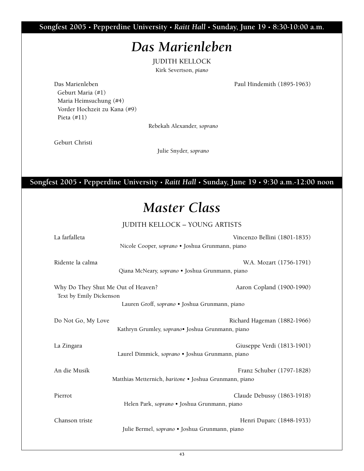**Songfest 2005 • Pepperdine University •** *Raitt Hall* **• Sunday, June 19 • 8:30-10:00 a.m.**

### *Das Marienleben*

**JUDITH KELLOCK Kirk Severtson,** *piano*

**Das Marienleben Paul Hindemith (1895-1963) Geburt Maria (#1) Maria Heimsuchung (#4) Vorder Hochzeit zu Kana (#9) Pieta (#11)**

**Rebekah Alexander,** *soprano*

**Geburt Christi**

**Julie Snyder,** *soprano*

**Songfest 2005 • Pepperdine University •** *Raitt Hall* **• Sunday, June 19 • 9:30 a.m.-12:00 noon**

## *Master Class*

**JUDITH KELLOCK – YOUNG ARTISTS**

| La farfalleta                      |                                                        | Vincenzo Bellini (1801-1835) |  |
|------------------------------------|--------------------------------------------------------|------------------------------|--|
|                                    | Nicole Cooper, soprano · Joshua Grunmann, piano        |                              |  |
| Ridente la calma                   | Qiana McNeary, soprano · Joshua Grunmann, piano        | W.A. Mozart (1756-1791)      |  |
| Why Do They Shut Me Out of Heaven? |                                                        | Aaron Copland (1900-1990)    |  |
| Text by Emily Dickenson            |                                                        |                              |  |
|                                    | Lauren Groff, soprano · Joshua Grunmann, piano         |                              |  |
| Do Not Go, My Love                 | Kathryn Grumley, soprano• Joshua Grunmann, piano       | Richard Hageman (1882-1966)  |  |
| La Zingara                         | Laurel Dimmick, soprano · Joshua Grunmann, piano       | Giuseppe Verdi (1813-1901)   |  |
| An die Musik                       | Matthias Metternich, baritone · Joshua Grunmann, piano | Franz Schuber (1797-1828)    |  |
| Pierrot                            | Helen Park, soprano · Joshua Grunmann, piano           | Claude Debussy (1863-1918)   |  |
| Chanson triste                     | Julie Bermel, soprano · Joshua Grunmann, piano         | Henri Duparc (1848-1933)     |  |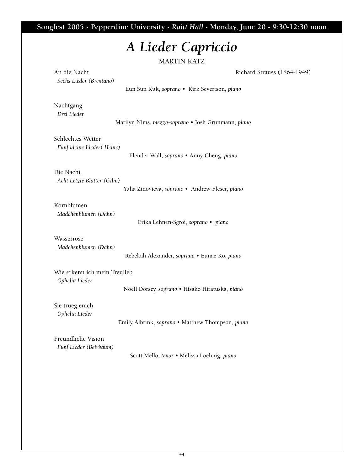**Songfest 2005 • Pepperdine University •** *Raitt Hall* **• Monday, June 20 • 9:30-12:30 noon**

# *A Lieder Capriccio*

| An die Nacht                 | Richard Strauss (1864-1949)                        |
|------------------------------|----------------------------------------------------|
| Sechs Lieder (Brentano)      |                                                    |
|                              | Eun Sun Kuk, soprano · Kirk Severtson, piano       |
| Nachtgang                    |                                                    |
| Drei Lieder                  |                                                    |
|                              | Marilyn Nims, mezzo-soprano · Josh Grunmann, piano |
| Schlechtes Wetter            |                                                    |
| Funf kleine Lieder (Heine)   |                                                    |
|                              | Elender Wall, soprano · Anny Cheng, piano          |
| Die Nacht                    |                                                    |
| Acht Letzte Blatter (Gilm)   |                                                    |
|                              | Yulia Zinovieva, soprano · Andrew Fleser, piano    |
| Kornblumen                   |                                                    |
| Madchenblumen (Dahn)         |                                                    |
|                              | Erika Lehnen-Sgroi, soprano · piano                |
| Wasserrose                   |                                                    |
| Madchenblumen (Dahn)         |                                                    |
|                              | Rebekah Alexander, soprano · Eunae Ko, piano       |
| Wie erkenn ich mein Treulieb |                                                    |
| Ophelia Lieder               |                                                    |
|                              | Noell Dorsey, soprano · Hisako Hiratuska, piano    |
| Sie trueg enich              |                                                    |
| Ophelia Lieder               |                                                    |
|                              | Emily Albrink, soprano · Matthew Thompson, piano   |
| Freundliche Vision           |                                                    |
| Funf Lieder (Beirbaum)       |                                                    |
|                              | Scott Mello, tenor · Melissa Loehnig, piano        |
|                              |                                                    |
|                              |                                                    |
|                              |                                                    |
|                              |                                                    |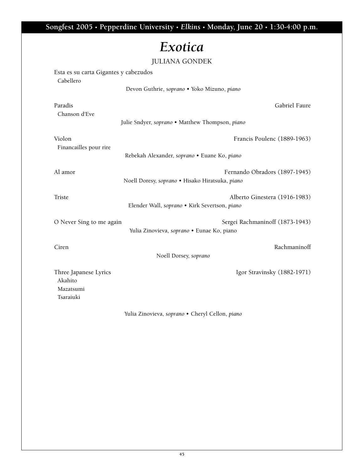**Songfest 2005 • Pepperdine University •** *Elkins* **• Monday, June 20 • 1:30-4:00 p.m.** *Exotica* **JULIANA GONDEK Esta es su carta Gigantes y cabezudos Cabellero Devon Guthrie,** *soprano* **• Yoko Mizuno,** *piano* **Paradis Gabriel Faure Chanson d'Eve Julie Sndyer,** *soprano* **• Matthew Thompson,** *piano* **Violon Francis Poulenc (1889-1963) Financailles pour rire Rebekah Alexander,** *soprano* **• Euane Ko,** *piano* **Al amor Fernando Obradors (1897-1945) Noell Doresy,** *soprano* **• Hisako Hiratsuka,** *piano* **Triste Alberto Ginestera (1916-1983) Elender Wall,** *soprano* **• Kirk Severtson,** *piano* **O Never Sing to me again Sergei Rachmaninoff (1873-1943) Yulia Zinovieva,** *soprano* **• Eunae Ko, piano Ciren Rachmaninoff Rachmaninoff Rachmaninoff Noell Dorsey,** *soprano* **Three Japanese Lyrics Igor Stravinsky (1882-1971) Akahito Mazatsumi Tsaraiuki Yulia Zinovieva,** *soprano* **• Cheryl Cellon,** *piano*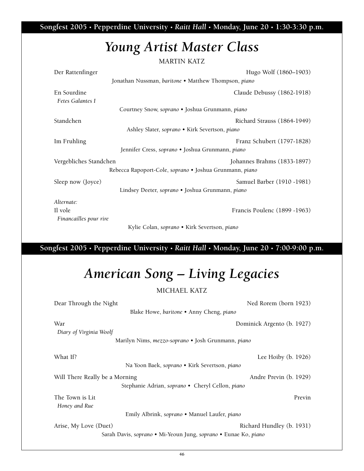**Songfest 2005 • Pepperdine University •** *Raitt Hall* **• Monday, June 20 • 1:30-3:30 p.m.**

## *Young Artist Master Class*

**MARTIN KATZ** 

| Der Rattenfinger                                        | Hugo Wolf (1860–1903)        |  |  |
|---------------------------------------------------------|------------------------------|--|--|
| Jonathan Nussman, baritone • Matthew Thompson, piano    |                              |  |  |
| En Sourdine                                             | Claude Debussy (1862-1918)   |  |  |
| Fetes Galantes I                                        |                              |  |  |
| Courtney Snow, soprano • Joshua Grunmann, piano         |                              |  |  |
| Standchen                                               | Richard Strauss (1864-1949)  |  |  |
| Ashley Slater, soprano • Kirk Severtson, piano          |                              |  |  |
| Im Fruhling                                             | Franz Schubert (1797-1828)   |  |  |
| Jennifer Cress, soprano · Joshua Grunmann, piano        |                              |  |  |
| Vergebliches Standchen                                  | Johannes Brahms (1833-1897)  |  |  |
| Rebecca Rapoport-Cole, soprano · Joshua Grunmann, piano |                              |  |  |
| Sleep now (Joyce)                                       | Samuel Barber (1910 -1981)   |  |  |
| Lindsey Deeter, soprano · Joshua Grunmann, piano        |                              |  |  |
| Alternate:                                              |                              |  |  |
| Il vole                                                 | Francis Poulenc (1899 -1963) |  |  |
| Financailles pour rire                                  |                              |  |  |

**Kylie Colan,** *soprano* **• Kirk Severtson,** *piano*

**Songfest 2005 • Pepperdine University •** *Raitt Hall* **• Monday, June 20 • 7:00-9:00 p.m.**

# *American Song – Living Legacies*

**MICHAEL KATZ**

| Dear Through the Night                                           | Ned Rorem (born 1923)      |  |  |
|------------------------------------------------------------------|----------------------------|--|--|
| Blake Howe, baritone • Anny Cheng, piano                         |                            |  |  |
| War                                                              | Dominick Argento (b. 1927) |  |  |
| Diary of Virginia Woolf                                          |                            |  |  |
| Marilyn Nims, <i>mezzo-soprano</i> • Josh Grunmann, <i>piano</i> |                            |  |  |
| What If?                                                         | Lee Hoiby $(b. 1926)$      |  |  |
| Na Yoon Baek, soprano • Kirk Severtson, piano                    |                            |  |  |
| Will There Really be a Morning                                   | Andre Previn (b. 1929)     |  |  |
| Stephanie Adrian, soprano • Cheryl Cellon, piano                 |                            |  |  |
| The Town is Lit                                                  | Previn                     |  |  |
| Honey and Rue                                                    |                            |  |  |
| Emily Albrink, soprano • Manuel Laufer, piano                    |                            |  |  |
| Arise, My Love (Duet)                                            | Richard Hundley (b. 1931)  |  |  |
| Sarah Davis, soprano · Mi-Yeoun Jung, soprano · Eunae Ko, piano  |                            |  |  |
|                                                                  |                            |  |  |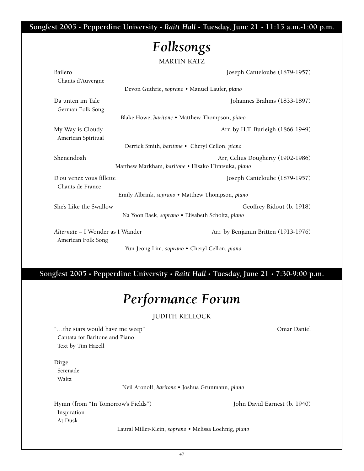**Songfest 2005 • Pepperdine University •** *Raitt Hall* **• Tuesday, June 21 • 11:15 a.m.-1:00 p.m.**

# *Folksongs*

**MARTIN KATZ** 

| Bailero<br>Chants d'Auvergne                           | Joseph Canteloube (1879-1957)                                                 |  |  |
|--------------------------------------------------------|-------------------------------------------------------------------------------|--|--|
|                                                        | Devon Guthrie, soprano · Manuel Laufer, piano                                 |  |  |
| Da unten im Tale<br>German Folk Song                   | Johannes Brahms (1833-1897)                                                   |  |  |
|                                                        | Blake Howe, baritone . Matthew Thompson, piano                                |  |  |
| My Way is Cloudy<br>American Spiritual                 | Arr. by H.T. Burleigh (1866-1949)                                             |  |  |
| Derrick Smith, baritone • Cheryl Cellon, piano         |                                                                               |  |  |
| Shenendoah                                             | Arr, Celius Dougherty (1902-1986)                                             |  |  |
|                                                        | Matthew Markham, baritone · Hisako Hiratsuka, piano                           |  |  |
| D'ou venez vous fillette<br>Chants de France           | Joseph Canteloube (1879-1957)                                                 |  |  |
| Emily Albrink, soprano · Matthew Thompson, piano       |                                                                               |  |  |
| She's Like the Swallow                                 | Geoffrey Ridout (b. 1918)<br>Na Yoon Baek, soprano · Elisabeth Scholtz, piano |  |  |
|                                                        |                                                                               |  |  |
| Alternate – I Wonder as I Wander<br>American Folk Song | Arr. by Benjamin Britten (1913-1976)                                          |  |  |
| Yun-Jeong Lim, soprano • Cheryl Cellon, piano          |                                                                               |  |  |

**Songfest 2005 • Pepperdine University •** *Raitt Hall* **• Tuesday, June 21 • 7:30-9:00 p.m.**

# *Performance Forum*

### **JUDITH KELLOCK**

**"…the stars would have me weep" Omar Daniel Cantata for Baritone and Piano Text by Tim Hazell**

**Dirge Serenade Waltz**

**Neil Aronoff,** *baritone* **• Joshua Grunmann,** *piano*

**Hymn (from "In Tomorrow's Fields") John David Earnest (b. 1940) Inspiration At Dusk**

**Laural Miller-Klein,** *soprano* **• Melissa Loehnig,** *piano*

**47**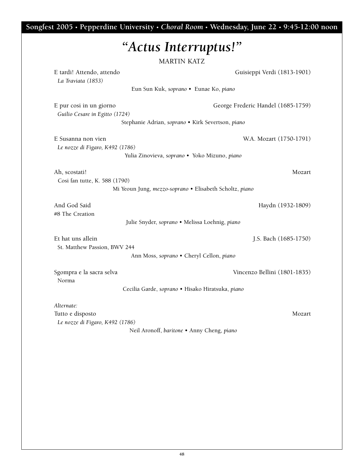|                                 | "Actus Interruptus!"<br><b>MARTIN KATZ</b>              |
|---------------------------------|---------------------------------------------------------|
| E tardi! Attendo, attendo       | Guisieppi Verdi (1813-1901)                             |
| La Traviata (1853)              |                                                         |
|                                 | Eun Sun Kuk, soprano · Eunae Ko, piano                  |
| E pur cosi in un giorno         | George Frederic Handel (1685-1759)                      |
| Guilio Cesare in Egitto (1724)  |                                                         |
|                                 | Stephanie Adrian, soprano · Kirk Severtson, piano       |
| E Susanna non vien              | W.A. Mozart (1750-1791)                                 |
| Le nozze di Figaro, K492 (1786) |                                                         |
|                                 | Yulia Zinovieva, soprano · Yoko Mizuno, piano           |
| Ah, scostati!                   | Mozart                                                  |
| Cosi fan tutte, K. 588 (1790)   |                                                         |
|                                 | Mi Yeoun Jung, mezzo-soprano · Elisabeth Scholtz, piano |
| And God Said                    | Haydn (1932-1809)                                       |
| #8 The Creation                 |                                                         |
|                                 | Julie Snyder, soprano · Melissa Loehnig, piano          |
| Et hat uns allein               | J.S. Bach (1685-1750)                                   |
| St. Matthew Passion, BWV 244    |                                                         |
|                                 | Ann Moss, soprano · Cheryl Cellon, piano                |
| Sgompra e la sacra selva        | Vincenzo Bellini (1801-1835)                            |
| Norma                           |                                                         |
|                                 | Cecilia Garde, soprano · Hisako Hiratsuka, piano        |
| Alternate:                      |                                                         |
| Tutto e disposto                | Mozart                                                  |
| Le nozze di Figaro, K492 (1786) |                                                         |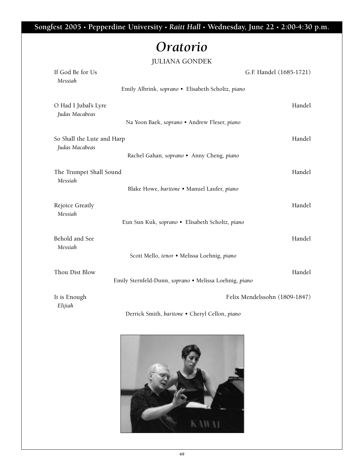**Songfest 2005 • Pepperdine University •** *Raitt Hall* **• Wednesday, June 22 • 2:00-4:30 p.m.**

## *Oratorio*

### **JULIANA GONDEK**

| If God Be for Us<br>Messiah                     |                                                        | G.F. Handel (1685-1721)       |  |
|-------------------------------------------------|--------------------------------------------------------|-------------------------------|--|
|                                                 | Emily Albrink, soprano · Elisabeth Scholtz, piano      |                               |  |
| O Had I Jubal's Lyre<br>Judas Macabeas          | Na Yoon Baek, soprano · Andrew Fleser, piano           | Handel                        |  |
|                                                 |                                                        |                               |  |
| So Shall the Lute and Harp<br>Judas Macabeas    |                                                        | Handel                        |  |
|                                                 | Rachel Gahan, soprano · Anny Cheng, piano              |                               |  |
| The Trumpet Shall Sound<br>Messiah              |                                                        | Handel                        |  |
|                                                 | Blake Howe, baritone · Manuel Laufer, piano            |                               |  |
| Rejoice Greatly<br>Messiah                      |                                                        | Handel                        |  |
| Eun Sun Kuk, soprano · Elisabeth Scholtz, piano |                                                        |                               |  |
| Behold and See<br>Messiah                       |                                                        | Handel                        |  |
|                                                 | Scott Mello, tenor · Melissa Loehnig, piano            |                               |  |
| Thou Dist Blow                                  |                                                        | Handel                        |  |
|                                                 | Emily Sternfeld-Dunn, soprano · Melissa Loehnig, piano |                               |  |
| It is Enough<br>Elijiah                         |                                                        | Felix Mendelssohn (1809-1847) |  |
|                                                 | Derrick Smith, baritone . Cheryl Cellon, piano         |                               |  |

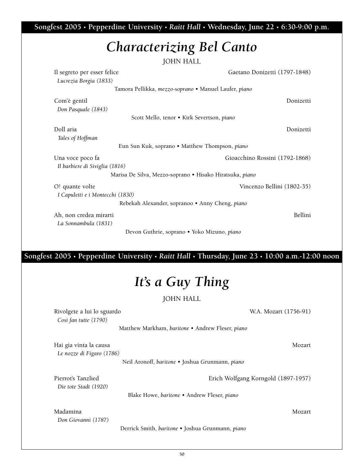**Songfest 2005 • Pepperdine University •** *Raitt Hall* **• Wednesday, June 22 • 6:30-9:00 p.m.**

## *Characterizing Bel Canto*

**JOHN HALL** 

|                                                          | JULII ULILL                                           |  |  |
|----------------------------------------------------------|-------------------------------------------------------|--|--|
| Il segreto per esser felice                              | Gaetano Donizetti (1797-1848)                         |  |  |
| Lucrezia Borgia (1833)                                   |                                                       |  |  |
|                                                          | Tamora Pellikka, mezzo-soprano · Manuel Laufer, piano |  |  |
| Com'è gentil                                             | Donizetti                                             |  |  |
| Don Pasquale (1843)                                      |                                                       |  |  |
|                                                          | Scott Mello, tenor · Kirk Severtson, piano            |  |  |
| Doll aria                                                | Donizetti                                             |  |  |
| Tales of Hoffman                                         |                                                       |  |  |
| Eun Sun Kuk, soprano • Matthew Thompson, piano           |                                                       |  |  |
| Gioacchino Rossini (1792-1868)<br>Una voce poco fa       |                                                       |  |  |
| Il barbiere di Siviglia (1816)                           |                                                       |  |  |
| Marisa De Silva, Mezzo-soprano • Hisako Hiratsuka, piano |                                                       |  |  |
| O! quante volte                                          | Vincenzo Bellini (1802-35)                            |  |  |
| I Capuletti e i Montecchi (1830)                         |                                                       |  |  |
|                                                          | Rebekah Alexander, sopranoo • Anny Cheng, piano       |  |  |
| Ah, non credea mirarti                                   | Bellini                                               |  |  |
| La Sonnambula (1831)                                     |                                                       |  |  |
| Devon Guthrie, soprano · Yoko Mizuno, piano              |                                                       |  |  |
|                                                          |                                                       |  |  |

### **Songfest 2005 • Pepperdine University •** *Raitt Hall* **• Thursday, June 23 • 10:00 a.m.-12:00 noon**

# *It's a Guy Thing*

**JOHN HALL**

**Rivolgete a lui lo sguardo W.A. Mozart (1756-91)** 

*Cosi fan tutte (1790)* 

**Matthew Markham,** *baritone* **• Andrew Fleser,** *piano*

**Hai gia vinta la causa Mozart** *Le nozze di Figaro (1786)*

**Neil Aronoff,** *baritone* **• Joshua Grunmann,** *piano*

**Pierrot's Tanzlied Erich Wolfgang Korngold (1897-1957)** *Die tote Stadt (1920)*

**Blake Howe,** *baritone* **• Andrew Fleser,** *piano*

#### **Madamina Mozart**

*Don Giovanni (1787)* 

**Derrick Smith,** *baritone* **• Joshua Grunmann,** *piano*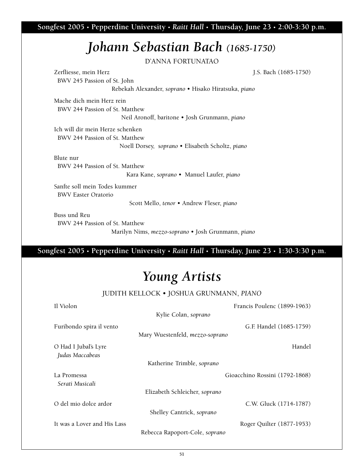**Songfest 2005 • Pepperdine University •** *Raitt Hall* **• Thursday, June 23 • 2:00-3:30 p.m.**

## *Johann Sebastian Bach (1685-1750)*

**D'ANNA FORTUNATAO** 

**Zerfliesse, mein Herz J.S. Bach (1685-1750) BWV 245 Passion of St. John Rebekah Alexander,** *soprano* **• Hisako Hiratsuka,** *piano* **Mache dich mein Herz rein BWV 244 Passion of St. Matthew Neil Aronoff, baritone • Josh Grunmann,** *piano*

**Ich will dir mein Herze schenken BWV 244 Passion of St. Matthew Noell Dorsey,** *soprano* **• Elisabeth Scholtz,** *piano*

**Blute nur BWV 244 Passion of St. Matthew**

**Kara Kane,** *soprano* **• Manuel Laufer,** *piano*

**Sanfte soll mein Todes kummer BWV Easter Oratorio**

**Scott Mello,** *tenor* **• Andrew Fleser,** *piano*

**Buss und Reu**

**BWV 244 Passion of St. Matthew**

**Marilyn Nims,** *mezzo-soprano* **• Josh Grunmann,** *piano*

**Songfest 2005 • Pepperdine University •** *Raitt Hall* **• Thursday, June 23 • 1:30-3:30 p.m.**

## *Young Artists*

**JUDITH KELLOCK • JOSHUA GRUNMANN,** *PIANO*

| Il Violon                               |                                 | Francis Poulenc (1899-1963)    |
|-----------------------------------------|---------------------------------|--------------------------------|
|                                         | Kylie Colan, soprano            |                                |
| Furibondo spira il vento                |                                 | G.F. Handel (1685-1759)        |
|                                         | Mary Wuestenfeld, mezzo-soprano |                                |
| O Had I Jubal's Lyre<br>Judas Maccabeas |                                 | Handel                         |
| Katherine Trimble, soprano              |                                 |                                |
| La Promessa<br>Serati Musicali          |                                 | Gioacchino Rossini (1792-1868) |
|                                         | Elizabeth Schleicher, soprano   |                                |
| O del mio dolce ardor                   | Shelley Cantrick, soprano       | C.W. Gluck (1714-1787)         |
| It was a Lover and His Lass             | Rebecca Rapoport-Cole, soprano  | Roger Quilter (1877-1953)      |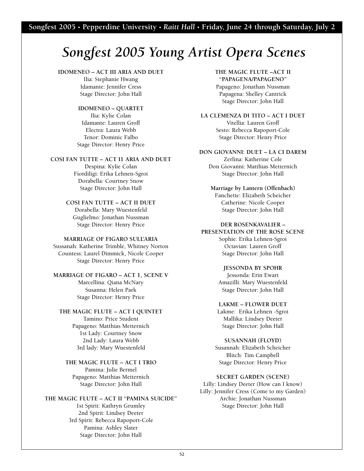# *Songfest 2005 Young Artist Opera Scenes*

#### **IDOMENEO – ACT III ARIA AND DUET**

**Ilia: Stephanie Hwang Idamante: Jennifer Cress Stage Director: John Hall**

#### **IDOMENEO – QUARTET**

**Ilia: Kylie Colan Idamante: Lauren Groff Electra: Laura Webb Tenor: Dominic Falbo Stage Director: Henry Price**

#### **COSI FAN TUTTE – ACT I1 ARIA AND DUET**

**Despina: Kylie Colan Fiordiligi: Erika Lehnen-Sgroi Dorabella: Courtney Snow Stage Director: John Hall**

### **COSI FAN TUTTE – ACT II DUET**

**Dorabella: Mary Wuestenfeld Guglielmo: Jonathan Nussman Stage Director: Henry Price**

#### **MARRIAGE OF FIGARO SULL'ARIA**

**Sussanah: Katherine Trimble, Whitney Norton Countess: Laurel Dimmick, Nicole Cooper Stage Director: Henry Price**

#### **MARRIAGE OF FIGARO – ACT 1, SCENE V Marcellina: Qiana McNary Susanna: Helen Park Stage Director: Henry Price**

#### **THE MAGIC FLUTE – ACT I QUINTET**

**Tamino: Price Student Papageno: Matthias Metternich 1st Lady: Courtney Snow 2nd Lady: Laura Webb 3rd lady: Mary Wuestenfeld**

#### **THE MAGIC FLUTE – ACT I TRIO Pamina: Julie Bermel Papageno: Matthias Metternich**

**Stage Director: John Hall**

**THE MAGIC FLUTE – ACT II "PAMINA SUICIDE" 1st Spirit: Kathryn Grumley 2nd Spirit: Lindsey Deeter 3rd Spirit: Rebecca Rapoport-Cole Pamina: Ashley Slater Stage Director: John Hall**

#### **THE MAGIC FLUTE –ACT II "PAPAGENA/PAPAGENO"**

**Papageno: Jonathan Nussman Papagena: Shelley Cantrick Stage Director: John Hall**

**LA CLEMENZA DI TITO – ACT I DUET Vitellia: Lauren Groff Sesto: Rebecca Rapoport-Cole Stage Director: Henry Price**

#### **DON GIOVANNI: DUET – LA CI DAREM**

**Zerlina: Katherine Cole Don Giovanni: Matthias Metternich Stage Director: John Hall** 

#### **Marriage by Lantern (Offenbach)**

**Fanchette: Elizabeth Scheicher Catherine: Nicole Cooper Stage Director: John Hall**

#### **DER ROSENKAVALIER –**

**PRESENTATION OF THE ROSE SCENE Sophie: Erika Lehnen-Sgroi Octavian: Lauren Groff Stage Director: John Hall**

#### **JESSONDA BY SPOHR**

**Jessonda: Erin Ewart Amazilli: Mary Wuestenfeld Stage Director: John Hall**

#### **LAKME – FLOWER DUET**

**Lakme: Erika Lehnen -Sgroi Mallika: Lindsey Deeter Stage Director: John Hall**

#### **SUSANNAH (FLOYD)**

**Susannah: Elizabeth Scheicher Blitch: Tim Campbell Stage Director: Henry Price**

#### **SECRET GARDEN (SCENE)**

**Lilly: Lindsey Deeter (How can I know) Lilly: Jennifer Cress (Come to my Garden) Archie: Jonathan Nussman Stage Director: John Hall**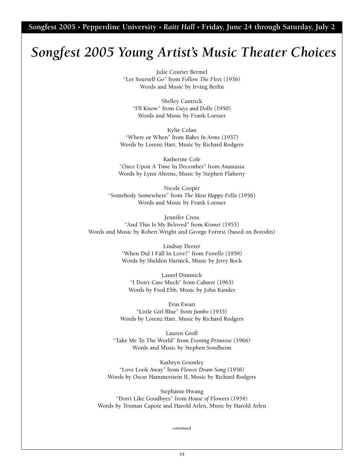**Songfest 2005 • Pepperdine University •** *Raitt Hall* **• Friday, June 24 through Saturday, July 2**

### *Songfest 2005 Young Artist's Music Theater Choices*

**Julie Courier Bermel "Let Yourself Go" from** *Follow The Fleet* **(1936) Words and Music by Irving Berlin**

**Shelley Cantrick "I'll Know" from** *Guys and Doll***s (1950) Words and Music by Frank Loesser**

**Kylie Colan "Where or When" from** *Babes In Arms* **(1937) Words by Lorenz Hart, Music by Richard Rodgers**

**Katherine Cole "Once Upon A Time In December" from** *Anastasia* **Words by Lynn Ahrens, Music by Stephen Flaherty**

**Nicole Cooper "Somebody Somewhere" from** *The Most Happy Fella* **(1956) Words and Music by Frank Loesser**

**Jennifer Cress "And This Is My Beloved" from** *Kismet* **(1953) Words and Music by Robert Wright and George Forrest (based on Borodin)**

> **Lindsay Deeter "When Did I Fall In Love?" from** *Fiorello* **(1959) Words by Sheldon Harnick, Music by Jerry Bock**

**Laurel Dimmick "I Don't Care Much" from** *Cabaret* **(1963) Words by Fred Ebb, Music by John Kander**

**Erin Ewart "Little Girl Blue" from** *Jumbo* **(1935) Words by Lorenz Hart, Music by Richard Rodgers**

**Lauren Groff "Take Me To The World" from** *Evening Primrose* **(1966) Words and Music by Stephen Sondheim**

**Kathryn Grumley "Love Look Away" from** *Flower Drum Song* **(1958) Words by Oscar Hammerstein II, Music by Richard Rodgers**

**Stephanie Hwang "Don't Like Goodbyes" from** *House of Flowers* **(1954) Words by Truman Capote and Harold Arlen, Music by Harold Arlen**

*continued*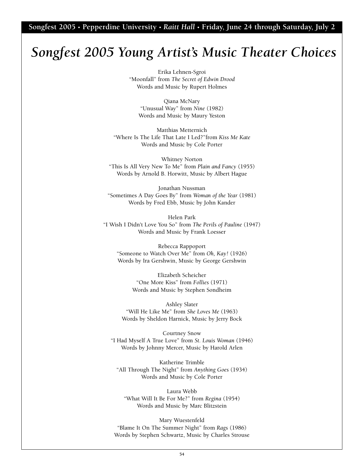**Songfest 2005 • Pepperdine University •** *Raitt Hall* **• Friday, June 24 through Saturday, July 2**

### *Songfest 2005 Young Artist's Music Theater Choices*

**Erika Lehnen-Sgroi "Moonfall" from** *The Secret of Edwin Drood* **Words and Music by Rupert Holmes** 

**Qiana McNary "Unusual Way" from** *Nine* **(1982) Words and Music by Maury Yeston**

**Matthias Metternich "Where Is The Life That Late I Led?"from** *Kiss Me Kate* **Words and Music by Cole Porter**

**Whitney Norton "This Is All Very New To Me" from** *Plain and Fancy* **(1955) Words by Arnold B. Horwitt, Music by Albert Hague**

**Jonathan Nussman "Sometimes A Day Goes By" from** *Woman of the Year* **(1981) Words by Fred Ebb, Music by John Kander**

**Helen Park "I Wish I Didn't Love You So" from** *The Perils of Pauline* **(1947) Words and Music by Frank Loesser**

**Rebecca Rappoport "Someone to Watch Over Me" from** *Oh, Kay!* **(1926) Words by Ira Gershwin, Music by George Gershwin**

> **Elizabeth Scheicher "One More Kiss" from** *Follies* **(1971) Words and Music by Stephen Sondheim**

**Ashley Slater "Will He Like Me" from** *She Loves Me* **(1963) Words by Sheldon Harnick, Music by Jerry Bock**

**Courtney Snow "I Had Myself A True Love" from** *St. Louis Woman* **(1946) Words by Johnny Mercer, Music by Harold Arlen**

**Katherine Trimble "All Through The Night" from** *Anything Goes* **(1934) Words and Music by Cole Porter**

**Laura Webb "What Will It Be For Me?" from** *Regina* **(1954) Words and Music by Marc Blitzstein**

**Mary Wuestenfeld "Blame It On The Summer Night" from** *Rags* **(1986) Words by Stephen Schwartz, Music by Charles Strouse**

**54**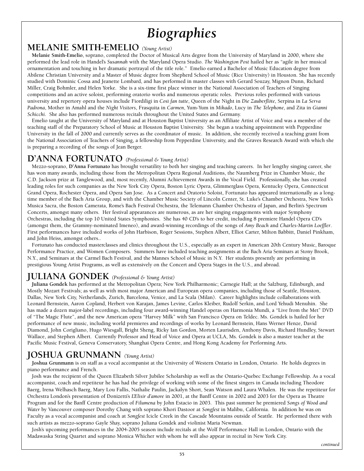# *Biographies*

### **MELANIE SMITH-EMELIO** *(Young Artist)*

**Melanie Smith-Emelio, soprano, completed the Doctor of Musical Arts degree from the University of Maryland in 2000, where she performed the lead role in Handel's** *Susannah* **with the Maryland Opera Studio.** *The Washington Post* **hailed her as "agile in her musical ornamentation and touching in her dramatic portrayal of the title role." Emelio earned a Bachelor of Music Education degree from Abilene Christian University and a Master of Music degree from Shepherd School of Music (Rice University) in Houston. She has recently studied with Dominic Cossa and Jeanette Lombard, and has performed in master classes with Gerard Souzay, Mignon Dunn, Richard Miller, Craig Bohmler, and Helen Yorke. She is a six-time first place winner in the National Association of Teachers of Singing competitions and an active soloist, performing oratorio works and numerous operatic roles. Previous roles performed with various university and repertory opera houses include Fiordiligi in** *Così fan tutte***, Queen of the Night in** *Die Zauberflöte***, Serpina in** *La Serva Padrona***, Mother in Amahl and the** *Night Visitors***, Frasquita in** *Carmen***, Yum-Yum in** *Mikado***, Lucy in** *The Telephone***, and Zita in** *Gianni Schicchi***. She also has performed numerous recitals throughout the United States and Germany.** 

**Emelio taught at the University of Maryland and at Houston Baptist University as an Affiliate Artist of Voice and was a member of the teaching staff of the Preparatory School of Music at Houston Baptist University. She began a teaching appointment with Pepperdine University in the fall of 2000 and currently serves as the coordinator of music. In addition, she recently received a teaching grant from the National Association of Teachers of Singing, a fellowship from Pepperdine University, and the Graves Research Award with which she is preparing a recording of the songs of Jean Berger.** 

### **D'ANNA FORTUNATO** *(Professional & Young Artist)*

**Mezzo-soprano, D'Anna Fortunato has brought versatility to both her singing and teaching careers. In her lengthy singing career, she has won many awards, including those from the Metropolitan Opera Regional Auditions, the Naumberg Prize in Chamber Music, the C.D. Jackson prize at Tanglewood, and, most recently, Alumni Achievement Awards in the Vocal Field. Professionally, she has created leading roles for such companies as the New York City Opera, Boston Lyric Opera, Glimmerglass Opera, Kentucky Opera, Connecticut Grand Opera, Rochester Opera, and Opera San Jose. As a Concert and Oratorio Soloist, Fortunato has appeared internationally as a longtime member of the Bach Aria Group, and with the Chamber Music Society of Lincoln Center, St. Luke's Chamber Orchestra, New York's Musica Sacra, the Boston Camerata, Rome's Bach Festival Orchestra, the Telemann Chamber Orchestra of Japan, and Berlin's Spectrum Concerts, amongst many others. Her festival appearances are numerous, as are her singing engagements with major Symphony Orchestras, including the top 10 United States Symphonies. She has 40 CD's to her credit, including 8 premiere Handel Opera CD's** (amongst them, the Grammy-nominated Imeneo), and award-winning recordings of the songs of *Amy Beach* and *Charles-Martin Loeffler*. **First performances have included works of John Harbison, Roger Sessions, Stephen Albert, Elliot Carter, Milton Babbitt, Daniel Pinkham, and John Heiss, amongst others..**

**Fortunato has conducted masterclasses and clinics throughout the U.S., especially as an expert in American 20th Century Music, Baroque Performance Practice, and Women Composers. Summers have included teaching assignments at the Bach Aria Seminars at Stony Brook, N.Y., and Seminars at the Carmel Bach Festival, and the Mannes School of Music in N.Y. Her students presently are performing in prestigious Young Artist Programs, as well as extensively on the Concert and Opera Stages in the U.S., and abroad.**

### **JULIANA GONDEK** *(Professional & Young Artist)*

**Juliana Gondek has performed at the Metropolitan Opera; New York Philharmonic; Carnegie Hall; at the Salzburg, Edinburgh, and Mostly Mozart Festivals; as well as with most major American and European opera companies, including those of Seattle, Houston, Dallas, New York City, Netherlands, Zurich, Barcelona, Venice, and La Scala (Milan). Career highlights include collaborations with Leonard Bernstein, Aaron Copland, Herbert von Karajan, James Levine, Carlos Kleiber, Rudolf Serkin, and Lord Yehudi Menuhin. She has made a dozen major-label recordings, including four award-winning Handel operas on Harmonia Mundi, a "Live from the Met" DVD of "The Magic Flute", and the new American opera "Harvey Milk" with San Francisco Opera on Teldec. Ms. Gondek is hailed for her performance of new music, including world premieres and recordings of works by Leonard Bernstein, Hans Werner Henze, David Diamond, John Corigliano, Hugo Wiesgall, Bright Sheng, Ricky Ian Gordon, Morten Laurisden, Anthony Davis, Richard Hundley, Stewart Wallace, and Stephen Albert. Currently Professor and Head of Voice and Opera at UCLA, Ms. Gondek is also a master teacher at the Pacific Music Festival, Geneva Conservatory, Shanghai Opera Centre, and Hong Kong Academy for Performing Arts.** 

### **JOSHUA GRUNMANN** *(Young Artist)*

**Joshua Grunmann is on staff as a vocal accompanist at the University of Western Ontario in London, Ontario. He holds degrees in piano performance and French.**

**Josh was the recipient of the Queen Elizabeth Silver Jubilee Scholarship as well as the Ontario-Quebec Exchange Fellowship. As a vocal accompanist, coach and repetiteur he has had the privilege of working with some of the finest singers in Canada including Theodore Baerg, Irena Welhasch Baerg, Mary Lou Fallis, Nathalie Paulin, Jackalyn Short, Sean Watson and Laura Whalen. He was the repetiteur for Orchestra London's presentation of Donizetti's** *L'Elisir d'amore* **in 2001, at the Banff Centre in 2002 and 2003 for the Opera as Theatre Program and for the Banff Centre production of** *Filumena* **by John Estacio in 2003. This past summer he premiered** *Songs of Wood and Water* **by Vancouver composer Dorothy Chang with soprano Khori Dastoor at** *Songfest* **in Malibu, California. In addition he was on Faculty as a vocal accompanist and coach at** *Songfest* **Icicle Creek in the Cascade Mountains outside of Seattle. He performed there with such artists as mezzo-soprano Gayle Shay, soprano Juliana Gondek and violinist Maria Newman.**

**Josh's upcoming performances in the 2004-2005 season include recitals at the Wolf Performance Hall in London, Ontario with the Madawaska String Quartet and soprano Monica Whicher with whom he will also appear in recital in New York City.**

*continued*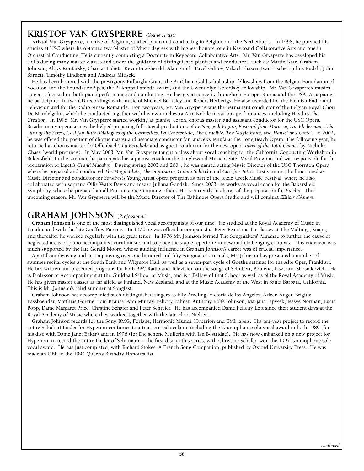### **KRISTOF VAN GRYSPERRE** *(Young Artist)*

**Kristof Van Grysperre, a native of Belgium, studied piano and conducting in Belgium and the Netherlands. In 1998, he pursued his studies at USC where he obtained two Master of Music degrees with highest honors, one in Keyboard Collaborative Arts and one in Orchestral Conducting. He is currently completing a Doctorate in Keyboard Collaborative Arts. Mr. Van Grysperre has developed his skills during many master classes and under the guidance of distinguished pianists and conductors, such as: Martin Katz, Graham Johnson, Aloys Kontarsky, Chantal Bohets, Kevin Fitz-Gerald, Alan Smith, Pavel Gililov, Mikael Eliasen, Ivan Fischer, Julius Rudell, John Barnett, Timothy Lindberg and Andreas Mitisek.**

**He has been honored with the prestigious Fulbright Grant, the AmCham Gold scholarship, fellowships from the Belgian Foundation of Vocation and the Foundation Spes, the Pi Kappa Lambda award, and the Gwendolyn Koldofsky fellowship. Mr. Van Grysperre's musical career is focused on both piano performance and conducting. He has given concerts throughout Europe, Russia and the USA. As a pianist he participated in two CD recordings with music of Michael Berkeley and Robert Herberigs. He also recorded for the Flemish Radio and Television and for the Radio Suisse Romande. For two years, Mr. Van Grysperre was the permanent conductor of the Belgian Royal Choir De Mandelgalm, which he conducted together with his own orchestra Arte Nobile in various performances, including Haydn's** *The Creation***. In 1998, Mr. Van Grysperre started working as pianist, coach, chorus master, and assistant conductor for the USC Opera. Besides many opera scenes, he helped preparing full-staged productions of** *Le Nozze di Figaro, Postcard from Morocco, Die Fledermaus, The Turn of the Screw, Cosi fan Tutte, Dialogues of the Carmelites, La Cenerentola, The Crucible, The Magic Flute***, and** *Hansel and Gretel***. In 2002, he was offered the position of chorus master and associate conductor for Janácek's Jenufa at the Long Beach Opera. The following year, he returned as chorus master for Offenbach's** *La Périchole* **and as guest conductor for the new opera** *Taker of the Total Chance* **by Nicholas Chase (world premiere). In May 2003, Mr. Van Grysperre taught a class about vocal coaching for the California Conducting Workshop in Bakersfield. In the summer, he participated as a pianist-coach in the Tanglewood Music Center Vocal Program and was responsible for the preparation of Ligeti's** *Grand Macabre***. During spring 2003 and 2004, he was named acting Music Director of the USC Thornton Opera, where he prepared and conducted** *The Magic Flute, The Impresario, Gianni Schicchi* **and** *Cosi fan Tutte.* **Last summer, he functioned as Music Director and conductor for** *SongFest's* **Young Artist opera program as part of the Icicle Creek Music Festival, where he also collaborated with soprano Ollie Watts Davis and mezzo Juliana Gondek. Since 2003, he works as vocal coach for the Bakersfield Symphony, where he prepared an all-Puccini concert among others. He is currently in charge of the preparation for** *Fidelio***. This upcoming season, Mr. Van Grysperre will be the Music Director of The Baltimore Opera Studio and will conduct** *L'Elisir d'Amore***.**

### **GRAHAM JOHNSON** *(Professional)*

**Graham Johnson is one of the most distinguished vocal accompanists of our time. He studied at the Royal Academy of Music in London and with the late Geoffrey Parsons. In 1972 he was official accompanist at Peter Pears' master classes at The Maltings, Snape, and thereafter he worked regularly with the great tenor. In 1976 Mr. Johnson formed The Songmakers' Almanac to further the cause of neglected areas of piano-accompanied vocal music, and to place the staple repertoire in new and challenging contexts. This endeavor was much supported by the late Gerald Moore, whose guiding influence in Graham Johnson's career was of crucial importance.**

**Apart from devising and accompanying over one hundred and fifty Songmakers' recitals, Mr. Johnson has presented a number of summer recital cycles at the South Bank and Wigmore Hall, as well as a seven-part cycle of Goethe settings for the Alte Oper, Frankfurt. He has written and presented programs for both BBC Radio and Television on the songs of Schubert, Poulenc, Liszt and Shostakovich. He is Professor of Accompaniment at the Guildhall School of Music, and is a Fellow of that School as well as of the Royal Academy of Music. He has given master classes as far afield as Finland, New Zealand, and at the Music Academy of the West in Santa Barbara, California. This is Mr. Johnson's third summer at Songfest.**

**Graham Johnson has accompanied such distinguished singers as Elly Ameling, Victoria de los Angeles, Arleen Auger, Brigitte Fassbaender, Matthias Goerne, Tom Krause, Ann Murray, Felicity Palmer, Anthony Rolfe Johnson, Marjana Lipvsek, Jessye Norman, Lucia Popp, Dame Margaret Price, Chrstine Schafer and Peter Schreier. He has accompanied Dame Felicity Lott since their student days at the Royal Academy of Music where they worked together with the late Flora Nielsen.**

**Graham Johnson records for the Sony, BMG, Forlane, Harmonia Mundi, Hyperion and EMI labels. His ten-year project to record the entire Schubert Lieder for Hyperion continues to attract critical acclaim, including the Gramophone solo vocal award in both 1989 (for his disc with Dame Janet Baker) and in 1996 (for Die schone Mullerin with Ian Bostridge). He has now embarked on a new project for Hyperion, to record the entire Lieder of Schumann – the first disc in this series, with Christine Schafer, won the 1997 Gramophone solo vocal award. He has just completed, with Richard Stokes, A French Song Companion, published by Oxford University Press. He was made an OBE in the 1994 Queen's Birthday Honours list.**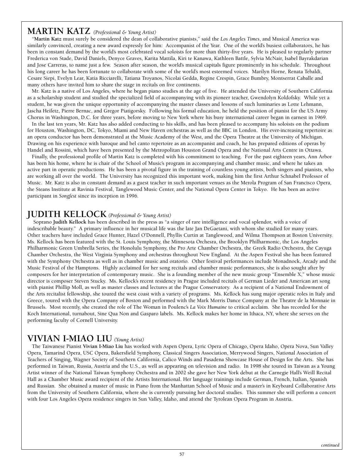### **MARTIN KATZ** *(Professional & Young Artist)*

**"Martin Katz must surely be considered the dean of collaborative pianists," said the** *Los Angeles Times***, and Musical America was similarly convinced, creating a new award expressly for him: Accompanist of the Year. One of the world's busiest collaborators, he has been in constant demand by the world's most celebrated vocal soloists for more than thirty-five years. He is pleased to regularly partner Frederica von Stade, David Daniels, Denyce Graves, Karita Mattila, Kiri te Kanawa, Kathleen Battle, Sylvia McNair, Isabel Bayrakdarian and Jose Carreras, to name just a few. Season after season, the world's musical capitals figure prominently in his schedule. Throughout his long career he has been fortunate to collaborate with some of the world's most esteemed voices. Marilyn Horne, Renata Tebaldi, Cesare Siepi, Evelyn Lear, Katia Ricciarelli, Tatiana Troyanos, Nicolai Gedda, Regine Crespin, Grace Bumbry, Montserrat Caballe and many others have invited him to share the stage in recitals on five continents.** 

**Mr. Katz is a native of Los Angeles, where he began piano studies at the age of five. He attended the University of Southern California as a scholarship student and studied the specialized field of accompanying with its pioneer teacher, Gwendolyn Koldofsky. While yet a student, he was given the unique opportunity of accompanying the master classes and lessons of such luminaries as Lotte Lehmann, Jascha Heifetz, Pierre Bernac, and Gregor Piatigorsky. Following his formal education, he held the position of pianist for the US Army Chorus in Washington, D.C. for three years, before moving to New York where his busy international career began in earnest in 1969.** 

**In the last ten years, Mr. Katz has also added conducting to his skills, and has been pleased to accompany his soloists on the podium for Houston, Washington, DC, Tokyo, Miami and New Haven orchestras as well as the BBC in London. His ever-increasing repertoire as an opera conductor has been demonstrated at the Music Academy of the West, and the Opera Theatre at the University of Michigan. Drawing on his experience with baroque and bel canto repertoire as an accompanist and coach, he has prepared editions of operas by Handel and Rossini, which have been presented by the Metropolitan Houston Grand Opera and the National Arts Centre in Ottawa.**

**Finally, the professional profile of Martin Katz is completed with his commitment to teaching. For the past eighteen years, Ann Arbor has been his home, where he is chair of the School of Music's program in accompanying and chamber music, and where he takes an active part in operatic productions. He has been a pivotal figure in the training of countless young artists, both singers and pianists, who are working all over the world. The University has recognized this important work, making him the first Arthur Schnabel Professor of Music. Mr. Katz is also in constant demand as a guest teacher in such important venues as the Merola Program of San Francisco Opera, the Steans Institute at Ravinia Festival, Tanglewood Music Center, and the National Opera Center in Tokyo. He has been an active participant in** *Songfest* **since its inception in 1996.**

### **JUDITH KELLOCK** *(Professional & Young Artist)*

**Soprano Judith Kellock has been described in the press as "a singer of rare intelligence and vocal splendor, with a voice of indescribable beauty." A primary influence in her musical life was the late Jan DeGaetani, with whom she studied for many years. Other teachers have included Grace Hunter, Hazel O'Donnell, Phyllis Curtin at Tanglewood, and Wilma Thompson at Boston University. Ms. Kellock has been featured with the St. Louis Symphony, the Minnesota Orchesra, the Brooklyn Philharmonic, the Los Angeles Philharmonic Green Umbrella Series, the Honolulu Symphony, the Pro Arte Chamber Orchestra, the Greek Radio Orchestra, the Cayuga Chamber Orchestra, the West Virginia Symphony and orchestras throughout New England. At the Aspen Festival she has been featured with the Symphony Orchestra as well as in chamber music and oratorio. Other festival performances include Monadnock, Arcady and the Music Festival of the Hamptons. Highly acclaimed for her song recitals and chamber music performances, she is also sought after by composers for her interpretation of contemporary music. She is a founding member of the new music group "Ensemble X," whose music director is composer Steven Stucky. Ms. Kellock's recent residency in Prague included recitals of German Lieder and American art song with pianist Phillip Moll, as well as master classes and lectures at the Prague Conservatory. As a recipient of a National Endowment of the Arts recitalist fellowship, she toured the west coast with a variety of programs. Ms. Kellock has sung major operatic roles in Italy and Greece, toured with the Opera Company of Boston and performed with the Mark Morris Dance Company at the Theatre de la Monnaie in Brussels. Most recently, she created the role of The Woman in Poulenc's** *La Voix Humaine* **to critical acclaim. She has recorded for the Koch International, turnabout, Sine Qua Non and Gasparo labels. Ms. Kellock makes her home in Ithaca, NY, where she serves on the performing faculty of Cornell University.** 

### **VIVIAN I-MIAO LIU** *(Young Artist)*

**The Taiwanese Pianist Vivian I-Miao Liu has worked with Aspen Opera, Lyric Opera of Chicago, Opera Idaho, Opera Nova, Sun Valley Opera, Tamarind Opera, USC Opera, Bakersfield Symphony, Classical Singers Association, Merrywood Singers, National Association of Teachers of Singing, Wagner Society of Southern California, Calico Winds and Pasadena Showcase House of Design for the Arts. She has performed in Taiwan, Russia, Austria and the U.S., as well as appearing on television and radio. In 1998 she toured in Taiwan as a Young Artist winner of the National Taiwan Symphony Orchestra and in 2002 she gave her New York debut at the Carnegie Hall's Weill Recital Hall as a Chamber Music award recipient of the Artists International. Her language trainings include German, French, Italian, Spanish and Russian. She obtained a master of music in Piano from the Manhattan School of Music and a master's in Keyboard Collaborative Arts from the University of Southern California, where she is currently pursuing her doctoral studies. This summer she will perform a concert with four Los Angeles Opera residence singers in Sun Valley, Idaho, and attend the Tyrolean Opera Program in Austria.**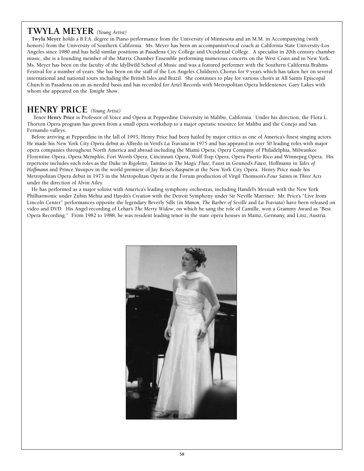### **TWYLA MEYER** *(Young Artist)*

**Twyla Meyer holds a B.F.A. degree in Piano performance from the University of Minnesota and an M.M. in Accompanying (with honors) from the University of Southern California. Ms. Meyer has been an accompanist/vocal coach at California State University-Los Angeles since 1980 and has held similar positions at Pasadena City College and Occidental College. A specialist in 20th century chamber music, she is a founding member of the Matrix Chamber Ensemble performing numerous concerts on the West Coast and in New York. Ms. Meyer has been on the faculty of the Idyllwild School of Music and was a featured performer with the Southern California Brahms Festival for a number of years. She has been on the staff of the Los Angeles Children's Chorus for 9 years which has taken her on several international and national tours including the British Isles and Brazil. She continues to play for various choirs at All Saints Episcopal Church in Pasadena on an as-needed basis and has recorded for Artel Records with Metropolitan Opera heldentenor, Gary Lakes with whom she appeared on the** *Tonight Show***.**

### **HENRY PRICE** *(Young Artist)*

**Tenor Henry Price is Professor of Voice and Opera at Pepperdine University in Malibu, California. Under his direction, the Flora L. Thorton Opera program has grown from a small opera workshop to a major operatic resource for Malibu and the Conejo and San Fernando valleys.** 

**Before arriving at Pepperdine in the fall of 1993, Henry Price had been hailed by major critics as one of America's finest singing actors. He made his New York City Opera debut as Alfredo in Verd's** *La Traviata* **in 1975 and has appeared in over 50 leading roles with major opera companies throughout North America and abroad including the Miami Opera, Opera Company of Philadelphia, Milwaukee Florentine Opera, Opera Memphis, Fort Worth Opera, Cincinnati Opera, Wolf Trap Opera, Opera Puerto Rico and Winnepeg Opera. His repertoire includes such roles as the Duke in** *Rigoletto,* **Tamino in** *The Magic Flute***, Faust in Gounod's** *Faust,* **Hoffmann in** *Tales of Hoffmann* **and Prince Yusupov in the world premiere of Jay Reise's** *Rasputin* **at the New York City Opera. Henry Price made his Metropolitan Opera debut in 1973 in the Metropolitan Opera at the Forum production of Virgil Thomson's** *Four Saints in Three Acts* **under the direction of Alvin Ailey.**

**He has performed as a major soloist with America's leading symphony orchestras, including Handel's** *Messiah* **with the New York Philharmonic under Zubin Mehta and Haydn's** *Creation* **with the Detroit Symphony under Sir Neville Marriner. Mr. Price's "Live from Lincoln Center" performances opposite the legendary Beverly Sills (in** *Manon, The Barber of Seville* **and** *La Traviata***) have been released on video and DVD. His Angel recording of Lehar's** *The Merry Widow***, on which he sang the role of Camille, won a Grammy Award as "Best Opera Recording." From 1982 to 1988, he was resident leading tenor in the state opera houses in Mainz, Germany, and Linz, Austria.** 

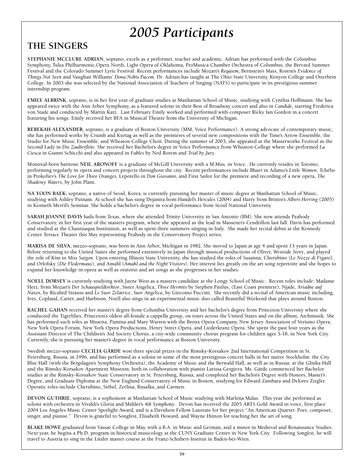### **THE SINGERS**

**STEPHANIE MCCLURE ADRIAN, soprano, excels as a performer, teacher and academic. Adrian has performed with the Columbus Symphony, Tulsa Philharmonic,Opera North, Light Opera of Oklahoma, ProMusica Chamber Orchestra of Columbus, the Brevard Summer Festival and the Colorado Summer Lyric Festival. Recent performances include Mozart's** *Requiem***, Bernstein's** *Mass***, Rorem's** *Evidence of Things Not Seen* **and Vaughan Williams'** *Dona Nobis Pacem***. Dr. Adrian has taught at The Ohio State University, Kenyon College and Otterbein College. In 2003 she was selected by the National Association of Teachers of Singing (NATS) to participate in its prestigious summer internship program.**

**EMILY ALBRINK, soprano, is in her first year of graduate studies at Manhattan School of Music, studying with Cynthia Hoffmann. She has appeared twice with the Ann Arbor Symphony, as a featured soloist in their Best of Broadway concert and also in** *Candide***, starring Frederica von Stade and conducted by Martin Katz. Last February Emily worked and performed with composer Ricky Ian Gordon in a concert featuring his songs. Emily received her BFA in Musical Theatre from the University of Michigan.**

**REBEKAH ALEXANDER, soprano, is a graduate of Boston University (MM, Voice Performance). A strong advocate of contemporary music, she has performed works by Crumb and Kurtag as well as the premieres of several new compositions with the Time's Arrow Ensemble, the Studio for New Music Ensemble, and Wheaton College Choir. During the summer of 2003, she appeared at the Masterworks Festival as the Second Lady in** *Die Zauberflöte***. She received her Bachelor's degree in Voice Performance from Wheaton College where she performed** *La Ciesca* **in Gianni Schicchi and also appeared in** *Fables* **by Ned Rorem and** *Trial by Jury***.**

**Montreal-born baritone NEIL ARONOFF is a graduate of McGill University with a M.Mus. in Voice. He currently resides in Toronto, performing regularly in opera and concert projects throughout the city. Recent performances include Bhaer in Adamo's** *Little Women***, Tchélio in Prokofiev's** *The Love for Three Oranges***, Leporello in** *Don Giovanni***, and First Sailor for the premiere and recording of a new opera,** *The Shadowy Waters***, by John Plant.**

**NA YOON BAEK, soprano, a native of Seoul, Korea, is currently pursuing her master of music degree at Manhattan School of Music, studying with Ashley Putnam. At school she has sung Dejanira from Handel's** *Hercules* **(2004) and Harry from Britten's** *Albert Herring* **(2005) in Kenneth Merril's Seminar. She holds a bachelor's degree in vocal performance from Seoul National University.**

**SARAH JOANNE DAVIS hails from Texas, where she attended Trinity University in San Antonio (BM). She now attends Peabody Conservatory, in her first year of the masters program, where she appeared as the lead in Massenet's Cendrillon last fall. Davis has performed and studied at the Chautuaqua Institution, as well as spent three summers singing in Italy. She made her recital debut at the Kennedy Center Terrace Theater this May representing Peabody in the Conservatory Project series.**

**MARISA DE SILVA, mezzo-soprano, was born in Ann Arbor, Michigan in 1982. She moved to Japan at age 4 and spent 13 years in Japan. Before returning to the United States she performed extensively in Japan through musical productions of Oliver,** *Westside Story***, and played the role of Kim in** *Miss Saigon***. Upon entering Illinois State University, she has studied the roles of Susanna, Cherubino (***Le Nozze di Figaro***), and Orlofsky (***Die Fledermaus***), and Amahl (***Amahl and the Night Visitors***). Her interest lies greatly on the art song repertoire and she hopes to expand her knowledge in opera as well as oratorio and art songs as she progresses in her studies.** 

**NOELL DORSEY is currently studying with Jayne West as a masters candidate at the Longy School of Music. Recent roles include: Madame Herz, from Mozart's** *Der Schauspieldirektor***, Sister Angelica,** *Three Hermits* **by Stephen Paulus, (East Coast premiere), Njade,** *Ariadne auf Naxos***, by Ricahrd Strauss and** *Le Suor Zelatrice***,** *Suor Angelica***, by Giocomo Puccini. She recently did a recital of American music including, Ives, Copland, Carter, and Harbison. Noell also sings in an experimental music duo called Beautiful Weekend that plays around Boston.**

**RACHEL GAHAN received her master's degree from Columbia University and her bachelor's degree from Princeton University where she conducted the Tigerlilies, Princeton's oldest all-female a cappella group, on tours across the United States and on the album, Archmusik. She has performed such roles as Musetta, Pamina and Mary Warren with the Bronx Opera Company, New Jersey Association of Verismo Opera, New York Opera Forum, New York Opera Productions, Henry Street Opera, and Liederkranz Opera. She spent the past four years as the Assistant Director of The Children's Aid Society Chorus, a city-wide community chorus program for children ages 5-18, in New York City. Currently, she is pursuing her master's degree in vocal performance at Boston University.**

**Swedish mezzo-soprano CECILIA GÄRDE won three special prizes in the Rimsky-Korsakov 2nd International Competition in St. Petersburg, Russia, in 1996, and has performed as a soloist in some of the most prestigious concert halls in her native Stockholm: the City Blue Hall (with the Bergslagen's Symphony Orchestra), the Academy of Music and the Berwald Hall, as well as in Russia: at the Glinka Hall and the Rimsky-Korsakov Apartment Museum, both in collaboration with pianist Larissa Gergieva. Ms. Gärde commenced her Bachelor studies at the Rimsky-Korsakov State Conservatory in St. Petersburg, Russia, and completed her Bachelor's Degree with Honors, Master's Degree, and Graduate Diploma at the New England Conservatory of Music in Boston, studying for Edward Zambara and Delores Ziegler. Operatic roles include Cherubino, Siébel, Zerlina, Rusalka, and Carmen.**

**DEVON GUTHRIE, soprano, is a sophomore at Manhattan School of Music studying with Marlena Malas. This year she performed as soloist with orchestra in Vivaldi's** *Gloria* **and Mahler's** *4th Symphony***. Devon has received the 2005 ARTS Gold Award in voice, first place 2004 Los Angeles Music Center Spotlight Award, and is a Davidson Fellow Laureate for her project "An American Quartet: Poet, composer, singer, and pianist." Devon is grateful to Songfest, Elisabeth Howard, and Wayne Hinton for teaching her the art of song.**

**BLAKE HOWE graduated from Vassar College in May, with a B.A. in Music and German, and a minor in Medieval and Renaissance Studies. Next year, he begins a Ph.D. program in historical musicology at the CUNY Graduate Center in New York City. Following** *Songfest***, he will travel to Austria to sing in the Lieder master course at the Franz-Schubert-Institut in Baden-bei-Wien.**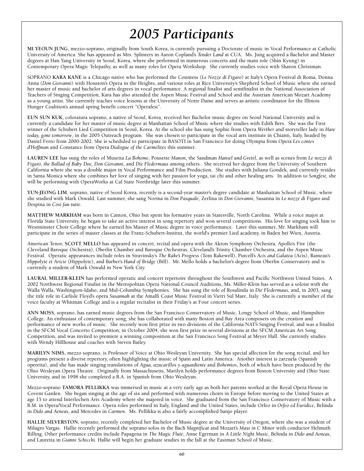**MI YEOUN JUNG, mezzo-soprano, originally from South Korea, is currently pursuing a Doctorate of music in Vocal Performance at Catholic University of America. She has appeared as Mrs. Splinters in Aaron Copland's** *Tender Land* **at CUA. Ms. Jung acquired a Bachelor and Master degrees at Han Yang University in Seoul, Korea, where she performed in numerous concerts and the main role (Shin Kyung) in Contemporary Opera Magic Telepathy, as well as many roles for Opera Workshop. She currently studies voice with Sharon Christman.**

**SOPRANO KARA KANE is a Chicago native who has performed the Countess (***Le Nozze di Figaro***) at Italy's Opera Festival di Roma, Donna Anna (***Don Giovanni***) with Houston's Opera in the Heights, and various roles at Rice University's Shepherd School of Music where she earned her master of music and bachelor of arts degrees in vocal performance. A regional finalist and semifinalist in the National Association of Teachers of Singing Competition, Kara has also attended the Aspen Music Festival and School and the Austrian American Mozart Academy as a young artist. She currently teaches voice lessons at the University of Notre Dame and serves as artistic coordinator for the Illinois Hunger Coalition's annual spring benefit concert "Operafest".**

**EUN SUN KUK, coloratura soprano, a native of Seoul, Korea, received her Bachelor music degree on Seoul National University and is currently a candidate for her master of music degree at Manhattan School of Music where she studies with Edith Bers. She was the First winner of the Schubert Lied Competition in Seoul, Korea. At the school she has sung Sophie from Opera** *Werther* **and storyteller lady in** *Hare today, gone tomorrow***, in the 2005 Outreach program. She was chosen to participate in the vocal arts institute in Chianti, Italy, headed by Daniel Ferro from 2000-2002. She is scheduled to participate in BASOTI in San Francisco for doing Olympia from Opera** *Les contes d'Hoffman* **and Constance from Opera** *Dialogue of the Carmelites* **this summer.**

**LAUREN LEE has sung the roles of Musetta** *La Boheme***, Pousette** *Manon***, the Sandman** *Hansel und Gretel***, as well as scenes from** *Le nozze di Figaro, the Ballad of Baby Doe, Don Giovanni,* **and** *Die Fledermaus* **among others. She received her degree from the University of Southern California where she was a double major in Vocal Performance and Film Production. She studies with Juliana Gondek, and currently resides in Santa Monica where she combines her love of singing with her passion for yoga, tai chi and other healing arts. In addition to** *Songfest***, she will be performing with OperaWorks at Cal State Northridge later this summer.**

**YUN-JEONG LIM, soprano, native of Seoul Korea, recently is a second-year master's degree candidate at Manhattan School of Music, where she studied with Mark Oswald. Last summer, she sang Norina in** *Don Pasquale***, Zerlina in** *Don Giovanni***, Susanna in** *Le nozze di Figaro* **and Despina in** *Cosi fan tutte***.**

**MATTHEW MARKHAM was born in Canton, Ohio but spent his formative years in Statesville, North Carolina. While a voice major at Florida State University, he began to take an active interest in song repertory and won several competitions. His love for singing took him to Westminster Choir College where he earned his Master of Music degree in voice performance. Later this summer, Mr. Markham will participate in the series of master classes at the Franz-Schubert-Institut, the world's premier Lied academy, in Baden bei Wien, Austria.**

**American Tenor, SCOTT MELLO has appeared in concert, recital and opera with the Akron Symphony Orchestra, Apollo's Fire (the Cleveland Baroque Orchestra), Oberlin Chamber and Baroque Orchestras, Cleveland's Trinity Chamber Orchestra, and the Aspen Music Festival. Operatic appearances include roles in Stravinsky's** *The Rake's Progress* **(Tom Rakewell), Purcell's** *Acis and Galatea* **(Acis), Rameau's** *Hippolyte et Aricie* **(Hippolyte), and Barber's** *Hand of Bridge* **(Bill). Mr. Mello holds a bachelor's degree from Oberlin Conservatory and is currently a student of Mark Oswald in New York City.**

**LAURAL MILLER-KLEIN has performed operatic and concert repertoire throughout the Southwest and Pacific Northwest United States. A 2002 Northwest Regional Finalist in the Metropolitan Opera National Council Auditions, Ms. Miller-Klein has served as a soloist with the** Walla Walla, Washington-Idaho, and Mid-Columbia Symphonies. She has sung the role of Rosalinda in *Die Fledermaus*, and, in 2003, sang **the title role in Carlisle Floyd's opera** *Susannah* **at the Amalfi Coast Music Festival in Vietri Sul Mare, Italy. She is currently a member of the voice faculty at Whitman College and is a regular recitalist in their Friday's at Four concert series.** 

**ANN MOSS, soprano, has earned music degrees from the San Francisco Conservatory of Music, Longy School of Music, and Hampshire College. An enthusiast of contemporary song, she has collaborated with many Boston and Bay Area composers on the creation and performance of new works of music. She recently won first prize in two divisions of the California NATS Singing Festival, and was a finalist in the SFCM Vocal Concerto Competition; in October 2004, she won first prize in several divisions at the SFCM American Art Song Competition, and was invited to premiere a winning composition at the San Francisco Song Festival at Meyer Hall. She currently studies with Wendy Hillhouse and coaches with Steven Bailey.**

**MARILYN NIMS, mezzo soprano, is Professor of Voice at Ohio Wesleyan University. She has special affection for the song recital, and her programs present a diverse repertory, often highlighting the music of Spain and Latin America. Another interest is zarzuela (Spanish operetta), and she has made singing translations of** *Agua, azucarillos y aguardiente* **and** *Bohemios***, both of which have been produced by the Ohio Wesleyan Opera Theatre. Originally from Massachusetts, Marilyn holds performance degrees from Boston University and Ohio State University, and in 1998 she completed a B.A. in Spanish from Ohio Wesleyan.**

**Mezzo-soprano TAMORA PELLIKKA was immersed in music at a very early age as both her parents worked at the Royal Opera House in Covent Garden. She began singing at the age of six and performed with numerous choirs in Europe before moving to the United States at age 15 to attend Interlochen Arts Academy where she majored in voice. She graduated from the San Francisco Conservatory of Music with a B.M. in Opera/Vocal Performance. Opera roles performed in Italy, England and the United States, include Orfeo in** *Orfeo ed Euridice***, Belinda in** *Dido and Aeneas***, and Mercedes in** *Carmen***. Ms. Pellikka is also a fairly accomplished banjo player.**

**HALLIE SILVERSTON, soprano, recently completed her Bachelor of Music degree at the University of Oregon, where she was a student of Milagro Vargas. Hallie recently performed the soprano solos in the Bach** *Magnificat* **and Mozart's** *Mass in C Minor* **with conductor Helmuth Rilling. Other performance credits include Papagena in** *The Magic Flute***, Anne Egerman in** *A Little Night Music***, Belinda in** *Dido and Aeneas***, and Lauretta in** *Gianni Schicchi***. Hallie will begin her graduate studies in the fall at the Eastman School of Music.**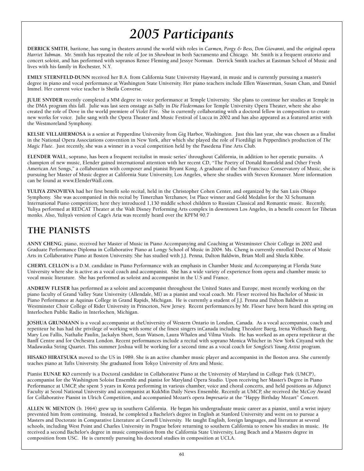**DERRICK SMITH, baritone, has sung in theaters around the world with roles in** *Carmen, Porgy & Bess, Don Giovanni,* **and the original opera** *Harriet Tubman***. Mr. Smith has repeated the role of Joe in** *Showboat* **in both Sacramento and Chicago. Mr. Smith is a frequent oratorio and concert soloist, and has performed with sopranos Renee Fleming and Jessye Norman. Derrick Smith teaches at Eastman School of Music and lives with his family in Rochester, N.Y.** 

**EMILY STERNFELD-DUNN received her B.A. from California State University Hayward, in music and is currently pursuing a master's degree in piano and vocal performance at Washington State University. Her piano teachers include Ellen Wasserman, Susan Chan, and Daniel Immel. Her current voice teacher is Sheila Converse.**

**JULIE SNYDER recently completed a MM degree in voice performance at Temple University. She plans to continue her studies at Temple in the DMA program this fall. Julie was last seen onstage as Sally in** *Die Fledermaus* **for Temple University Opera Theater, where she also created the role of Dove in the world premiere of** *Violet Fire***. She is currently collaborating with a doctoral fellow in composition to create new works for voice. Julie sang with the Opera Theater and Music Festival of Lucca in 2002 and has also appeared as a featured artist with the Westmoreland Symphony.**

**KELSIE VILLAHERMOSA is a senior at Pepperdine University from Gig Harbor, Washington. Just this last year, she was chosen as a finalist** in the National Opera Associations convention in New York, after which she played the role of Fiordiligi in Pepperdine's production of *The Magic Flute***. Just recently, she was a winner in a vocal competition held by the Pasedena Fine Arts Club.**

**ELENDER WALL, soprano, has been a frequent recitalist in music series' throughout California, in addition to her operatic pursuits. A champion of new music, Elender gained international attention with her recent CD, "The Poetry of Donald Rumsfeld and Other Fresh American Art Songs," a collaboration with composer and pianist Bryant Kong. A graduate of the San Francisco Conservatory of Music, she is pursuing her Master of Music degree at California State University, Los Angeles, where she studies with Steven Kronauer. More information can be found at www.ElenderWall.com.**

**YULIYA ZINOVIEVA had her first benefit solo recital, held in the Christopher Cohen Center, and organized by the San Luis Obispo Symphony. She was accompanied in this recital by Timerzhan Yerzhanov, 1st Place winner and Gold Medalist for the XI Schumann International Piano competition; here they introduced 1,130 middle school children to Russian Classical and Romantic music. Recently, Yuliya performed at REDCAT Theater at the Walt Disney Performing Arts complex in downtown Los Angeles, in a benefit concert for Tibetan monks. Also, Yuliya's version of Cage's Aria was recently heard over the KPFM 90.7**

### **THE PIANISTS**

**ANNY CHENG, piano, received her Master of Music in Piano Accompanying and Coaching at Westminster Choir College in 2002 and Graduate Performance Diploma in Collaborative Piano at Longy School of Music in 2004. Ms. Cheng is currently enrolled Doctor of Music Arts in Collaborative Piano at Boston University. She has studied with J.J. Penna, Dalton Baldwin, Brian Moll and Shiela Kibbe.**

**CHERYL CELLON is a D.M. candidate in Piano Performance with an emphasis in Chamber Music and Accompanying at Florida State University where she is active as a vocal coach and accompanist. She has a wide variety of experience from opera and chamber music to vocal music literature. She has performed as soloist and accompanist in the U.S and France.**

**ANDREW FLESER has performed as a soloist and accompanist throughout the United States and Europe, most recently working on the piano faculty of Grand Valley State University (Allendale, MI) as a pianist and vocal coach. Mr. Fleser received his Bachelor of Music in Piano Performance at Aquinas College in Grand Rapids, Michigan. He is currently a student of J.J. Penna and Dalton Baldwin at Westminster Choir College of Rider University in Princeton, New Jersey. Recent performances by Mr. Fleser have been heard this spring on Interlochen Public Radio in Interlochen, Michigan.**

**JOSHUA GRUNMANN is a vocal accompanist at theUniversity of Western Ontario in London, Canada. As a vocal accompanist, coach and repetiteur he has had the privilege of working with some of the finest singers inCanada including Theodore Baerg, Irena Welhasch Baerg, Mary Lou Fallis, Nathalie Paulin, Jackalyn Short, Sean Watson, Laura Whalen and Vilma Vitols. He has worked as an opera repetiteur at the Banff Centre and for Orchestra London. Recent performances include a recital with soprano Monica Whicher in New York Cityand with the Madawaska String Quartet. This summer Joshua will be working for a second time as a vocal coach for** *Songfest's Young Artist* **program.**

**HISAKO HIRATSUKA moved to the US in 1989. She is an active chamber music player and accompanist in the Boston area. She currently teaches piano at Tufts University. She graduated from Tokyo University of Arts and Music.**

**Pianist EUNAE KO currently is a Doctoral candidate in Collaborative Piano at the University of Maryland in College Park (UMCP), accompanist for the Washington Soloist Ensemble and pianist for Maryland Opera Studio. Upon receiving her Master's Degree in Piano Performance at UMCP, she spent 5 years in Korea performing in various chamber, voice and choral concerts, and held positions as Adjunct Faculty at Seoul National University and accompanist at KukMin Daily News Ensemble. Recently at UMCP, she received the McCoy Award for Collaborative Pianist in Ulrich Competition, and accompanied Mozart's opera** *Impresario* **at the "Happy Birthday Mozart" Concert.**

**ALLEN W. MENTON (b. 1964) grew up in southern California. He began his undergraduate music career as a pianist, until a wrist injury prevented him from continuing. Instead, he completed a Bachelor's degree in English at Stanford University and went on to pursue a Masters and Doctorate in Comparative Literature at Cornell University. He taught English, foreign languages, and literature at several schools, including West Point and Charles University in Prague before returning to southern California to renew his studies in music. He received a second Bachelor's degree in music composition from the California State University, Long Beach and a Masters degree in composition from USC. He is currently pursuing his doctoral studies in composition at UCLA.**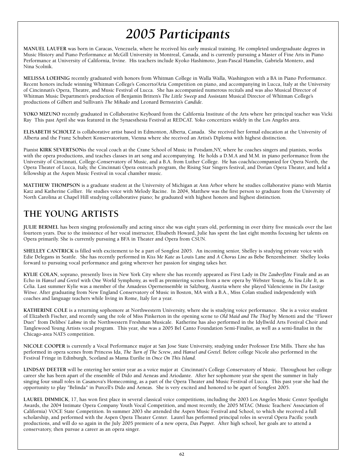**MANUEL LAUFER was born in Caracas, Venezuela, where he received his early musical training. He completed undergraduate degrees in Music History and Piano Performance at McGill University in Montreal, Canada, and is currently pursuing a Master of Fine Arts in Piano Performance at University of California, Irvine. His teachers include Kyoko Hashimoto, Jean-Pascal Hamelin, Gabriela Montero, and Nina Scolnik.**

**MELISSA LOEHNIG recently graduated with honors from Whitman College in Walla Walla, Washington with a BA in Piano Performance. Recent honors include winning Whitman College's Concerto/Aria Competition on piano, and accompanying in Lucca, Italy at the University of Cincinnati's Opera, Theatre, and Music Festival of Lucca. She has accompanied numerous recitals and was also Musical Director of Whitman Music Department's production of Benjamin Britten's** *The Little Sweep* **and Assistant Musical Director of Whitman College's productions of Gilbert and Sullivan's** *The Mikado* **and Leonard Bernstein's** *Candide***.**

**YOKO MIZUNO recently graduated in Collaborative Keyboard from the California Institute of the Arts where her principal teacher was Vicki Ray This past April she was featured in the Synaesthesia Festival at REDCAT. Yoko concertizes widely in the Los Angeles area.**

**ELISABETH SCHOLTZ is collaborative artist based in Edmonton, Alberta, Canada. She received her formal education at the University of Alberta and the Franz Schubert Konservatorium, Vienna where she received an Artist's Diploma with highest distinction.** 

**Pianist KIRK SEVERTSONis the vocal coach at the Crane School of Music in Potsdam,NY, where he coaches singers and pianists, works with the opera productions, and teaches classes in art song and accompanying. He holds a D.M.A and M.M. in piano performance from the University of Cincinnati, College-Conservatory of Music, and a B.A. from Luther College. He has coach/accompanied for Opera North, the Opera Theater of Lucca, Italy, the Cincinnati Opera outreach program, the Rising Star Singers festival, and Dorian Opera Theater, and held a fellowship at the Aspen Music Festival in vocal chamber music.** 

**MATTHEW THOMPSON is a graduate student at the University of Michigan at Ann Arbor where he studies collaborative piano with Martin Katz and Katherine Collier. He studies voice with Melody Racine. In 2004, Matthew was the first person to graduate from the University of North Carolina at Chapel Hill studying collaborative piano; he graduated with highest honors and highest distinction.** 

### **THE YOUNG ARTISTS**

**JULIE BERMEL has been singing professionally and acting since she was eight years old, performing in over thirty five musicals over the last fourteen years. Due to the insistence of her vocal instructor, Elisabeth Howard, Julie has spent the last eight months focusing her talents on Opera primarily. She is currently pursuing a BFA in Theater and Opera from CSUN.**

**SHELLEY CANTRICK is filled with excitement to be a part of Songfest 2005. An incoming senior, Shelley is studying private voice with Edie Delegans in Seattle. She has recently performed in** *Kiss Me Kate* **as Louis Lane and** *A Chorus Line* **as Bebe Benzenheimer. Shelley looks forward to pursuing vocal performance and going wherever her passion for singing takes her.**

**KYLIE COLAN, soprano, presently lives in New York City where she has recently appeared as First Lady in** *Die Zauberflöte* **Finale and as an Echo in** *Hansel and Gretel* **with One World Symphony, as well as premiering scenes from a new opera by Webster Young,** *As You Like It***, as Celia. Last summer Kylie was a member of the Amadeus Opernensemble in Salzburg, Austria where she played Valencienne in** *Die Lusitge Witwe.* **After graduating from New England Conservatory of Music in Boston, MA with a B.A., Miss Colan studied independently with coaches and language teachers while living in Rome, Italy for a year.**

**KATHERINE COLE is a returning sophomore at Northwestern University, where she is studying voice performance. She is a voice student of Elizabeth Fischer, and recently sang the role of Miss Pinkerton in the opening scene to** *Old Maid and The Thief* **by Menotti and the "Flower Duet" from Delibes'** *Lakme* **in the Northwestern Freshman Musicale. Katherine has also performed in the Idyllwild Arts Festival Choir and Tanglewood Young Artists vocal program. This year, she was a 2005 Bel Canto Foundation Semi-Finalist, as well as a semi-finalist in the Chicago-area NATS competition.**

**NICOLE COOPER is currently a Vocal Performance major at San Jose State University, studying under Professor Erie Mills. There she has performed in opera scenes from Princess Ida,** *The Turn of The Screw***, and** *Hansel and Gretel***. Before college Nicole also performed in the Festival Fringe in Edinburgh, Scotland as Mama Eurilie in** *Once On This Island***.**

**LINDSAY DEETER will be entering her senior year as a voice major at Cincinnati's College Conservatory of Music. Throughout her college career she has been apart of the ensemble of Dido and Aeneas and Ariodante. After her sophomore year she spent the summer in Italy singing four small roles in Casanova's Homecoming, as a part of the Opera Theater and Music Festival of Lucca. This past year she had the opportunity to play "Belinda" in Purcell's Dido and Aeneas. She is very excited and honored to be apart of Songfest 2005.**

**LAUREL DIMMICK, 17, has won first place in several classical voice competitions, including the 2003 Los Angeles Music Center Spotlight Awards, the 2004 Intimate Opera Company Youth Vocal Competition, and most recently, the 2005 MTAC (Music Teachers' Association of California) VOCE State Competition. In summer 2003 she attended the Aspen Music Festival and School, to which she received a full scholarship, and performed with the Aspen Opera Theater Center. Laurel has performed principal roles in several Opera Pacific youth productions, and will do so again in the July 2005 premiere of a new opera,** *Das Puppet***. After high school, her goals are to attend a conservatory, then pursue a career as an opera singer.**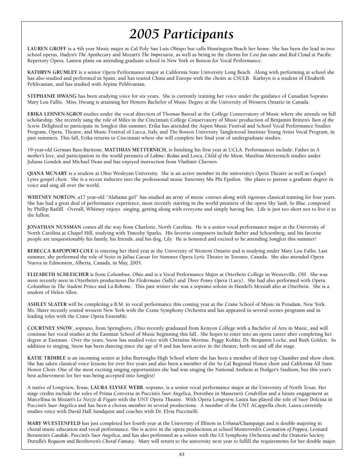**LAUREN GROFF is a 4th year Music major at Cal Poly San Luis Obispo but calls Huntington Beach her home. She has been the lead in two school operas, Hadyn's** *The Apothecary* **and Mozart's** *The Impresario***, as well as being in the chorus for** *Cosi fan tutte* **and** *Red Cloud* **at Pacific Repertory Opera. Lauren plans on attending graduate school in New York or Boston for Vocal Performance.** 

**KATHRYN GRUMLEY is a senior Opera Performance major at California State University Long Beach. Along with performing at school she has also studied and performed in Spain, and has toured China and Europe with the choirs at CSULB. Kathryn is a student of Elisabeth Pehlivanian, and has studied with Arpine Pehlivanian.**

**STEPHANIE HWANG has been studying voice for six years. She is currently training her voice under the guidance of Canadian Soprano Mary Lou Fallis. Miss. Hwang is attaining her Honors Bachelor of Music Degree at the University of Western Ontario in Canada.**

**ERIKA LEHNEN-SGROI studies under the vocal direction of Thomas Baresel at the College Conservatory of Music where she attends on full scholarship. She recently sang the role of Miles in the Cincinnati College Conservatory of Music production of Benjamin Britten's** *Turn of the Screw.* **Delighted to participate in** *Songfest* **this summer, Erika has attended the Aspen Music Festival and School Vocal Performance Studies Program, Opera, Theatre, and Music Festival of Lucca, Italy, and The Boston University Tanglewood Institute Young Artist Vocal Program, in past summers. This fall, Erika returns to Cincinnati where she will complete her final year of undergraduate studies.**

**19-year-old German Bass-Baritone, MATTHIAS METTERNICH, is finishing his first year at UCLA. Performances include: Father in** *A mother's love***, and participation in the world premiers of** *Lakme: Redux* **and** *Lorca, Child of the Moon***. Matthias Metternich studies under Juliana Gondek and Michael Dean and has enjoyed instruction from Vladimir Chernov.**

**QIANA MCNARY is a student at Ohio Wesleyan University. She is an active member in the university's Opera Theater as well as Gospel Lyres gospel choir. She is a recent inductee into the professional music fraternity Mu Phi Epsilon. She plans to pursue a graduate degree in voice and sing all over the world.**

**WHITNEY NORTON, a17 year-old "Alabama girl" has studied an array of music courses along with rigorous classical training for four years. She has had a great deal of performance experience, most recently starring in the world premiere of the opera** *Sky Sash, So Blue***, composed by Phillip Ratliff. Overall, Whitney enjoys singing, getting along with everyone and simply having fun. Life is just too short not to live it to the fullest.**

**JONATHAN NUSSMAN comes all the way from Charlotte, North Carolina. He is a senior vocal performance major at the University of North Carolina at Chapel Hill, studying with Timothy Sparks. His favorite composers include Barber and Schoenberg, and his favorite people are unquestionably his family, his friends, and his dog, Lily. He is honored and excited to be attending** *Songfest* **this summer!**

**REBECCA RAPOPORT-COLE is entering her third year at the University of Western Ontario and is studying under Mary Lou Fallis. Last summer, she performed the role of Sesto in** *Julius Caesar* **for Summer Opera Lyric Theater in Toronto, Canada. She also attended Opera Nuova in Edmonton, Alberta, Canada, in May, 2005.** 

**ELIZABETH SCHLEICHER is from Columbus, Ohio and is a Vocal Performance Major at Otterbein College in Westerville, OH. She was most recently seen in Otterbein's productions** *Die Fledermaus* **(Sally) and** *Three Penny Opera* **(Lucy). She had also performed with Opera Columbus in** *The Student Prince* **and** *La Boheme***. This past winter she was a soprano soloist in Handel's** *Messiah* **also at Otterbein. She is a student of Helen Allen.** 

**ASHLEY SLATER will be completing a B.M. in vocal performance this coming year at the Crane School of Music in Potsdam, New York. Ms. Slater recently toured western New York with the Crane Symphony Orchestra and has appeared in several scenes programs and in leading roles with the Crane Opera Ensemble.**

**COURTNEY SNOW, soprano, from Springboro, Ohio recently graduated from Kenyon College with a Bachelor of Arts in Music, and will continue her vocal studies at the Eastman School of Music beginning this fall. She hopes to enter into an opera career after completing her degree at Eastman. Over the years, Snow has studied voice with Christine Mortine, Peggy Kohler, Dr. Benjamin Locke, and Ruth Golden. In addition to singing, Snow has been dancing since the age of 9 and has been active in the theatre, both on and off the stage.**

**KATIE TRIMBLE is an incoming senior at John Burroughs High School where she has been a member of their top Chamber and show choir. She has taken classical voice lessons for over five years and also been a member of the So Cal Regional Honor choir and California All State Honor Choir. One of the most exciting singing opportunities she had was singing the National Anthem at Dodger's Stadium, but this year's best achievement for her was being accepted into** *Songfest***!**

**A native of Longview, Texas, LAURA ELYSEE WEBB, soprano, is a senior vocal performance major at the University of North Texas. Her stage credits include the roles of Prima Conversa in Puccini's** *Suor Angelica***, Dorothée in Massenet's** *Cendrillon* **and a future engagement as Marcellina in Mozart's** *Le Nozze di Figaro* **with the UNT Opera Theatre. With Opera Longview, Laura has played the role of Suor Dolcina in Puccini's** *Suor Angelica* **and has been a chorus member in several productions. A member of the UNT ACappella choir, Laura currently studies voice with David Hall Sundquist and coaches with Dr. Elvia Puccinelli.**

**MARY WUESTENFELD has just completed her fourth year at the University of Illinois in Urbana/Champaign and is double majoring in choral music education and vocal performance. She is active in the opera productions at school Monteverdi's** *Coronation of Poppea***, Leonard Bernstein's** *Candide***, Puccini's** *Suor Angelica***, and has also performed as a soloist with the UI Symphony Orchestra and the Oratorio Society Duruflé's** *Requiem* **and Beethoven's** *Choral Fantasy***. Mary will return to the university next year to fulfill the requirements for her double major.**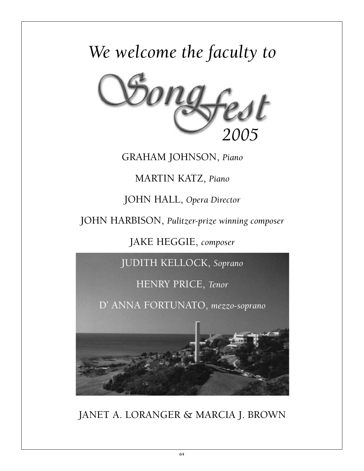# *We welcome the faculty to*



**GRAHAM JOHNSON,** *Piano*

**MARTIN KATZ,** *Piano*

**JOHN HALL,** *Opera Director*

**JOHN HARBISON,** *Pulitzer-prize winning composer*

**JAKE HEGGIE,** *composer*

**JUDITH KELLOCK,** *Soprano*

**HENRY PRICE,** *Tenor*

**D' ANNA FORTUNATO,** *mezzo-soprano*



**JANET A. LORANGER & MARCIA J. BROWN**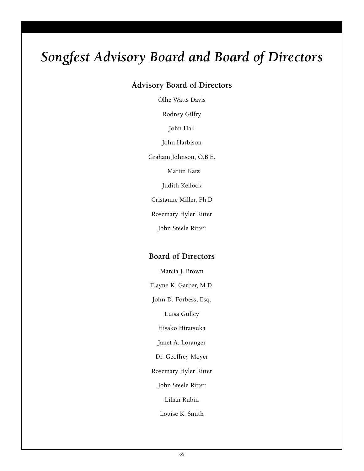# *Songfest Advisory Board and Board of Directors*

### **Advisory Board of Directors**

**Ollie Watts Davis** 

**Rodney Gilfry** 

**John Hall** 

**John Harbison** 

**Graham Johnson, O.B.E.** 

**Martin Katz** 

**Judith Kellock** 

**Cristanne Miller, Ph.D** 

**Rosemary Hyler Ritter** 

**John Steele Ritter**

### **Board of Directors**

**Marcia J. Brown** 

**Elayne K. Garber, M.D.** 

**John D. Forbess, Esq.** 

**Luisa Gulley** 

**Hisako Hiratsuka** 

**Janet A. Loranger** 

**Dr. Geoffrey Moyer** 

**Rosemary Hyler Ritter** 

**John Steele Ritter** 

**Lilian Rubin** 

**Louise K. Smith**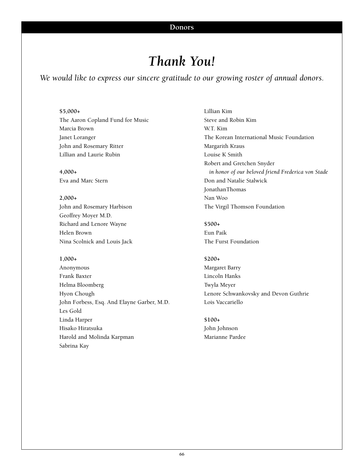### *Thank You!*

*We would like to express our sincere gratitude to our growing roster of annual donors.*

#### **\$5,000+**

**The Aaron Copland Fund for Music Marcia Brown Janet Loranger John and Rosemary Ritter Lillian and Laurie Rubin** 

**4,000+ Eva and Marc Stern**

**2,000+ John and Rosemary Harbison Geoffrey Moyer M.D. Richard and Lenore Wayne Helen Brown Nina Scolnick and Louis Jack**

#### **1,000+**

**Anonymous Frank Baxter Helma Bloomberg Hyon Chough John Forbess, Esq. And Elayne Garber, M.D. Les Gold Linda Harper Hisako Hiratsuka Harold and Molinda Karpman Sabrina Kay**

**Lillian Kim Steve and Robin Kim W.T. Kim The Korean International Music Foundation Margarith Kraus Louise K Smith Robert and Gretchen Snyder** *in honor of our beloved friend Frederica von Stade* **Don and Natalie Stalwick JonathanThomas Nan Woo The Virgil Thomson Foundation**

**\$500+ Eun Paik The Furst Foundation**

#### **\$200+**

**Margaret Barry Lincoln Hanks Twyla Meyer Lenore Schwankovsky and Devon Guthrie Lois Vaccariello**

**\$100+ John Johnson Marianne Pardee**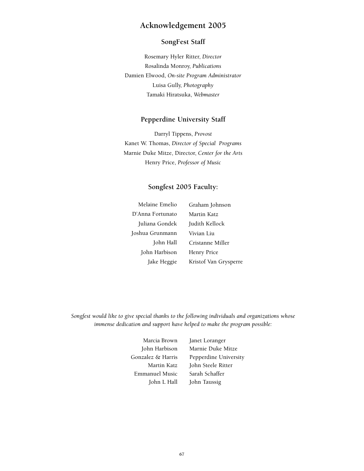### **Acknowledgement 2005**

#### **SongFest Staff**

**Rosemary Hyler Ritter,** *Director* **Rosalinda Monroy,** *Publications* **Damien Elwood,** *On-site Program Administrator* **Luisa Gully,** *Photography* **Tamaki Hiratsuka,** *Webmaster*

#### **Pepperdine University Staff**

**Darryl Tippens,** *Provost* **Kanet W. Thomas,** *Director of Special Programs* **Marnie Duke Mitze, Director,** *Center for the Arts* **Henry Price,** *Professor of Music*

### **Songfest 2005 Faculty:**

| Melaine Emelio   | Graham Johnson        |
|------------------|-----------------------|
| D'Anna Fortunato | Martin Katz           |
| Juliana Gondek   | Judith Kellock        |
| Joshua Grunmann  | Vivian Liu            |
| John Hall        | Cristanne Miller      |
| John Harbison    | Henry Price           |
| Jake Heggie      | Kristof Van Grysperre |

*Songfest would like to give special thanks to the following individuals and organizations whose immense dedication and support have helped to make the program possible:*

> **Marcia Brown John Harbison Gonzalez & Harris Martin Katz Emmanuel Music John L Hall**

**Janet Loranger Marnie Duke Mitze Pepperdine University John Steele Ritter Sarah Schaffer John Taussig**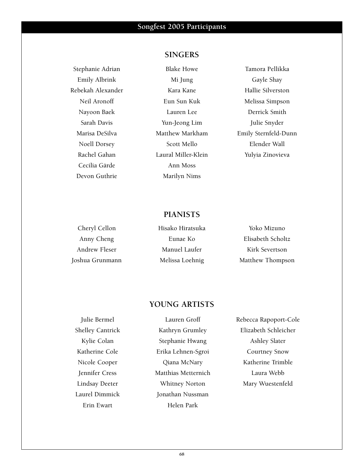**Stephanie Adrian Emily Albrink Rebekah Alexander Neil Aronoff Nayoon Baek Sarah Davis Marisa DeSilva Noell Dorsey Rachel Gahan Cecilia Gärde Devon Guthrie**

### **SINGERS**

**Blake Howe Mi Jung Kara Kane Eun Sun Kuk Lauren Lee Yun-Jeong Lim Matthew Markham Scott Mello Laural Miller-Klein Ann Moss Marilyn Nims**

**Tamora Pellikka Gayle Shay Hallie Silverston Melissa Simpson Derrick Smith Julie Snyder Emily Sternfeld-Dunn Elender Wall Yulyia Zinovieva**

### **PIANISTS**

| Cheryl Cellon   | Hisako Hiratsuka | Yoko Mizuno       |
|-----------------|------------------|-------------------|
| Anny Cheng      | Eunae Ko         | Elisabeth Scholtz |
| Andrew Fleser   | Manuel Laufer    | Kirk Severtson    |
| Joshua Grunmann | Melissa Loehnig  | Matthew Thompson  |

### **YOUNG ARTISTS**

**Julie Bermel Shelley Cantrick Kylie Colan Katherine Cole Nicole Cooper Jennifer Cress Lindsay Deeter Laurel Dimmick Erin Ewart**

**Lauren Groff Kathryn Grumley Stephanie Hwang Erika Lehnen-Sgroi Qiana McNary Matthias Metternich Whitney Norton Jonathan Nussman Helen Park**

**Rebecca Rapoport-Cole Elizabeth Schleicher Ashley Slater Courtney Snow Katherine Trimble Laura Webb Mary Wuestenfeld**